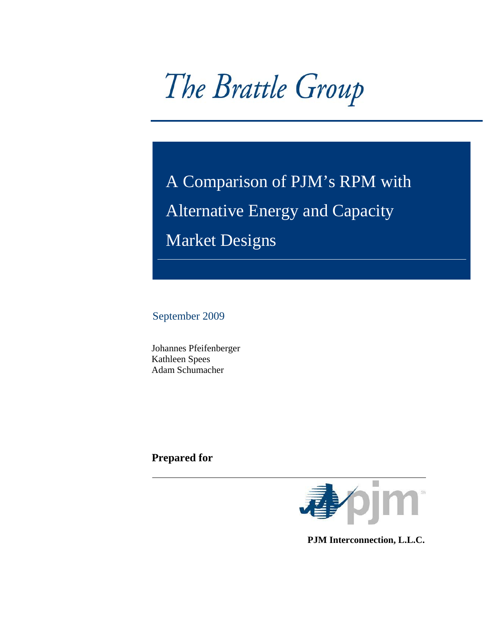The Brattle Group

 A Comparison of PJM's RPM with Alternative Energy and Capacity Market Designs

September 2009

Johannes Pfeifenberger Kathleen Spees Adam Schumacher

**Prepared for** 



 **PJM Interconnection, L.L.C.**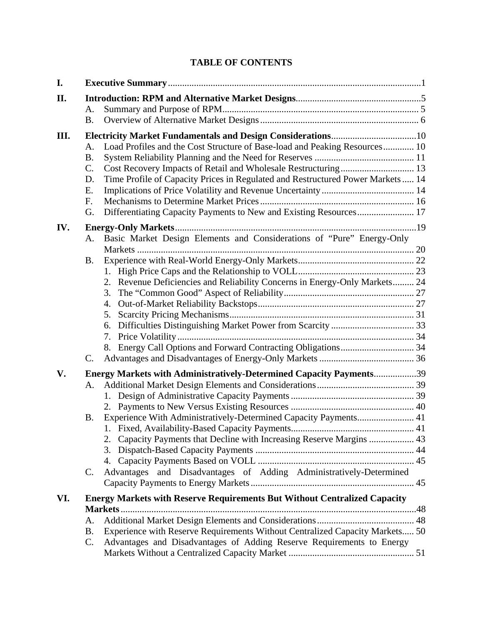# **TABLE OF CONTENTS**

| I.   |                                                                                       |  |  |  |
|------|---------------------------------------------------------------------------------------|--|--|--|
| II.  |                                                                                       |  |  |  |
|      | A.                                                                                    |  |  |  |
|      | <b>B.</b>                                                                             |  |  |  |
| III. |                                                                                       |  |  |  |
|      | Load Profiles and the Cost Structure of Base-load and Peaking Resources 10<br>A.      |  |  |  |
|      | <b>B.</b>                                                                             |  |  |  |
|      | Cost Recovery Impacts of Retail and Wholesale Restructuring 13<br>C.                  |  |  |  |
|      | Time Profile of Capacity Prices in Regulated and Restructured Power Markets  14<br>D. |  |  |  |
|      | Е.                                                                                    |  |  |  |
|      | F.                                                                                    |  |  |  |
|      | Differentiating Capacity Payments to New and Existing Resources 17<br>G.              |  |  |  |
| IV.  |                                                                                       |  |  |  |
|      | Basic Market Design Elements and Considerations of "Pure" Energy-Only<br>А.           |  |  |  |
|      |                                                                                       |  |  |  |
|      | Β.                                                                                    |  |  |  |
|      |                                                                                       |  |  |  |
|      | 2. Revenue Deficiencies and Reliability Concerns in Energy-Only Markets 24            |  |  |  |
|      | 3.                                                                                    |  |  |  |
|      | 4.                                                                                    |  |  |  |
|      | 5.                                                                                    |  |  |  |
|      | 6.                                                                                    |  |  |  |
|      |                                                                                       |  |  |  |
|      |                                                                                       |  |  |  |
|      | C.                                                                                    |  |  |  |
| V.   | Energy Markets with Administratively-Determined Capacity Payments39                   |  |  |  |
|      | A.                                                                                    |  |  |  |
|      |                                                                                       |  |  |  |
|      |                                                                                       |  |  |  |
|      | Experience With Administratively-Determined Capacity Payments 41<br>Β.                |  |  |  |
|      |                                                                                       |  |  |  |
|      | 2. Capacity Payments that Decline with Increasing Reserve Margins  43                 |  |  |  |
|      |                                                                                       |  |  |  |
|      |                                                                                       |  |  |  |
|      | Advantages and Disadvantages of Adding Administratively-Determined<br>C.              |  |  |  |
|      |                                                                                       |  |  |  |
| VI.  | <b>Energy Markets with Reserve Requirements But Without Centralized Capacity</b>      |  |  |  |
|      |                                                                                       |  |  |  |
|      | А.                                                                                    |  |  |  |
|      | Experience with Reserve Requirements Without Centralized Capacity Markets 50<br>Β.    |  |  |  |
|      | Advantages and Disadvantages of Adding Reserve Requirements to Energy<br>C.           |  |  |  |
|      |                                                                                       |  |  |  |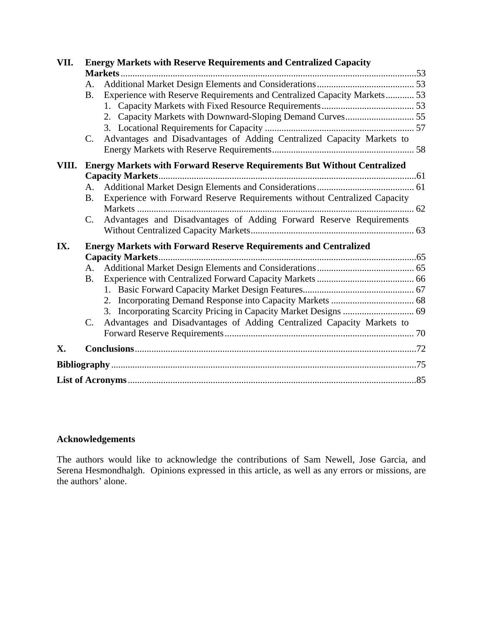| VII.  | <b>Energy Markets with Reserve Requirements and Centralized Capacity</b> |                                                                                 |  |  |  |  |  |
|-------|--------------------------------------------------------------------------|---------------------------------------------------------------------------------|--|--|--|--|--|
|       |                                                                          |                                                                                 |  |  |  |  |  |
|       | А.                                                                       |                                                                                 |  |  |  |  |  |
|       | B <sub>1</sub>                                                           | Experience with Reserve Requirements and Centralized Capacity Markets 53        |  |  |  |  |  |
|       |                                                                          |                                                                                 |  |  |  |  |  |
|       |                                                                          |                                                                                 |  |  |  |  |  |
|       |                                                                          |                                                                                 |  |  |  |  |  |
|       | $C_{\cdot}$                                                              | Advantages and Disadvantages of Adding Centralized Capacity Markets to          |  |  |  |  |  |
|       |                                                                          |                                                                                 |  |  |  |  |  |
| VIII. |                                                                          | <b>Energy Markets with Forward Reserve Requirements But Without Centralized</b> |  |  |  |  |  |
|       |                                                                          |                                                                                 |  |  |  |  |  |
|       | А.                                                                       |                                                                                 |  |  |  |  |  |
|       | <b>B</b> .                                                               | Experience with Forward Reserve Requirements without Centralized Capacity       |  |  |  |  |  |
|       |                                                                          |                                                                                 |  |  |  |  |  |
|       | $\mathcal{C}$ .                                                          | Advantages and Disadvantages of Adding Forward Reserve Requirements             |  |  |  |  |  |
|       |                                                                          |                                                                                 |  |  |  |  |  |
| IX.   |                                                                          | <b>Energy Markets with Forward Reserve Requirements and Centralized</b>         |  |  |  |  |  |
|       |                                                                          |                                                                                 |  |  |  |  |  |
|       |                                                                          |                                                                                 |  |  |  |  |  |
|       | <b>B.</b>                                                                |                                                                                 |  |  |  |  |  |
|       |                                                                          |                                                                                 |  |  |  |  |  |
|       |                                                                          |                                                                                 |  |  |  |  |  |
|       |                                                                          |                                                                                 |  |  |  |  |  |
|       | $\mathbf{C}$ .                                                           | Advantages and Disadvantages of Adding Centralized Capacity Markets to          |  |  |  |  |  |
|       |                                                                          |                                                                                 |  |  |  |  |  |
| X.    |                                                                          |                                                                                 |  |  |  |  |  |
|       |                                                                          |                                                                                 |  |  |  |  |  |
|       |                                                                          |                                                                                 |  |  |  |  |  |

# **Acknowledgements**

The authors would like to acknowledge the contributions of Sam Newell, Jose Garcia, and Serena Hesmondhalgh. Opinions expressed in this article, as well as any errors or missions, are the authors' alone.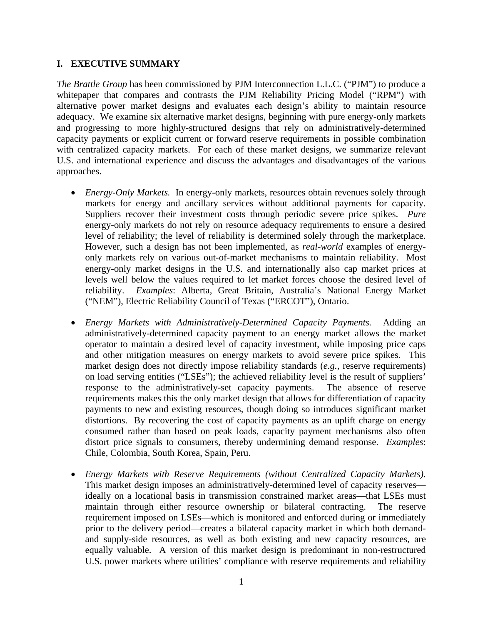# **I. EXECUTIVE SUMMARY**

*The Brattle Group* has been commissioned by PJM Interconnection L.L.C. ("PJM") to produce a whitepaper that compares and contrasts the PJM Reliability Pricing Model ("RPM") with alternative power market designs and evaluates each design's ability to maintain resource adequacy. We examine six alternative market designs, beginning with pure energy-only markets and progressing to more highly-structured designs that rely on administratively-determined capacity payments or explicit current or forward reserve requirements in possible combination with centralized capacity markets. For each of these market designs, we summarize relevant U.S. and international experience and discuss the advantages and disadvantages of the various approaches.

- *Energy-Only Markets.* In energy-only markets, resources obtain revenues solely through markets for energy and ancillary services without additional payments for capacity. Suppliers recover their investment costs through periodic severe price spikes. *Pure* energy-only markets do not rely on resource adequacy requirements to ensure a desired level of reliability; the level of reliability is determined solely through the marketplace. However, such a design has not been implemented, as *real-world* examples of energyonly markets rely on various out-of-market mechanisms to maintain reliability. Most energy-only market designs in the U.S. and internationally also cap market prices at levels well below the values required to let market forces choose the desired level of reliability. *Examples*: Alberta, Great Britain, Australia's National Energy Market ("NEM"), Electric Reliability Council of Texas ("ERCOT"), Ontario.
- *Energy Markets with Administratively-Determined Capacity Payments.* Adding an administratively-determined capacity payment to an energy market allows the market operator to maintain a desired level of capacity investment, while imposing price caps and other mitigation measures on energy markets to avoid severe price spikes. This market design does not directly impose reliability standards (*e.g.*, reserve requirements) on load serving entities ("LSEs"); the achieved reliability level is the result of suppliers' response to the administratively-set capacity payments. The absence of reserve requirements makes this the only market design that allows for differentiation of capacity payments to new and existing resources, though doing so introduces significant market distortions. By recovering the cost of capacity payments as an uplift charge on energy consumed rather than based on peak loads, capacity payment mechanisms also often distort price signals to consumers, thereby undermining demand response. *Examples*: Chile, Colombia, South Korea, Spain, Peru.
- *Energy Markets with Reserve Requirements (without Centralized Capacity Markets)*. This market design imposes an administratively-determined level of capacity reserves ideally on a locational basis in transmission constrained market areas—that LSEs must maintain through either resource ownership or bilateral contracting. The reserve requirement imposed on LSEs—which is monitored and enforced during or immediately prior to the delivery period—creates a bilateral capacity market in which both demandand supply-side resources, as well as both existing and new capacity resources, are equally valuable. A version of this market design is predominant in non-restructured U.S. power markets where utilities' compliance with reserve requirements and reliability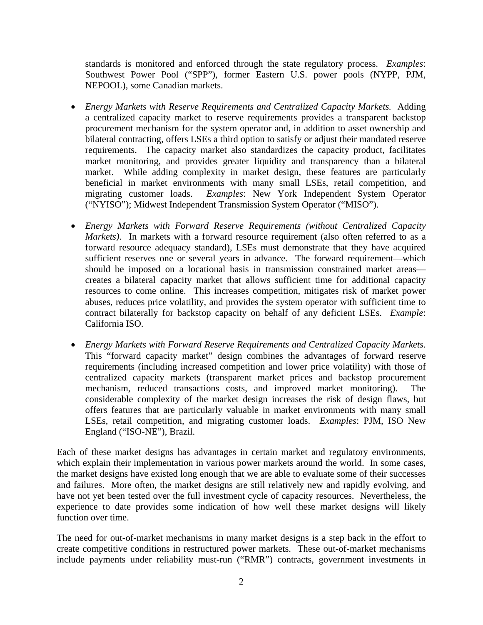standards is monitored and enforced through the state regulatory process. *Examples*: Southwest Power Pool ("SPP"), former Eastern U.S. power pools (NYPP, PJM, NEPOOL), some Canadian markets.

- *Energy Markets with Reserve Requirements and Centralized Capacity Markets.* Adding a centralized capacity market to reserve requirements provides a transparent backstop procurement mechanism for the system operator and, in addition to asset ownership and bilateral contracting, offers LSEs a third option to satisfy or adjust their mandated reserve requirements. The capacity market also standardizes the capacity product, facilitates market monitoring, and provides greater liquidity and transparency than a bilateral market. While adding complexity in market design, these features are particularly beneficial in market environments with many small LSEs, retail competition, and migrating customer loads. *Examples*: New York Independent System Operator ("NYISO"); Midwest Independent Transmission System Operator ("MISO").
- *Energy Markets with Forward Reserve Requirements (without Centralized Capacity Markets*). In markets with a forward resource requirement (also often referred to as a forward resource adequacy standard), LSEs must demonstrate that they have acquired sufficient reserves one or several years in advance. The forward requirement—which should be imposed on a locational basis in transmission constrained market areas creates a bilateral capacity market that allows sufficient time for additional capacity resources to come online. This increases competition, mitigates risk of market power abuses, reduces price volatility, and provides the system operator with sufficient time to contract bilaterally for backstop capacity on behalf of any deficient LSEs. *Example*: California ISO.
- *Energy Markets with Forward Reserve Requirements and Centralized Capacity Markets.* This "forward capacity market" design combines the advantages of forward reserve requirements (including increased competition and lower price volatility) with those of centralized capacity markets (transparent market prices and backstop procurement mechanism, reduced transactions costs, and improved market monitoring). The considerable complexity of the market design increases the risk of design flaws, but offers features that are particularly valuable in market environments with many small LSEs, retail competition, and migrating customer loads. *Examples*: PJM, ISO New England ("ISO-NE"), Brazil.

Each of these market designs has advantages in certain market and regulatory environments, which explain their implementation in various power markets around the world. In some cases, the market designs have existed long enough that we are able to evaluate some of their successes and failures. More often, the market designs are still relatively new and rapidly evolving, and have not yet been tested over the full investment cycle of capacity resources. Nevertheless, the experience to date provides some indication of how well these market designs will likely function over time.

The need for out-of-market mechanisms in many market designs is a step back in the effort to create competitive conditions in restructured power markets. These out-of-market mechanisms include payments under reliability must-run ("RMR") contracts, government investments in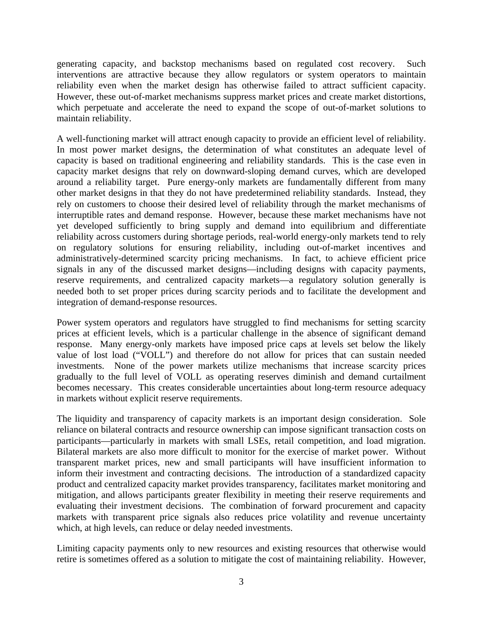generating capacity, and backstop mechanisms based on regulated cost recovery. Such interventions are attractive because they allow regulators or system operators to maintain reliability even when the market design has otherwise failed to attract sufficient capacity. However, these out-of-market mechanisms suppress market prices and create market distortions, which perpetuate and accelerate the need to expand the scope of out-of-market solutions to maintain reliability.

A well-functioning market will attract enough capacity to provide an efficient level of reliability. In most power market designs, the determination of what constitutes an adequate level of capacity is based on traditional engineering and reliability standards. This is the case even in capacity market designs that rely on downward-sloping demand curves, which are developed around a reliability target. Pure energy-only markets are fundamentally different from many other market designs in that they do not have predetermined reliability standards. Instead, they rely on customers to choose their desired level of reliability through the market mechanisms of interruptible rates and demand response. However, because these market mechanisms have not yet developed sufficiently to bring supply and demand into equilibrium and differentiate reliability across customers during shortage periods, real-world energy-only markets tend to rely on regulatory solutions for ensuring reliability, including out-of-market incentives and administratively-determined scarcity pricing mechanisms. In fact, to achieve efficient price signals in any of the discussed market designs—including designs with capacity payments, reserve requirements, and centralized capacity markets—a regulatory solution generally is needed both to set proper prices during scarcity periods and to facilitate the development and integration of demand-response resources.

Power system operators and regulators have struggled to find mechanisms for setting scarcity prices at efficient levels, which is a particular challenge in the absence of significant demand response. Many energy-only markets have imposed price caps at levels set below the likely value of lost load ("VOLL") and therefore do not allow for prices that can sustain needed investments. None of the power markets utilize mechanisms that increase scarcity prices gradually to the full level of VOLL as operating reserves diminish and demand curtailment becomes necessary. This creates considerable uncertainties about long-term resource adequacy in markets without explicit reserve requirements.

The liquidity and transparency of capacity markets is an important design consideration. Sole reliance on bilateral contracts and resource ownership can impose significant transaction costs on participants—particularly in markets with small LSEs, retail competition, and load migration. Bilateral markets are also more difficult to monitor for the exercise of market power. Without transparent market prices, new and small participants will have insufficient information to inform their investment and contracting decisions. The introduction of a standardized capacity product and centralized capacity market provides transparency, facilitates market monitoring and mitigation, and allows participants greater flexibility in meeting their reserve requirements and evaluating their investment decisions. The combination of forward procurement and capacity markets with transparent price signals also reduces price volatility and revenue uncertainty which, at high levels, can reduce or delay needed investments.

Limiting capacity payments only to new resources and existing resources that otherwise would retire is sometimes offered as a solution to mitigate the cost of maintaining reliability. However,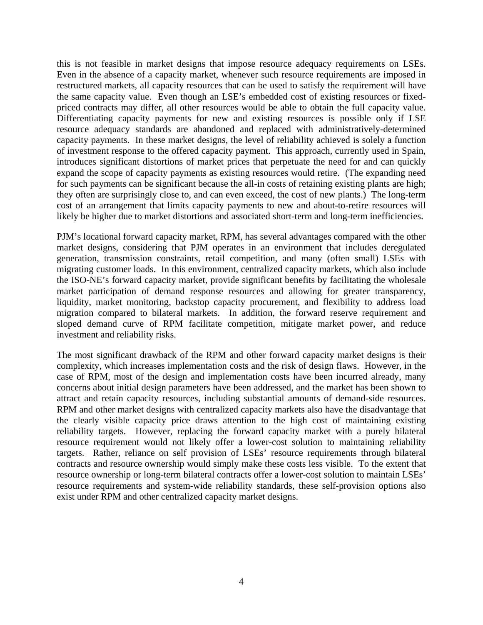this is not feasible in market designs that impose resource adequacy requirements on LSEs. Even in the absence of a capacity market, whenever such resource requirements are imposed in restructured markets, all capacity resources that can be used to satisfy the requirement will have the same capacity value. Even though an LSE's embedded cost of existing resources or fixedpriced contracts may differ, all other resources would be able to obtain the full capacity value. Differentiating capacity payments for new and existing resources is possible only if LSE resource adequacy standards are abandoned and replaced with administratively-determined capacity payments. In these market designs, the level of reliability achieved is solely a function of investment response to the offered capacity payment. This approach, currently used in Spain, introduces significant distortions of market prices that perpetuate the need for and can quickly expand the scope of capacity payments as existing resources would retire. (The expanding need for such payments can be significant because the all-in costs of retaining existing plants are high; they often are surprisingly close to, and can even exceed, the cost of new plants.) The long-term cost of an arrangement that limits capacity payments to new and about-to-retire resources will likely be higher due to market distortions and associated short-term and long-term inefficiencies.

PJM's locational forward capacity market, RPM, has several advantages compared with the other market designs, considering that PJM operates in an environment that includes deregulated generation, transmission constraints, retail competition, and many (often small) LSEs with migrating customer loads. In this environment, centralized capacity markets, which also include the ISO-NE's forward capacity market, provide significant benefits by facilitating the wholesale market participation of demand response resources and allowing for greater transparency, liquidity, market monitoring, backstop capacity procurement, and flexibility to address load migration compared to bilateral markets. In addition, the forward reserve requirement and sloped demand curve of RPM facilitate competition, mitigate market power, and reduce investment and reliability risks.

The most significant drawback of the RPM and other forward capacity market designs is their complexity, which increases implementation costs and the risk of design flaws. However, in the case of RPM, most of the design and implementation costs have been incurred already, many concerns about initial design parameters have been addressed, and the market has been shown to attract and retain capacity resources, including substantial amounts of demand-side resources. RPM and other market designs with centralized capacity markets also have the disadvantage that the clearly visible capacity price draws attention to the high cost of maintaining existing reliability targets. However, replacing the forward capacity market with a purely bilateral resource requirement would not likely offer a lower-cost solution to maintaining reliability targets. Rather, reliance on self provision of LSEs' resource requirements through bilateral contracts and resource ownership would simply make these costs less visible. To the extent that resource ownership or long-term bilateral contracts offer a lower-cost solution to maintain LSEs' resource requirements and system-wide reliability standards, these self-provision options also exist under RPM and other centralized capacity market designs.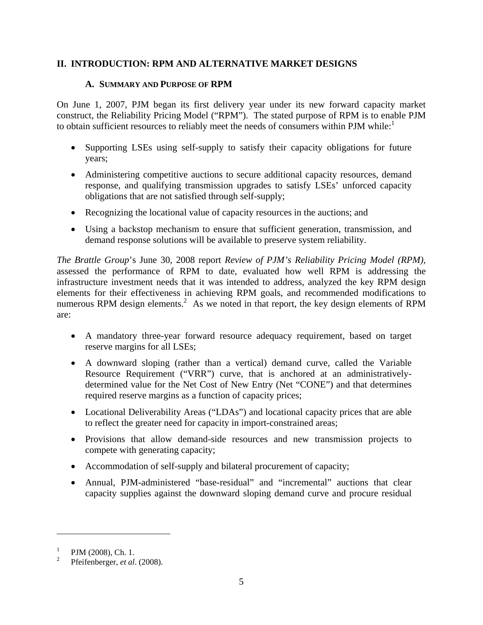# **II. INTRODUCTION: RPM AND ALTERNATIVE MARKET DESIGNS**

# **A. SUMMARY AND PURPOSE OF RPM**

On June 1, 2007, PJM began its first delivery year under its new forward capacity market construct, the Reliability Pricing Model ("RPM"). The stated purpose of RPM is to enable PJM to obtain sufficient resources to reliably meet the needs of consumers within PJM while:<sup>1</sup>

- Supporting LSEs using self-supply to satisfy their capacity obligations for future years;
- Administering competitive auctions to secure additional capacity resources, demand response, and qualifying transmission upgrades to satisfy LSEs' unforced capacity obligations that are not satisfied through self-supply;
- Recognizing the locational value of capacity resources in the auctions; and
- Using a backstop mechanism to ensure that sufficient generation, transmission, and demand response solutions will be available to preserve system reliability.

*The Brattle Group*'s June 30, 2008 report *Review of PJM's Reliability Pricing Model (RPM),* assessed the performance of RPM to date, evaluated how well RPM is addressing the infrastructure investment needs that it was intended to address, analyzed the key RPM design elements for their effectiveness in achieving RPM goals, and recommended modifications to numerous RPM design elements.<sup>2</sup> As we noted in that report, the key design elements of RPM are:

- A mandatory three-year forward resource adequacy requirement, based on target reserve margins for all LSEs;
- A downward sloping (rather than a vertical) demand curve, called the Variable Resource Requirement ("VRR") curve, that is anchored at an administrativelydetermined value for the Net Cost of New Entry (Net "CONE") and that determines required reserve margins as a function of capacity prices;
- Locational Deliverability Areas ("LDAs") and locational capacity prices that are able to reflect the greater need for capacity in import-constrained areas;
- Provisions that allow demand-side resources and new transmission projects to compete with generating capacity;
- Accommodation of self-supply and bilateral procurement of capacity;
- Annual, PJM-administered "base-residual" and "incremental" auctions that clear capacity supplies against the downward sloping demand curve and procure residual

<sup>1</sup> PJM (2008), Ch. 1.

<sup>2</sup> Pfeifenberger, *et al*. (2008).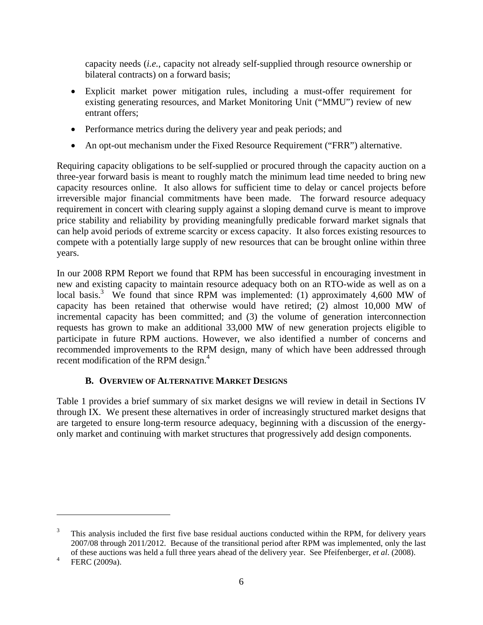capacity needs (*i.e.*, capacity not already self-supplied through resource ownership or bilateral contracts) on a forward basis;

- Explicit market power mitigation rules, including a must-offer requirement for existing generating resources, and Market Monitoring Unit ("MMU") review of new entrant offers;
- Performance metrics during the delivery year and peak periods; and
- An opt-out mechanism under the Fixed Resource Requirement ("FRR") alternative.

Requiring capacity obligations to be self-supplied or procured through the capacity auction on a three-year forward basis is meant to roughly match the minimum lead time needed to bring new capacity resources online. It also allows for sufficient time to delay or cancel projects before irreversible major financial commitments have been made. The forward resource adequacy requirement in concert with clearing supply against a sloping demand curve is meant to improve price stability and reliability by providing meaningfully predicable forward market signals that can help avoid periods of extreme scarcity or excess capacity. It also forces existing resources to compete with a potentially large supply of new resources that can be brought online within three years.

In our 2008 RPM Report we found that RPM has been successful in encouraging investment in new and existing capacity to maintain resource adequacy both on an RTO-wide as well as on a local basis.<sup>3</sup> We found that since RPM was implemented: (1) approximately 4,600 MW of capacity has been retained that otherwise would have retired; (2) almost 10,000 MW of incremental capacity has been committed; and (3) the volume of generation interconnection requests has grown to make an additional 33,000 MW of new generation projects eligible to participate in future RPM auctions. However, we also identified a number of concerns and recommended improvements to the RPM design, many of which have been addressed through recent modification of the RPM design.<sup>4</sup>

#### **B. OVERVIEW OF ALTERNATIVE MARKET DESIGNS**

Table 1 provides a brief summary of six market designs we will review in detail in Sections IV through IX. We present these alternatives in order of increasingly structured market designs that are targeted to ensure long-term resource adequacy, beginning with a discussion of the energyonly market and continuing with market structures that progressively add design components.

<sup>3</sup> This analysis included the first five base residual auctions conducted within the RPM, for delivery years 2007/08 through 2011/2012. Because of the transitional period after RPM was implemented, only the last of these auctions was held a full three years ahead of the delivery year. See Pfeifenberger, *et al*. (2008).

<sup>4</sup> FERC (2009a).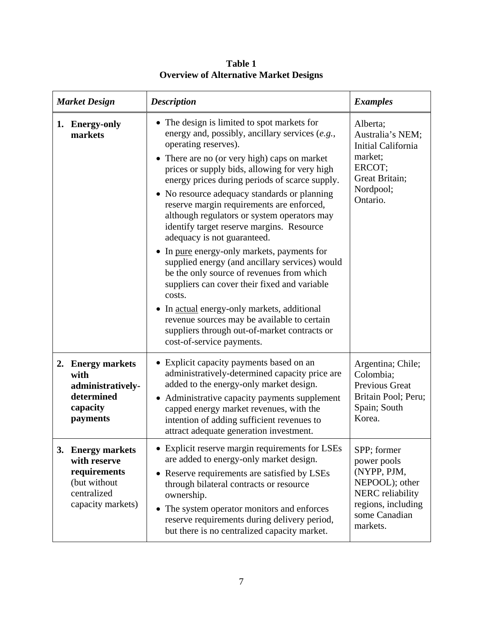| <b>Market Design</b> |                                                                                                       | <b>Description</b>                                                                                                                                                                                                                                                                                                                                                                                                                                                                                                                                                                                                                                                                                                                                                                                                                                                                   | <b>Examples</b>                                                                                                                    |
|----------------------|-------------------------------------------------------------------------------------------------------|--------------------------------------------------------------------------------------------------------------------------------------------------------------------------------------------------------------------------------------------------------------------------------------------------------------------------------------------------------------------------------------------------------------------------------------------------------------------------------------------------------------------------------------------------------------------------------------------------------------------------------------------------------------------------------------------------------------------------------------------------------------------------------------------------------------------------------------------------------------------------------------|------------------------------------------------------------------------------------------------------------------------------------|
|                      | 1. Energy-only<br>markets                                                                             | • The design is limited to spot markets for<br>energy and, possibly, ancillary services (e.g.,<br>operating reserves).<br>• There are no (or very high) caps on market<br>prices or supply bids, allowing for very high<br>energy prices during periods of scarce supply.<br>• No resource adequacy standards or planning<br>reserve margin requirements are enforced,<br>although regulators or system operators may<br>identify target reserve margins. Resource<br>adequacy is not guaranteed.<br>• In pure energy-only markets, payments for<br>supplied energy (and ancillary services) would<br>be the only source of revenues from which<br>suppliers can cover their fixed and variable<br>costs.<br>• In actual energy-only markets, additional<br>revenue sources may be available to certain<br>suppliers through out-of-market contracts or<br>cost-of-service payments. | Alberta;<br>Australia's NEM;<br>Initial California<br>market;<br>ERCOT;<br>Great Britain;<br>Nordpool;<br>Ontario.                 |
|                      | 2. Energy markets<br>with<br>administratively-<br>determined<br>capacity<br>payments                  | • Explicit capacity payments based on an<br>administratively-determined capacity price are<br>added to the energy-only market design.<br>• Administrative capacity payments supplement<br>capped energy market revenues, with the<br>intention of adding sufficient revenues to<br>attract adequate generation investment.                                                                                                                                                                                                                                                                                                                                                                                                                                                                                                                                                           | Argentina; Chile;<br>Colombia;<br>Previous Great<br>Britain Pool; Peru;<br>Spain; South<br>Korea.                                  |
|                      | 3. Energy markets<br>with reserve<br>requirements<br>(but without<br>centralized<br>capacity markets) | • Explicit reserve margin requirements for LSEs<br>are added to energy-only market design.<br>• Reserve requirements are satisfied by LSEs<br>through bilateral contracts or resource<br>ownership.<br>• The system operator monitors and enforces<br>reserve requirements during delivery period,<br>but there is no centralized capacity market.                                                                                                                                                                                                                                                                                                                                                                                                                                                                                                                                   | SPP; former<br>power pools<br>(NYPP, PJM,<br>NEPOOL); other<br>NERC reliability<br>regions, including<br>some Canadian<br>markets. |

**Table 1 Overview of Alternative Market Designs**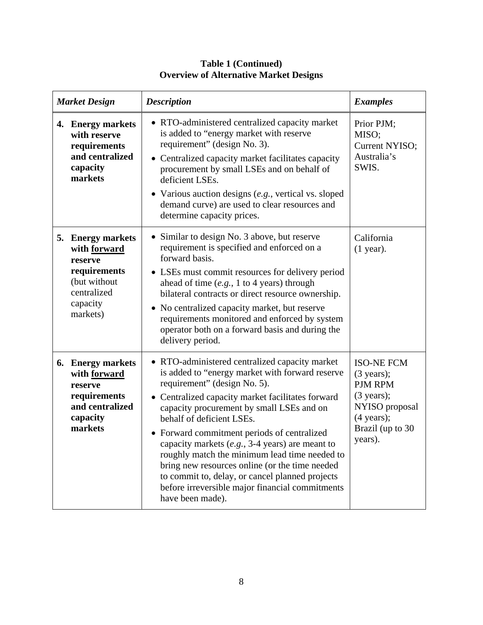| <b>Market Design</b> |                                                                                                                     | <b>Description</b>                                                                                                                                                                                                                                                                                                                                                                                                                                                                                                                                                                                      | <b>Examples</b>                                                                                                                                         |
|----------------------|---------------------------------------------------------------------------------------------------------------------|---------------------------------------------------------------------------------------------------------------------------------------------------------------------------------------------------------------------------------------------------------------------------------------------------------------------------------------------------------------------------------------------------------------------------------------------------------------------------------------------------------------------------------------------------------------------------------------------------------|---------------------------------------------------------------------------------------------------------------------------------------------------------|
|                      | 4. Energy markets<br>with reserve<br>requirements<br>and centralized<br>capacity<br>markets                         | • RTO-administered centralized capacity market<br>is added to "energy market with reserve<br>requirement" (design No. 3).<br>• Centralized capacity market facilitates capacity<br>procurement by small LSEs and on behalf of<br>deficient LSEs.<br>• Various auction designs $(e.g.,$ vertical vs. sloped<br>demand curve) are used to clear resources and<br>determine capacity prices.                                                                                                                                                                                                               | Prior PJM;<br>MISO;<br>Current NYISO;<br>Australia's<br>SWIS.                                                                                           |
|                      | 5. Energy markets<br>with forward<br>reserve<br>requirements<br>(but without<br>centralized<br>capacity<br>markets) | • Similar to design No. 3 above, but reserve<br>requirement is specified and enforced on a<br>forward basis.<br>• LSEs must commit resources for delivery period<br>ahead of time $(e.g., 1 to 4 years)$ through<br>bilateral contracts or direct resource ownership.<br>• No centralized capacity market, but reserve<br>requirements monitored and enforced by system<br>operator both on a forward basis and during the<br>delivery period.                                                                                                                                                          | California<br>$(1$ year).                                                                                                                               |
|                      | 6. Energy markets<br>with forward<br>reserve<br>requirements<br>and centralized<br>capacity<br>markets              | • RTO-administered centralized capacity market<br>is added to "energy market with forward reserve<br>requirement" (design No. 5).<br>Centralized capacity market facilitates forward<br>capacity procurement by small LSEs and on<br>behalf of deficient LSEs.<br>• Forward commitment periods of centralized<br>capacity markets $(e.g., 3-4 \text{ years})$ are meant to<br>roughly match the minimum lead time needed to<br>bring new resources online (or the time needed<br>to commit to, delay, or cancel planned projects<br>before irreversible major financial commitments<br>have been made). | <b>ISO-NE FCM</b><br>$(3 \text{ years})$ ;<br>PJM RPM<br>$(3 \text{ years})$ ;<br>NYISO proposal<br>$(4 \text{ years});$<br>Brazil (up to 30<br>years). |

# **Table 1 (Continued) Overview of Alternative Market Designs**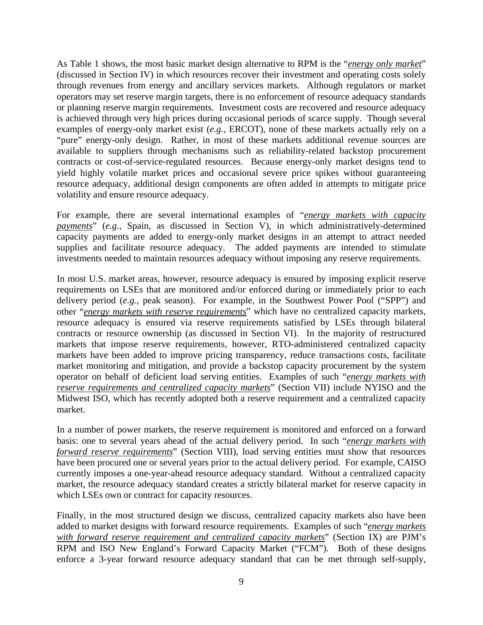As Table 1 shows, the most basic market design alternative to RPM is the "*energy only market*" (discussed in Section IV) in which resources recover their investment and operating costs solely through revenues from energy and ancillary services markets. Although regulators or market operators may set reserve margin targets, there is no enforcement of resource adequacy standards or planning reserve margin requirements. Investment costs are recovered and resource adequacy is achieved through very high prices during occasional periods of scarce supply. Though several examples of energy-only market exist (*e.g.*, ERCOT), none of these markets actually rely on a "pure" energy-only design. Rather, in most of these markets additional revenue sources are available to suppliers through mechanisms such as reliability-related backstop procurement contracts or cost-of-service-regulated resources. Because energy-only market designs tend to yield highly volatile market prices and occasional severe price spikes without guaranteeing resource adequacy, additional design components are often added in attempts to mitigate price volatility and ensure resource adequacy.

For example, there are several international examples of "*energy markets with capacity payments*" (*e.g.*, Spain, as discussed in Section V), in which administratively-determined capacity payments are added to energy-only market designs in an attempt to attract needed supplies and facilitate resource adequacy. The added payments are intended to stimulate investments needed to maintain resources adequacy without imposing any reserve requirements.

In most U.S. market areas, however, resource adequacy is ensured by imposing explicit reserve requirements on LSEs that are monitored and/or enforced during or immediately prior to each delivery period (*e.g.*, peak season). For example, in the Southwest Power Pool ("SPP") and other "*energy markets with reserve requirements*" which have no centralized capacity markets, resource adequacy is ensured via reserve requirements satisfied by LSEs through bilateral contracts or resource ownership (as discussed in Section VI). In the majority of restructured markets that impose reserve requirements, however, RTO-administered centralized capacity markets have been added to improve pricing transparency, reduce transactions costs, facilitate market monitoring and mitigation, and provide a backstop capacity procurement by the system operator on behalf of deficient load serving entities. Examples of such "*energy markets with reserve requirements and centralized capacity markets*" (Section VII) include NYISO and the Midwest ISO, which has recently adopted both a reserve requirement and a centralized capacity market.

In a number of power markets, the reserve requirement is monitored and enforced on a forward basis: one to several years ahead of the actual delivery period. In such "*energy markets with forward reserve requirements*" (Section VIII), load serving entities must show that resources have been procured one or several years prior to the actual delivery period. For example, CAISO currently imposes a one-year-ahead resource adequacy standard. Without a centralized capacity market, the resource adequacy standard creates a strictly bilateral market for reserve capacity in which LSEs own or contract for capacity resources.

Finally, in the most structured design we discuss, centralized capacity markets also have been added to market designs with forward resource requirements. Examples of such "*energy markets with forward reserve requirement and centralized capacity markets*" (Section IX) are PJM's RPM and ISO New England's Forward Capacity Market ("FCM"). Both of these designs enforce a 3-year forward resource adequacy standard that can be met through self-supply,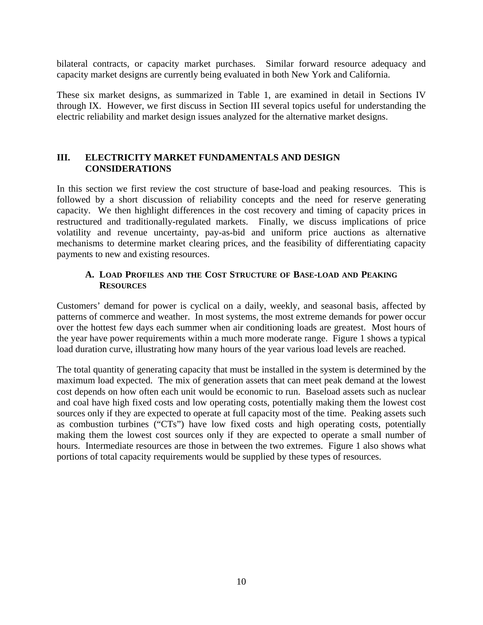bilateral contracts, or capacity market purchases. Similar forward resource adequacy and capacity market designs are currently being evaluated in both New York and California.

These six market designs, as summarized in Table 1, are examined in detail in Sections IV through IX. However, we first discuss in Section III several topics useful for understanding the electric reliability and market design issues analyzed for the alternative market designs.

# **III. ELECTRICITY MARKET FUNDAMENTALS AND DESIGN CONSIDERATIONS**

In this section we first review the cost structure of base-load and peaking resources. This is followed by a short discussion of reliability concepts and the need for reserve generating capacity. We then highlight differences in the cost recovery and timing of capacity prices in restructured and traditionally-regulated markets. Finally, we discuss implications of price volatility and revenue uncertainty, pay-as-bid and uniform price auctions as alternative mechanisms to determine market clearing prices, and the feasibility of differentiating capacity payments to new and existing resources.

# **A. LOAD PROFILES AND THE COST STRUCTURE OF BASE-LOAD AND PEAKING RESOURCES**

Customers' demand for power is cyclical on a daily, weekly, and seasonal basis, affected by patterns of commerce and weather. In most systems, the most extreme demands for power occur over the hottest few days each summer when air conditioning loads are greatest. Most hours of the year have power requirements within a much more moderate range. Figure 1 shows a typical load duration curve, illustrating how many hours of the year various load levels are reached.

The total quantity of generating capacity that must be installed in the system is determined by the maximum load expected. The mix of generation assets that can meet peak demand at the lowest cost depends on how often each unit would be economic to run. Baseload assets such as nuclear and coal have high fixed costs and low operating costs, potentially making them the lowest cost sources only if they are expected to operate at full capacity most of the time. Peaking assets such as combustion turbines ("CTs") have low fixed costs and high operating costs, potentially making them the lowest cost sources only if they are expected to operate a small number of hours. Intermediate resources are those in between the two extremes. Figure 1 also shows what portions of total capacity requirements would be supplied by these types of resources.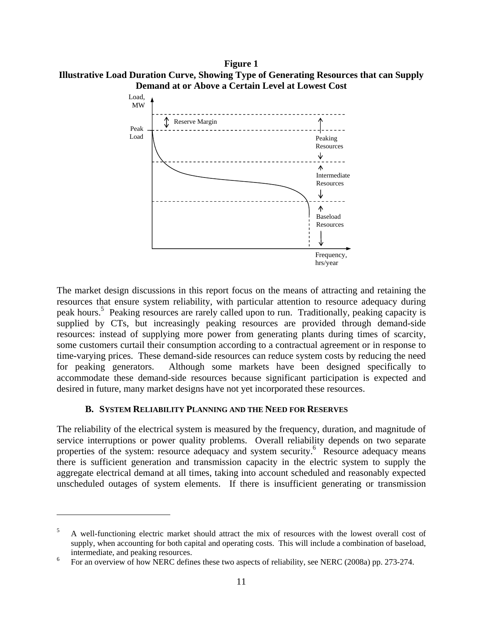**Figure 1 Illustrative Load Duration Curve, Showing Type of Generating Resources that can Supply Demand at or Above a Certain Level at Lowest Cost** 



The market design discussions in this report focus on the means of attracting and retaining the resources that ensure system reliability, with particular attention to resource adequacy during peak hours.<sup>5</sup> Peaking resources are rarely called upon to run. Traditionally, peaking capacity is supplied by CTs, but increasingly peaking resources are provided through demand-side resources: instead of supplying more power from generating plants during times of scarcity, some customers curtail their consumption according to a contractual agreement or in response to time-varying prices. These demand-side resources can reduce system costs by reducing the need for peaking generators. Although some markets have been designed specifically to accommodate these demand-side resources because significant participation is expected and desired in future, many market designs have not yet incorporated these resources.

#### **B. SYSTEM RELIABILITY PLANNING AND THE NEED FOR RESERVES**

 $\overline{a}$ 

The reliability of the electrical system is measured by the frequency, duration, and magnitude of service interruptions or power quality problems. Overall reliability depends on two separate properties of the system: resource adequacy and system security.<sup>6</sup> Resource adequacy means there is sufficient generation and transmission capacity in the electric system to supply the aggregate electrical demand at all times, taking into account scheduled and reasonably expected unscheduled outages of system elements. If there is insufficient generating or transmission

<sup>5</sup> A well-functioning electric market should attract the mix of resources with the lowest overall cost of supply, when accounting for both capital and operating costs. This will include a combination of baseload, intermediate, and peaking resources.

<sup>6</sup> For an overview of how NERC defines these two aspects of reliability, see NERC (2008a) pp. 273-274.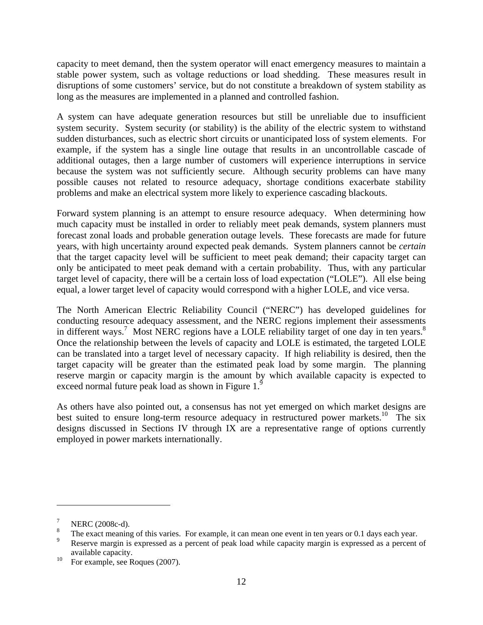capacity to meet demand, then the system operator will enact emergency measures to maintain a stable power system, such as voltage reductions or load shedding. These measures result in disruptions of some customers' service, but do not constitute a breakdown of system stability as long as the measures are implemented in a planned and controlled fashion.

A system can have adequate generation resources but still be unreliable due to insufficient system security. System security (or stability) is the ability of the electric system to withstand sudden disturbances, such as electric short circuits or unanticipated loss of system elements. For example, if the system has a single line outage that results in an uncontrollable cascade of additional outages, then a large number of customers will experience interruptions in service because the system was not sufficiently secure. Although security problems can have many possible causes not related to resource adequacy, shortage conditions exacerbate stability problems and make an electrical system more likely to experience cascading blackouts.

Forward system planning is an attempt to ensure resource adequacy. When determining how much capacity must be installed in order to reliably meet peak demands, system planners must forecast zonal loads and probable generation outage levels. These forecasts are made for future years, with high uncertainty around expected peak demands. System planners cannot be *certain* that the target capacity level will be sufficient to meet peak demand; their capacity target can only be anticipated to meet peak demand with a certain probability. Thus, with any particular target level of capacity, there will be a certain loss of load expectation ("LOLE"). All else being equal, a lower target level of capacity would correspond with a higher LOLE, and vice versa.

The North American Electric Reliability Council ("NERC") has developed guidelines for conducting resource adequacy assessment, and the NERC regions implement their assessments in different ways.<sup>7</sup> Most NERC regions have a LOLE reliability target of one day in ten years.<sup>8</sup> Once the relationship between the levels of capacity and LOLE is estimated, the targeted LOLE can be translated into a target level of necessary capacity. If high reliability is desired, then the target capacity will be greater than the estimated peak load by some margin. The planning reserve margin or capacity margin is the amount by which available capacity is expected to exceed normal future peak load as shown in Figure  $1<sup>9</sup>$ 

As others have also pointed out, a consensus has not yet emerged on which market designs are best suited to ensure long-term resource adequacy in restructured power markets.<sup>10</sup> The six designs discussed in Sections IV through IX are a representative range of options currently employed in power markets internationally.

<u>.</u>

<sup>7</sup> NERC (2008c-d).

<sup>8</sup> The exact meaning of this varies. For example, it can mean one event in ten years or 0.1 days each year.

<sup>9</sup> Reserve margin is expressed as a percent of peak load while capacity margin is expressed as a percent of available capacity.

 $10\quad$  For example, see Roques (2007).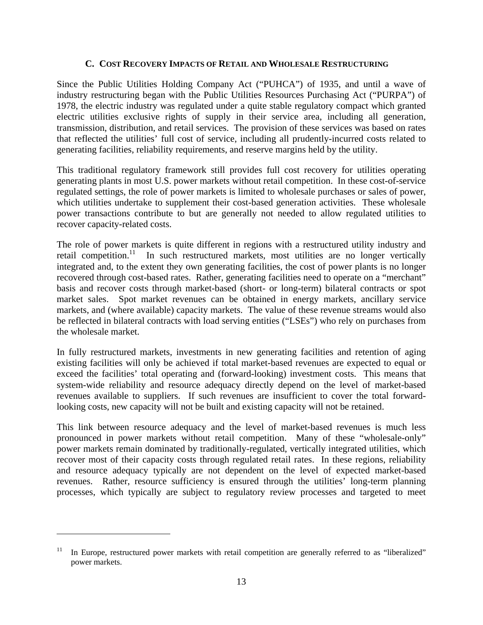## **C. COST RECOVERY IMPACTS OF RETAIL AND WHOLESALE RESTRUCTURING**

Since the Public Utilities Holding Company Act ("PUHCA") of 1935, and until a wave of industry restructuring began with the Public Utilities Resources Purchasing Act ("PURPA") of 1978, the electric industry was regulated under a quite stable regulatory compact which granted electric utilities exclusive rights of supply in their service area, including all generation, transmission, distribution, and retail services. The provision of these services was based on rates that reflected the utilities' full cost of service, including all prudently-incurred costs related to generating facilities, reliability requirements, and reserve margins held by the utility.

This traditional regulatory framework still provides full cost recovery for utilities operating generating plants in most U.S. power markets without retail competition. In these cost-of-service regulated settings, the role of power markets is limited to wholesale purchases or sales of power, which utilities undertake to supplement their cost-based generation activities. These wholesale power transactions contribute to but are generally not needed to allow regulated utilities to recover capacity-related costs.

The role of power markets is quite different in regions with a restructured utility industry and retail competition.<sup>11</sup> In such restructured markets, most utilities are no longer vertically integrated and, to the extent they own generating facilities, the cost of power plants is no longer recovered through cost-based rates. Rather, generating facilities need to operate on a "merchant" basis and recover costs through market-based (short- or long-term) bilateral contracts or spot market sales. Spot market revenues can be obtained in energy markets, ancillary service markets, and (where available) capacity markets. The value of these revenue streams would also be reflected in bilateral contracts with load serving entities ("LSEs") who rely on purchases from the wholesale market.

In fully restructured markets, investments in new generating facilities and retention of aging existing facilities will only be achieved if total market-based revenues are expected to equal or exceed the facilities' total operating and (forward-looking) investment costs. This means that system-wide reliability and resource adequacy directly depend on the level of market-based revenues available to suppliers. If such revenues are insufficient to cover the total forwardlooking costs, new capacity will not be built and existing capacity will not be retained.

This link between resource adequacy and the level of market-based revenues is much less pronounced in power markets without retail competition. Many of these "wholesale-only" power markets remain dominated by traditionally-regulated, vertically integrated utilities, which recover most of their capacity costs through regulated retail rates. In these regions, reliability and resource adequacy typically are not dependent on the level of expected market-based revenues. Rather, resource sufficiency is ensured through the utilities' long-term planning processes, which typically are subject to regulatory review processes and targeted to meet

<sup>11</sup> In Europe, restructured power markets with retail competition are generally referred to as "liberalized" power markets.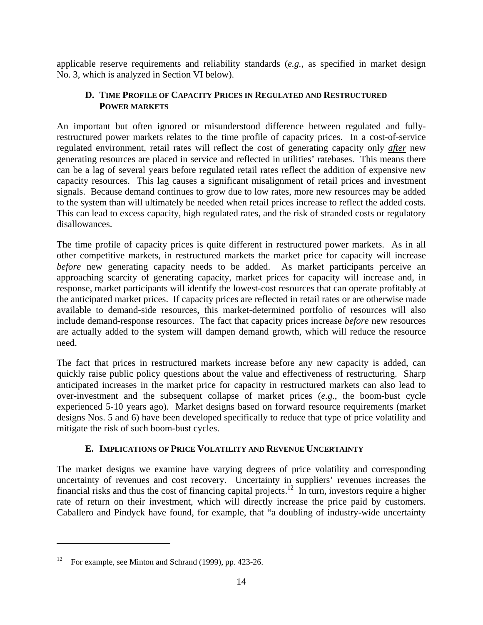applicable reserve requirements and reliability standards (*e.g.*, as specified in market design No. 3, which is analyzed in Section VI below).

# **D. TIME PROFILE OF CAPACITY PRICES IN REGULATED AND RESTRUCTURED POWER MARKETS**

An important but often ignored or misunderstood difference between regulated and fullyrestructured power markets relates to the time profile of capacity prices. In a cost-of-service regulated environment, retail rates will reflect the cost of generating capacity only *after* new generating resources are placed in service and reflected in utilities' ratebases. This means there can be a lag of several years before regulated retail rates reflect the addition of expensive new capacity resources. This lag causes a significant misalignment of retail prices and investment signals. Because demand continues to grow due to low rates, more new resources may be added to the system than will ultimately be needed when retail prices increase to reflect the added costs. This can lead to excess capacity, high regulated rates, and the risk of stranded costs or regulatory disallowances.

The time profile of capacity prices is quite different in restructured power markets. As in all other competitive markets, in restructured markets the market price for capacity will increase *before* new generating capacity needs to be added. As market participants perceive an approaching scarcity of generating capacity, market prices for capacity will increase and, in response, market participants will identify the lowest-cost resources that can operate profitably at the anticipated market prices. If capacity prices are reflected in retail rates or are otherwise made available to demand-side resources, this market-determined portfolio of resources will also include demand-response resources. The fact that capacity prices increase *before* new resources are actually added to the system will dampen demand growth, which will reduce the resource need.

The fact that prices in restructured markets increase before any new capacity is added, can quickly raise public policy questions about the value and effectiveness of restructuring. Sharp anticipated increases in the market price for capacity in restructured markets can also lead to over-investment and the subsequent collapse of market prices (*e.g.*, the boom-bust cycle experienced 5-10 years ago). Market designs based on forward resource requirements (market designs Nos. 5 and 6) have been developed specifically to reduce that type of price volatility and mitigate the risk of such boom-bust cycles.

# **E. IMPLICATIONS OF PRICE VOLATILITY AND REVENUE UNCERTAINTY**

The market designs we examine have varying degrees of price volatility and corresponding uncertainty of revenues and cost recovery. Uncertainty in suppliers' revenues increases the financial risks and thus the cost of financing capital projects.<sup>12</sup> In turn, investors require a higher rate of return on their investment, which will directly increase the price paid by customers. Caballero and Pindyck have found, for example, that "a doubling of industry-wide uncertainty

<sup>&</sup>lt;sup>12</sup> For example, see Minton and Schrand (1999), pp. 423-26.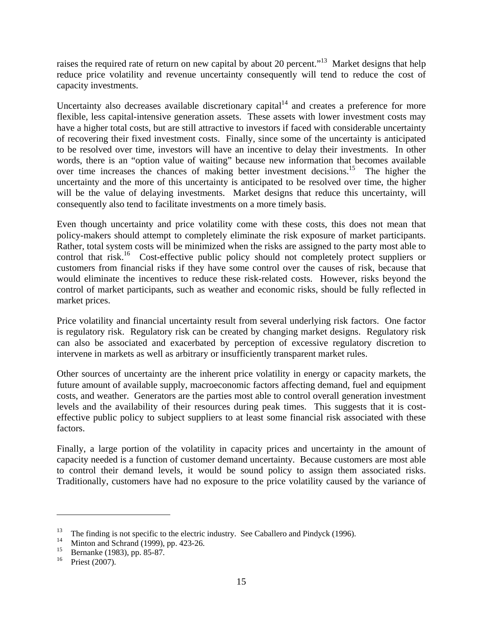raises the required rate of return on new capital by about 20 percent."<sup>13</sup> Market designs that help reduce price volatility and revenue uncertainty consequently will tend to reduce the cost of capacity investments.

Uncertainty also decreases available discretionary capital $14$  and creates a preference for more flexible, less capital-intensive generation assets. These assets with lower investment costs may have a higher total costs, but are still attractive to investors if faced with considerable uncertainty of recovering their fixed investment costs. Finally, since some of the uncertainty is anticipated to be resolved over time, investors will have an incentive to delay their investments. In other words, there is an "option value of waiting" because new information that becomes available over time increases the chances of making better investment decisions.<sup>15</sup> The higher the uncertainty and the more of this uncertainty is anticipated to be resolved over time, the higher will be the value of delaying investments. Market designs that reduce this uncertainty, will consequently also tend to facilitate investments on a more timely basis.

Even though uncertainty and price volatility come with these costs, this does not mean that policy-makers should attempt to completely eliminate the risk exposure of market participants. Rather, total system costs will be minimized when the risks are assigned to the party most able to control that risk.<sup>16</sup> Cost-effective public policy should not completely protect suppliers or customers from financial risks if they have some control over the causes of risk, because that would eliminate the incentives to reduce these risk-related costs. However, risks beyond the control of market participants, such as weather and economic risks, should be fully reflected in market prices.

Price volatility and financial uncertainty result from several underlying risk factors. One factor is regulatory risk. Regulatory risk can be created by changing market designs. Regulatory risk can also be associated and exacerbated by perception of excessive regulatory discretion to intervene in markets as well as arbitrary or insufficiently transparent market rules.

Other sources of uncertainty are the inherent price volatility in energy or capacity markets, the future amount of available supply, macroeconomic factors affecting demand, fuel and equipment costs, and weather. Generators are the parties most able to control overall generation investment levels and the availability of their resources during peak times. This suggests that it is costeffective public policy to subject suppliers to at least some financial risk associated with these factors.

Finally, a large portion of the volatility in capacity prices and uncertainty in the amount of capacity needed is a function of customer demand uncertainty. Because customers are most able to control their demand levels, it would be sound policy to assign them associated risks. Traditionally, customers have had no exposure to the price volatility caused by the variance of

<sup>&</sup>lt;sup>13</sup> The finding is not specific to the electric industry. See Caballero and Pindyck (1996).

Minton and Schrand (1999), pp. 423-26.

<sup>&</sup>lt;sup>15</sup> Bernanke (1983), pp. 85-87.<br><sup>16</sup> Briggt (2007)

Priest (2007).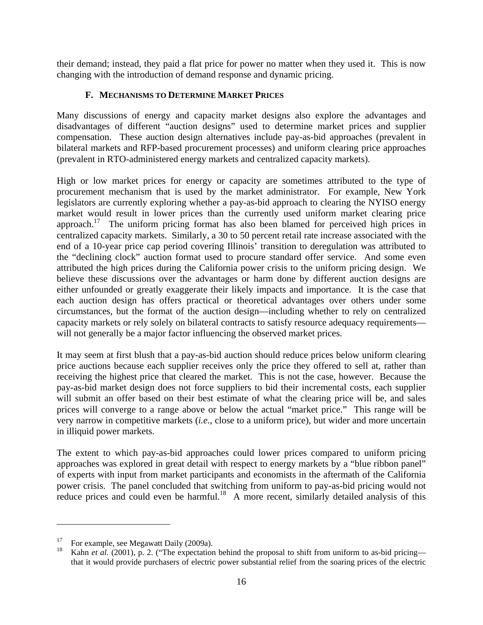their demand; instead, they paid a flat price for power no matter when they used it. This is now changing with the introduction of demand response and dynamic pricing.

#### **F. MECHANISMS TO DETERMINE MARKET PRICES**

Many discussions of energy and capacity market designs also explore the advantages and disadvantages of different "auction designs" used to determine market prices and supplier compensation. These auction design alternatives include pay-as-bid approaches (prevalent in bilateral markets and RFP-based procurement processes) and uniform clearing price approaches (prevalent in RTO-administered energy markets and centralized capacity markets).

High or low market prices for energy or capacity are sometimes attributed to the type of procurement mechanism that is used by the market administrator. For example, New York legislators are currently exploring whether a pay-as-bid approach to clearing the NYISO energy market would result in lower prices than the currently used uniform market clearing price approach.<sup>17</sup> The uniform pricing format has also been blamed for perceived high prices in centralized capacity markets. Similarly, a 30 to 50 percent retail rate increase associated with the end of a 10-year price cap period covering Illinois' transition to deregulation was attributed to the "declining clock" auction format used to procure standard offer service. And some even attributed the high prices during the California power crisis to the uniform pricing design. We believe these discussions over the advantages or harm done by different auction designs are either unfounded or greatly exaggerate their likely impacts and importance. It is the case that each auction design has offers practical or theoretical advantages over others under some circumstances, but the format of the auction design—including whether to rely on centralized capacity markets or rely solely on bilateral contracts to satisfy resource adequacy requirements will not generally be a major factor influencing the observed market prices.

It may seem at first blush that a pay-as-bid auction should reduce prices below uniform clearing price auctions because each supplier receives only the price they offered to sell at, rather than receiving the highest price that cleared the market. This is not the case, however. Because the pay-as-bid market design does not force suppliers to bid their incremental costs, each supplier will submit an offer based on their best estimate of what the clearing price will be, and sales prices will converge to a range above or below the actual "market price." This range will be very narrow in competitive markets (*i.e.*, close to a uniform price), but wider and more uncertain in illiquid power markets.

The extent to which pay-as-bid approaches could lower prices compared to uniform pricing approaches was explored in great detail with respect to energy markets by a "blue ribbon panel" of experts with input from market participants and economists in the aftermath of the California power crisis. The panel concluded that switching from uniform to pay-as-bid pricing would not reduce prices and could even be harmful.<sup>18</sup> A more recent, similarly detailed analysis of this

For example, see Megawatt Daily (2009a).

Kahn *et al.* (2001), p. 2. ("The expectation behind the proposal to shift from uniform to as-bid pricing that it would provide purchasers of electric power substantial relief from the soaring prices of the electric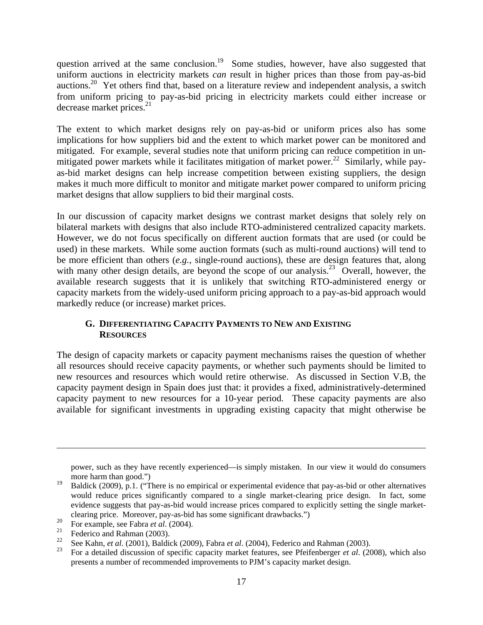question arrived at the same conclusion.<sup>19</sup> Some studies, however, have also suggested that uniform auctions in electricity markets *can* result in higher prices than those from pay-as-bid auctions.<sup>20</sup> Yet others find that, based on a literature review and independent analysis, a switch from uniform pricing to pay-as-bid pricing in electricity markets could either increase or decrease market prices. $2<sup>1</sup>$ 

The extent to which market designs rely on pay-as-bid or uniform prices also has some implications for how suppliers bid and the extent to which market power can be monitored and mitigated. For example, several studies note that uniform pricing can reduce competition in unmitigated power markets while it facilitates mitigation of market power.<sup>22</sup> Similarly, while payas-bid market designs can help increase competition between existing suppliers, the design makes it much more difficult to monitor and mitigate market power compared to uniform pricing market designs that allow suppliers to bid their marginal costs.

In our discussion of capacity market designs we contrast market designs that solely rely on bilateral markets with designs that also include RTO-administered centralized capacity markets. However, we do not focus specifically on different auction formats that are used (or could be used) in these markets. While some auction formats (such as multi-round auctions) will tend to be more efficient than others (*e.g.*, single-round auctions), these are design features that, along with many other design details, are beyond the scope of our analysis.<sup>23</sup> Overall, however, the available research suggests that it is unlikely that switching RTO-administered energy or capacity markets from the widely-used uniform pricing approach to a pay-as-bid approach would markedly reduce (or increase) market prices.

# **G. DIFFERENTIATING CAPACITY PAYMENTS TO NEW AND EXISTING RESOURCES**

The design of capacity markets or capacity payment mechanisms raises the question of whether all resources should receive capacity payments, or whether such payments should be limited to new resources and resources which would retire otherwise. As discussed in Section V.B, the capacity payment design in Spain does just that: it provides a fixed, administratively-determined capacity payment to new resources for a 10-year period. These capacity payments are also available for significant investments in upgrading existing capacity that might otherwise be

power, such as they have recently experienced—is simply mistaken. In our view it would do consumers more harm than good.")

<sup>&</sup>lt;sup>19</sup> Baldick (2009), p.1. ("There is no empirical or experimental evidence that pay-as-bid or other alternatives would reduce prices significantly compared to a single market-clearing price design. In fact, some evidence suggests that pay-as-bid would increase prices compared to explicitly setting the single marketclearing price. Moreover, pay-as-bid has some significant drawbacks.")

<sup>&</sup>lt;sup>20</sup> For example, see Fabra *et al.* (2004).

<sup>&</sup>lt;sup>21</sup> Federico and Rahman (2003).<br><sup>22</sup> See Kahn, 1t al. (2001). Paldi

<sup>22</sup> See Kahn, *et al*. (2001), Baldick (2009), Fabra *et al*. (2004), Federico and Rahman (2003).

<sup>23</sup> For a detailed discussion of specific capacity market features, see Pfeifenberger *et al*. (2008), which also presents a number of recommended improvements to PJM's capacity market design.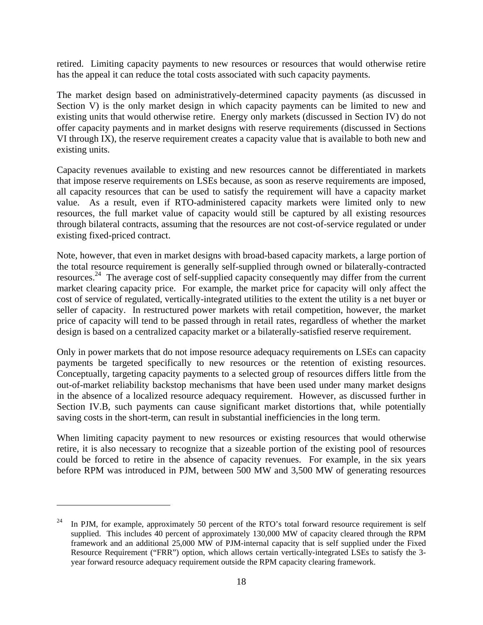retired. Limiting capacity payments to new resources or resources that would otherwise retire has the appeal it can reduce the total costs associated with such capacity payments.

The market design based on administratively-determined capacity payments (as discussed in Section V) is the only market design in which capacity payments can be limited to new and existing units that would otherwise retire. Energy only markets (discussed in Section IV) do not offer capacity payments and in market designs with reserve requirements (discussed in Sections VI through IX), the reserve requirement creates a capacity value that is available to both new and existing units.

Capacity revenues available to existing and new resources cannot be differentiated in markets that impose reserve requirements on LSEs because, as soon as reserve requirements are imposed, all capacity resources that can be used to satisfy the requirement will have a capacity market value. As a result, even if RTO-administered capacity markets were limited only to new resources, the full market value of capacity would still be captured by all existing resources through bilateral contracts, assuming that the resources are not cost-of-service regulated or under existing fixed-priced contract.

Note, however, that even in market designs with broad-based capacity markets, a large portion of the total resource requirement is generally self-supplied through owned or bilaterally-contracted resources.24 The average cost of self-supplied capacity consequently may differ from the current market clearing capacity price. For example, the market price for capacity will only affect the cost of service of regulated, vertically-integrated utilities to the extent the utility is a net buyer or seller of capacity. In restructured power markets with retail competition, however, the market price of capacity will tend to be passed through in retail rates, regardless of whether the market design is based on a centralized capacity market or a bilaterally-satisfied reserve requirement.

Only in power markets that do not impose resource adequacy requirements on LSEs can capacity payments be targeted specifically to new resources or the retention of existing resources. Conceptually, targeting capacity payments to a selected group of resources differs little from the out-of-market reliability backstop mechanisms that have been used under many market designs in the absence of a localized resource adequacy requirement. However, as discussed further in Section IV.B, such payments can cause significant market distortions that, while potentially saving costs in the short-term, can result in substantial inefficiencies in the long term.

When limiting capacity payment to new resources or existing resources that would otherwise retire, it is also necessary to recognize that a sizeable portion of the existing pool of resources could be forced to retire in the absence of capacity revenues. For example, in the six years before RPM was introduced in PJM, between 500 MW and 3,500 MW of generating resources

<u>.</u>

<sup>&</sup>lt;sup>24</sup> In PJM, for example, approximately 50 percent of the RTO's total forward resource requirement is self supplied. This includes 40 percent of approximately 130,000 MW of capacity cleared through the RPM framework and an additional 25,000 MW of PJM-internal capacity that is self supplied under the Fixed Resource Requirement ("FRR") option, which allows certain vertically-integrated LSEs to satisfy the 3 year forward resource adequacy requirement outside the RPM capacity clearing framework.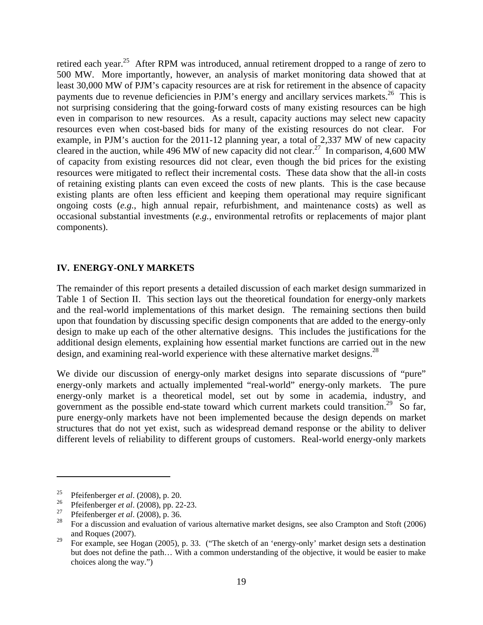retired each year.<sup>25</sup> After RPM was introduced, annual retirement dropped to a range of zero to 500 MW. More importantly, however, an analysis of market monitoring data showed that at least 30,000 MW of PJM's capacity resources are at risk for retirement in the absence of capacity payments due to revenue deficiencies in PJM's energy and ancillary services markets.<sup>26</sup> This is not surprising considering that the going-forward costs of many existing resources can be high even in comparison to new resources. As a result, capacity auctions may select new capacity resources even when cost-based bids for many of the existing resources do not clear. For example, in PJM's auction for the 2011-12 planning year, a total of 2,337 MW of new capacity cleared in the auction, while 496 MW of new capacity did not clear.<sup>27</sup> In comparison, 4,600 MW of capacity from existing resources did not clear, even though the bid prices for the existing resources were mitigated to reflect their incremental costs. These data show that the all-in costs of retaining existing plants can even exceed the costs of new plants. This is the case because existing plants are often less efficient and keeping them operational may require significant ongoing costs (*e.g.*, high annual repair, refurbishment, and maintenance costs) as well as occasional substantial investments (*e.g.*, environmental retrofits or replacements of major plant components).

#### **IV. ENERGY-ONLY MARKETS**

The remainder of this report presents a detailed discussion of each market design summarized in Table 1 of Section II. This section lays out the theoretical foundation for energy-only markets and the real-world implementations of this market design. The remaining sections then build upon that foundation by discussing specific design components that are added to the energy-only design to make up each of the other alternative designs. This includes the justifications for the additional design elements, explaining how essential market functions are carried out in the new design, and examining real-world experience with these alternative market designs.<sup>28</sup>

We divide our discussion of energy-only market designs into separate discussions of "pure" energy-only markets and actually implemented "real-world" energy-only markets. The pure energy-only market is a theoretical model, set out by some in academia, industry, and government as the possible end-state toward which current markets could transition.<sup>29</sup> So far, pure energy-only markets have not been implemented because the design depends on market structures that do not yet exist, such as widespread demand response or the ability to deliver different levels of reliability to different groups of customers. Real-world energy-only markets

1

<sup>25</sup> Pfeifenberger *et al*. (2008), p. 20.

<sup>&</sup>lt;sup>26</sup> Pfeifenberger *et al.* (2008), pp. 22-23.

<sup>&</sup>lt;sup>27</sup> Pfeifenberger *et al.* (2008), p. 36.

<sup>28</sup> For a discussion and evaluation of various alternative market designs, see also Crampton and Stoft (2006) and Roques (2007).

<sup>&</sup>lt;sup>29</sup> For example, see Hogan (2005), p. 33. ("The sketch of an 'energy-only' market design sets a destination but does not define the path… With a common understanding of the objective, it would be easier to make choices along the way.")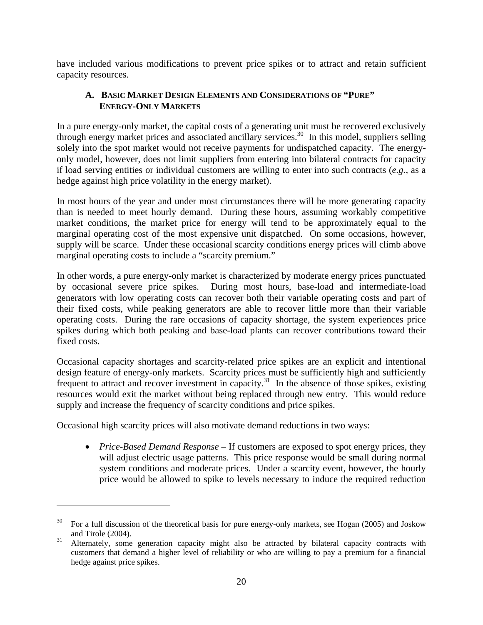have included various modifications to prevent price spikes or to attract and retain sufficient capacity resources.

# **A. BASIC MARKET DESIGN ELEMENTS AND CONSIDERATIONS OF "PURE" ENERGY-ONLY MARKETS**

In a pure energy-only market, the capital costs of a generating unit must be recovered exclusively through energy market prices and associated ancillary services.30 In this model, suppliers selling solely into the spot market would not receive payments for undispatched capacity. The energyonly model, however, does not limit suppliers from entering into bilateral contracts for capacity if load serving entities or individual customers are willing to enter into such contracts (*e.g.*, as a hedge against high price volatility in the energy market).

In most hours of the year and under most circumstances there will be more generating capacity than is needed to meet hourly demand. During these hours, assuming workably competitive market conditions, the market price for energy will tend to be approximately equal to the marginal operating cost of the most expensive unit dispatched. On some occasions, however, supply will be scarce. Under these occasional scarcity conditions energy prices will climb above marginal operating costs to include a "scarcity premium."

In other words, a pure energy-only market is characterized by moderate energy prices punctuated by occasional severe price spikes. During most hours, base-load and intermediate-load generators with low operating costs can recover both their variable operating costs and part of their fixed costs, while peaking generators are able to recover little more than their variable operating costs. During the rare occasions of capacity shortage, the system experiences price spikes during which both peaking and base-load plants can recover contributions toward their fixed costs.

Occasional capacity shortages and scarcity-related price spikes are an explicit and intentional design feature of energy-only markets. Scarcity prices must be sufficiently high and sufficiently frequent to attract and recover investment in capacity.<sup>31</sup> In the absence of those spikes, existing resources would exit the market without being replaced through new entry. This would reduce supply and increase the frequency of scarcity conditions and price spikes.

Occasional high scarcity prices will also motivate demand reductions in two ways:

 $\overline{a}$ 

• *Price-Based Demand Response* – If customers are exposed to spot energy prices, they will adjust electric usage patterns. This price response would be small during normal system conditions and moderate prices. Under a scarcity event, however, the hourly price would be allowed to spike to levels necessary to induce the required reduction

<sup>30</sup> For a full discussion of the theoretical basis for pure energy-only markets, see Hogan (2005) and Joskow and Tirole (2004).

<sup>&</sup>lt;sup>31</sup> Alternately, some generation capacity might also be attracted by bilateral capacity contracts with customers that demand a higher level of reliability or who are willing to pay a premium for a financial hedge against price spikes.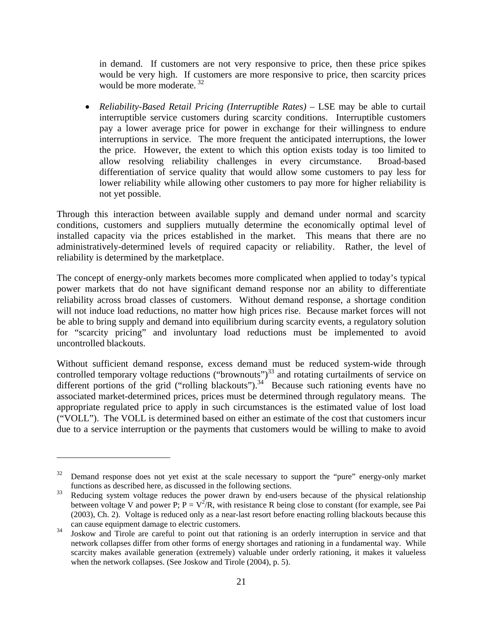in demand. If customers are not very responsive to price, then these price spikes would be very high. If customers are more responsive to price, then scarcity prices would be more moderate.  $32$ 

• *Reliability-Based Retail Pricing (Interruptible Rates)* – LSE may be able to curtail interruptible service customers during scarcity conditions. Interruptible customers pay a lower average price for power in exchange for their willingness to endure interruptions in service. The more frequent the anticipated interruptions, the lower the price. However, the extent to which this option exists today is too limited to allow resolving reliability challenges in every circumstance. Broad-based differentiation of service quality that would allow some customers to pay less for lower reliability while allowing other customers to pay more for higher reliability is not yet possible.

Through this interaction between available supply and demand under normal and scarcity conditions, customers and suppliers mutually determine the economically optimal level of installed capacity via the prices established in the market. This means that there are no administratively-determined levels of required capacity or reliability. Rather, the level of reliability is determined by the marketplace.

The concept of energy-only markets becomes more complicated when applied to today's typical power markets that do not have significant demand response nor an ability to differentiate reliability across broad classes of customers. Without demand response, a shortage condition will not induce load reductions, no matter how high prices rise. Because market forces will not be able to bring supply and demand into equilibrium during scarcity events, a regulatory solution for "scarcity pricing" and involuntary load reductions must be implemented to avoid uncontrolled blackouts.

Without sufficient demand response, excess demand must be reduced system-wide through controlled temporary voltage reductions ("brownouts")<sup>33</sup> and rotating curtailments of service on different portions of the grid ("rolling blackouts").<sup>34</sup> Because such rationing events have no associated market-determined prices, prices must be determined through regulatory means. The appropriate regulated price to apply in such circumstances is the estimated value of lost load ("VOLL"). The VOLL is determined based on either an estimate of the cost that customers incur due to a service interruption or the payments that customers would be willing to make to avoid

 $32$  Demand response does not yet exist at the scale necessary to support the "pure" energy-only market functions as described here, as discussed in the following sections.

<sup>&</sup>lt;sup>33</sup> Reducing system voltage reduces the power drawn by end-users because of the physical relationship between voltage V and power P;  $P = V^2/R$ , with resistance R being close to constant (for example, see Pai (2003), Ch. 2). Voltage is reduced only as a near-last resort before enacting rolling blackouts because this can cause equipment damage to electric customers.

<sup>&</sup>lt;sup>34</sup> Joskow and Tirole are careful to point out that rationing is an orderly interruption in service and that network collapses differ from other forms of energy shortages and rationing in a fundamental way. While scarcity makes available generation (extremely) valuable under orderly rationing, it makes it valueless when the network collapses. (See Joskow and Tirole (2004), p. 5).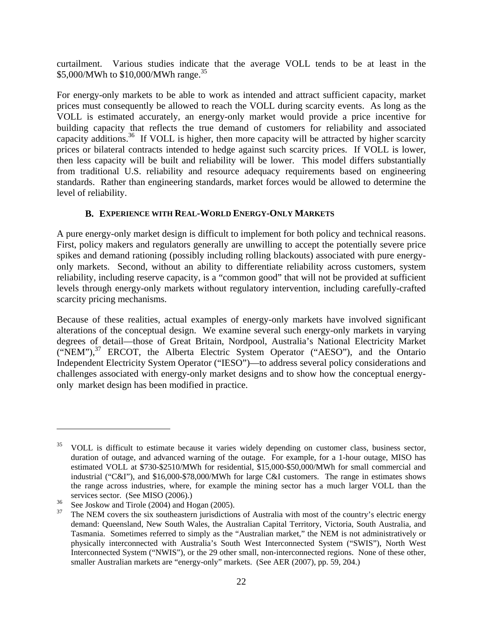curtailment. Various studies indicate that the average VOLL tends to be at least in the \$5,000/MWh to \$10,000/MWh range.<sup>35</sup>

For energy-only markets to be able to work as intended and attract sufficient capacity, market prices must consequently be allowed to reach the VOLL during scarcity events. As long as the VOLL is estimated accurately, an energy-only market would provide a price incentive for building capacity that reflects the true demand of customers for reliability and associated capacity additions.<sup>36</sup> If VOLL is higher, then more capacity will be attracted by higher scarcity prices or bilateral contracts intended to hedge against such scarcity prices. If VOLL is lower, then less capacity will be built and reliability will be lower. This model differs substantially from traditional U.S. reliability and resource adequacy requirements based on engineering standards. Rather than engineering standards, market forces would be allowed to determine the level of reliability.

# **B. EXPERIENCE WITH REAL-WORLD ENERGY-ONLY MARKETS**

A pure energy-only market design is difficult to implement for both policy and technical reasons. First, policy makers and regulators generally are unwilling to accept the potentially severe price spikes and demand rationing (possibly including rolling blackouts) associated with pure energyonly markets. Second, without an ability to differentiate reliability across customers, system reliability, including reserve capacity, is a "common good" that will not be provided at sufficient levels through energy-only markets without regulatory intervention, including carefully-crafted scarcity pricing mechanisms.

Because of these realities, actual examples of energy-only markets have involved significant alterations of the conceptual design. We examine several such energy-only markets in varying degrees of detail—those of Great Britain, Nordpool, Australia's National Electricity Market  $("NEM")$ ,<sup>37</sup> ERCOT, the Alberta Electric System Operator ("AESO"), and the Ontario Independent Electricity System Operator ("IESO")—to address several policy considerations and challenges associated with energy-only market designs and to show how the conceptual energyonly market design has been modified in practice.

<sup>35</sup> VOLL is difficult to estimate because it varies widely depending on customer class, business sector, duration of outage, and advanced warning of the outage. For example, for a 1-hour outage, MISO has estimated VOLL at \$730-\$2510/MWh for residential, \$15,000-\$50,000/MWh for small commercial and industrial ("C&I"), and \$16,000-\$78,000/MWh for large C&I customers. The range in estimates shows the range across industries, where, for example the mining sector has a much larger VOLL than the services sector. (See MISO (2006).)

 $\frac{36}{37}$  See Joskow and Tirole (2004) and Hogan (2005).

The NEM covers the six southeastern jurisdictions of Australia with most of the country's electric energy demand: Queensland, New South Wales, the Australian Capital Territory, Victoria, South Australia, and Tasmania. Sometimes referred to simply as the "Australian market," the NEM is not administratively or physically interconnected with Australia's South West Interconnected System ("SWIS"), North West Interconnected System ("NWIS"), or the 29 other small, non-interconnected regions. None of these other, smaller Australian markets are "energy-only" markets. (See AER (2007), pp. 59, 204.)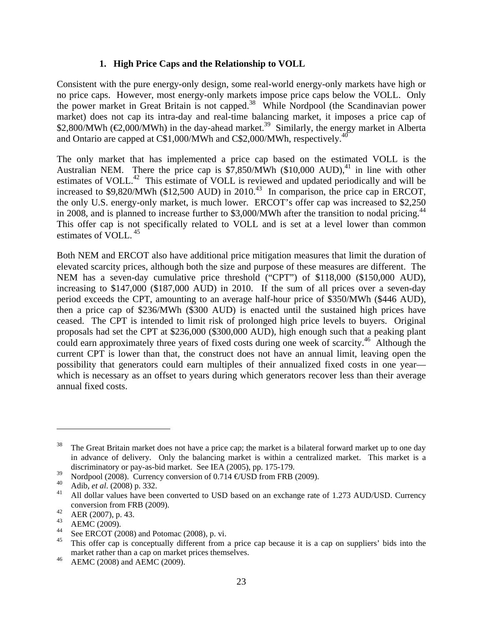# **1. High Price Caps and the Relationship to VOLL**

Consistent with the pure energy-only design, some real-world energy-only markets have high or no price caps. However, most energy-only markets impose price caps below the VOLL. Only the power market in Great Britain is not capped.38 While Nordpool (the Scandinavian power market) does not cap its intra-day and real-time balancing market, it imposes a price cap of \$2,800/MWh ( $\epsilon$ 2,000/MWh) in the day-ahead market.<sup>39</sup> Similarly, the energy market in Alberta and Ontario are capped at  $C$1,000/MWh$  and  $C$2,000/MWh$ , respectively.<sup>40</sup>

The only market that has implemented a price cap based on the estimated VOLL is the Australian NEM. There the price cap is  $$7,850/MWh$  (\$10,000 AUD),<sup>41</sup> in line with other estimates of VOLL.<sup>42</sup> This estimate of VOLL is reviewed and updated periodically and will be increased to  $$9,820/MWh$  ( $$12,500$  AUD) in  $2010<sup>43</sup>$  In comparison, the price cap in ERCOT, the only U.S. energy-only market, is much lower. ERCOT's offer cap was increased to \$2,250 in 2008, and is planned to increase further to \$3,000/MWh after the transition to nodal pricing.<sup>44</sup> This offer cap is not specifically related to VOLL and is set at a level lower than common estimates of VOLL. 45

Both NEM and ERCOT also have additional price mitigation measures that limit the duration of elevated scarcity prices, although both the size and purpose of these measures are different. The NEM has a seven-day cumulative price threshold ("CPT") of \$118,000 (\$150,000 AUD), increasing to \$147,000 (\$187,000 AUD) in 2010. If the sum of all prices over a seven-day period exceeds the CPT, amounting to an average half-hour price of \$350/MWh (\$446 AUD), then a price cap of \$236/MWh (\$300 AUD) is enacted until the sustained high prices have ceased. The CPT is intended to limit risk of prolonged high price levels to buyers. Original proposals had set the CPT at \$236,000 (\$300,000 AUD), high enough such that a peaking plant could earn approximately three years of fixed costs during one week of scarcity.<sup>46</sup> Although the current CPT is lower than that, the construct does not have an annual limit, leaving open the possibility that generators could earn multiples of their annualized fixed costs in one year which is necessary as an offset to years during which generators recover less than their average annual fixed costs.

 $38$  The Great Britain market does not have a price cap; the market is a bilateral forward market up to one day in advance of delivery. Only the balancing market is within a centralized market. This market is a discriminatory or pay-as-bid market. See IEA (2005), pp. 175-179.

<sup>&</sup>lt;sup>39</sup> Nordpool (2008). Currency conversion of 0.714  $\epsilon$ USD from FRB (2009).

<sup>40</sup> Adib, *et al*. (2008) p. 332.

<sup>41</sup> All dollar values have been converted to USD based on an exchange rate of 1.273 AUD/USD. Currency conversion from FRB (2009).

 $^{42}$  AER (2007), p. 43.

 $^{43}$  AEMC (2009).

<sup>&</sup>lt;sup>44</sup> See ERCOT (2008) and Potomac (2008), p. vi.

This offer cap is conceptually different from a price cap because it is a cap on suppliers' bids into the market rather than a cap on market prices themselves.

 $^{46}$  AEMC (2008) and AEMC (2009).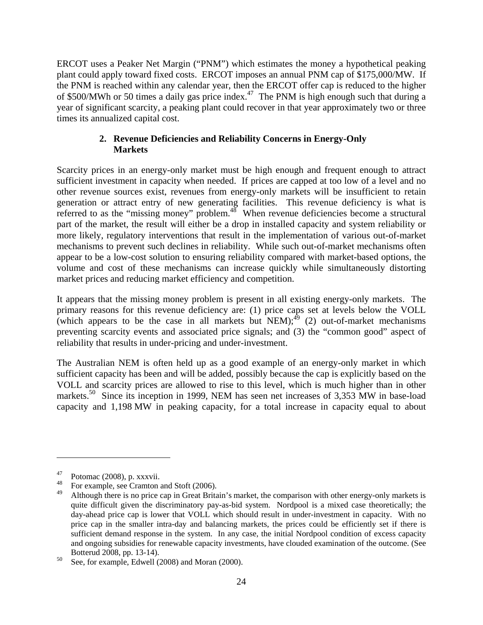ERCOT uses a Peaker Net Margin ("PNM") which estimates the money a hypothetical peaking plant could apply toward fixed costs. ERCOT imposes an annual PNM cap of \$175,000/MW. If the PNM is reached within any calendar year, then the ERCOT offer cap is reduced to the higher of \$500/MWh or 50 times a daily gas price index.<sup>47</sup> The PNM is high enough such that during a year of significant scarcity, a peaking plant could recover in that year approximately two or three times its annualized capital cost.

# **2. Revenue Deficiencies and Reliability Concerns in Energy-Only Markets**

Scarcity prices in an energy-only market must be high enough and frequent enough to attract sufficient investment in capacity when needed. If prices are capped at too low of a level and no other revenue sources exist, revenues from energy-only markets will be insufficient to retain generation or attract entry of new generating facilities. This revenue deficiency is what is referred to as the "missing money" problem. $48$  When revenue deficiencies become a structural part of the market, the result will either be a drop in installed capacity and system reliability or more likely, regulatory interventions that result in the implementation of various out-of-market mechanisms to prevent such declines in reliability. While such out-of-market mechanisms often appear to be a low-cost solution to ensuring reliability compared with market-based options, the volume and cost of these mechanisms can increase quickly while simultaneously distorting market prices and reducing market efficiency and competition.

It appears that the missing money problem is present in all existing energy-only markets. The primary reasons for this revenue deficiency are: (1) price caps set at levels below the VOLL (which appears to be the case in all markets but  $NEM$ );<sup>49</sup> (2) out-of-market mechanisms preventing scarcity events and associated price signals; and (3) the "common good" aspect of reliability that results in under-pricing and under-investment.

The Australian NEM is often held up as a good example of an energy-only market in which sufficient capacity has been and will be added, possibly because the cap is explicitly based on the VOLL and scarcity prices are allowed to rise to this level, which is much higher than in other markets.<sup>50</sup> Since its inception in 1999, NEM has seen net increases of 3,353 MW in base-load capacity and 1,198 MW in peaking capacity, for a total increase in capacity equal to about

 $^{47}$  Potomac (2008), p. xxxvii.

<sup>&</sup>lt;sup>48</sup> For example, see Cramton and Stoft (2006).

Although there is no price cap in Great Britain's market, the comparison with other energy-only markets is quite difficult given the discriminatory pay-as-bid system. Nordpool is a mixed case theoretically; the day-ahead price cap is lower that VOLL which should result in under-investment in capacity. With no price cap in the smaller intra-day and balancing markets, the prices could be efficiently set if there is sufficient demand response in the system. In any case, the initial Nordpool condition of excess capacity and ongoing subsidies for renewable capacity investments, have clouded examination of the outcome. (See Botterud 2008, pp. 13-14).

 $50\degree$  See, for example, Edwell (2008) and Moran (2000).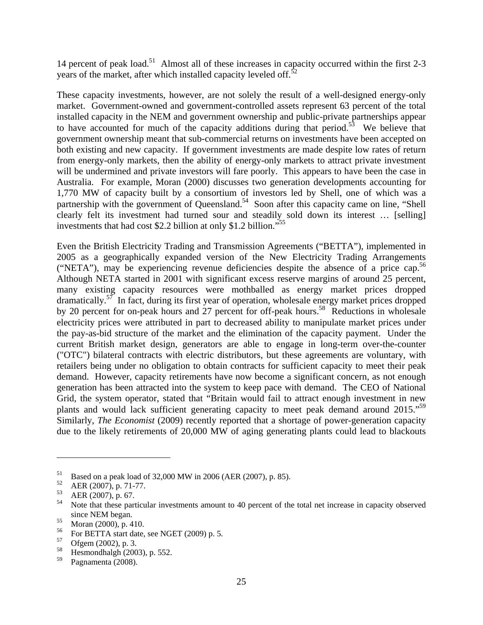14 percent of peak load.<sup>51</sup> Almost all of these increases in capacity occurred within the first 2-3 years of the market, after which installed capacity leveled off.<sup>5</sup>

These capacity investments, however, are not solely the result of a well-designed energy-only market. Government-owned and government-controlled assets represent 63 percent of the total installed capacity in the NEM and government ownership and public-private partnerships appear to have accounted for much of the capacity additions during that period.<sup>53</sup> We believe that government ownership meant that sub-commercial returns on investments have been accepted on both existing and new capacity. If government investments are made despite low rates of return from energy-only markets, then the ability of energy-only markets to attract private investment will be undermined and private investors will fare poorly. This appears to have been the case in Australia. For example, Moran (2000) discusses two generation developments accounting for 1,770 MW of capacity built by a consortium of investors led by Shell, one of which was a partnership with the government of Queensland.<sup>54</sup> Soon after this capacity came on line, "Shell clearly felt its investment had turned sour and steadily sold down its interest … [selling] investments that had cost \$2.2 billion at only \$1.2 billion."55

Even the British Electricity Trading and Transmission Agreements ("BETTA"), implemented in 2005 as a geographically expanded version of the New Electricity Trading Arrangements ("NETA"), may be experiencing revenue deficiencies despite the absence of a price cap.<sup>56</sup> Although NETA started in 2001 with significant excess reserve margins of around 25 percent, many existing capacity resources were mothballed as energy market prices dropped dramatically.<sup>57</sup> In fact, during its first year of operation, wholesale energy market prices dropped by 20 percent for on-peak hours and 27 percent for off-peak hours.<sup>58</sup> Reductions in wholesale electricity prices were attributed in part to decreased ability to manipulate market prices under the pay-as-bid structure of the market and the elimination of the capacity payment. Under the current British market design, generators are able to engage in long-term over-the-counter ("OTC") bilateral contracts with electric distributors, but these agreements are voluntary, with retailers being under no obligation to obtain contracts for sufficient capacity to meet their peak demand. However, capacity retirements have now become a significant concern, as not enough generation has been attracted into the system to keep pace with demand. The CEO of National Grid, the system operator, stated that "Britain would fail to attract enough investment in new plants and would lack sufficient generating capacity to meet peak demand around 2015."<sup>59</sup> Similarly, *The Economist* (2009) recently reported that a shortage of power-generation capacity due to the likely retirements of 20,000 MW of aging generating plants could lead to blackouts

<u>.</u>

<sup>&</sup>lt;sup>51</sup> Based on a peak load of 32,000 MW in 2006 (AER (2007), p. 85).<br> $\frac{52}{1000}$  AER (2007), p. 71.77

 $^{52}$  AER (2007), p. 71-77.

 $\text{AER (2007)}$ , p. 67.

Note that these particular investments amount to 40 percent of the total net increase in capacity observed since NEM began.

 $\frac{55}{56}$  Moran (2000), p. 410.

<sup>&</sup>lt;sup>56</sup> For BETTA start date, see NGET (2009) p. 5.<br> $57 \text{ GeV}$  (2002) at 2

 $^{57}$  Ofgem (2002), p. 3.

 $^{58}$  Hesmondhalgh (2003), p. 552.

Pagnamenta (2008).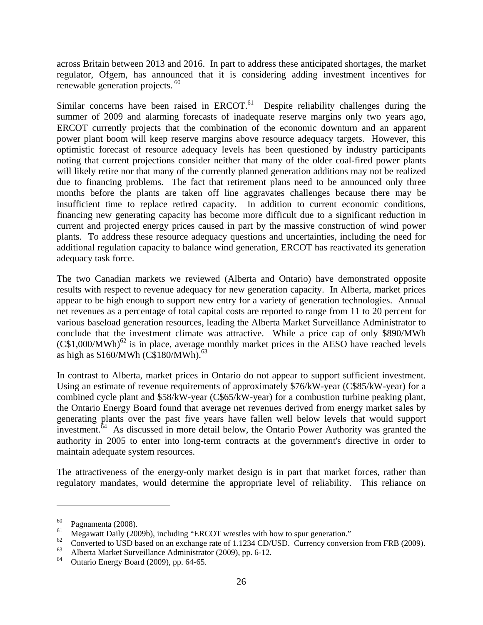across Britain between 2013 and 2016. In part to address these anticipated shortages, the market regulator, Ofgem, has announced that it is considering adding investment incentives for renewable generation projects.<sup>60</sup>

Similar concerns have been raised in  $ERCOT$ <sup> $61$ </sup> Despite reliability challenges during the summer of 2009 and alarming forecasts of inadequate reserve margins only two years ago, ERCOT currently projects that the combination of the economic downturn and an apparent power plant boom will keep reserve margins above resource adequacy targets. However, this optimistic forecast of resource adequacy levels has been questioned by industry participants noting that current projections consider neither that many of the older coal-fired power plants will likely retire nor that many of the currently planned generation additions may not be realized due to financing problems. The fact that retirement plans need to be announced only three months before the plants are taken off line aggravates challenges because there may be insufficient time to replace retired capacity. In addition to current economic conditions, financing new generating capacity has become more difficult due to a significant reduction in current and projected energy prices caused in part by the massive construction of wind power plants. To address these resource adequacy questions and uncertainties, including the need for additional regulation capacity to balance wind generation, ERCOT has reactivated its generation adequacy task force.

The two Canadian markets we reviewed (Alberta and Ontario) have demonstrated opposite results with respect to revenue adequacy for new generation capacity. In Alberta, market prices appear to be high enough to support new entry for a variety of generation technologies. Annual net revenues as a percentage of total capital costs are reported to range from 11 to 20 percent for various baseload generation resources, leading the Alberta Market Surveillance Administrator to conclude that the investment climate was attractive. While a price cap of only \$890/MWh  $(C$1,000/MWh)<sup>62</sup>$  is in place, average monthly market prices in the AESO have reached levels as high as  $$160/MWh$  (C\$180/MWh).<sup>63</sup>

In contrast to Alberta, market prices in Ontario do not appear to support sufficient investment. Using an estimate of revenue requirements of approximately \$76/kW-year (C\$85/kW-year) for a combined cycle plant and \$58/kW-year (C\$65/kW-year) for a combustion turbine peaking plant, the Ontario Energy Board found that average net revenues derived from energy market sales by generating plants over the past five years have fallen well below levels that would support investment.<sup>64</sup> As discussed in more detail below, the Ontario Power Authority was granted the authority in 2005 to enter into long-term contracts at the government's directive in order to maintain adequate system resources.

The attractiveness of the energy-only market design is in part that market forces, rather than regulatory mandates, would determine the appropriate level of reliability. This reliance on

 $^{60}$  Pagnamenta (2008).

<sup>&</sup>lt;sup>61</sup> Megawatt Daily (2009b), including "ERCOT wrestles with how to spur generation."<br><sup>62</sup> Channel at LISD hand as an amakage ante of 1,1224 CD LISD. Channel as an amazo

<sup>&</sup>lt;sup>62</sup> Converted to USD based on an exchange rate of 1.1234 CD/USD. Currency conversion from FRB (2009).

<sup>&</sup>lt;sup>63</sup> Alberta Market Surveillance Administrator (2009), pp. 6-12.

Ontario Energy Board (2009), pp. 64-65.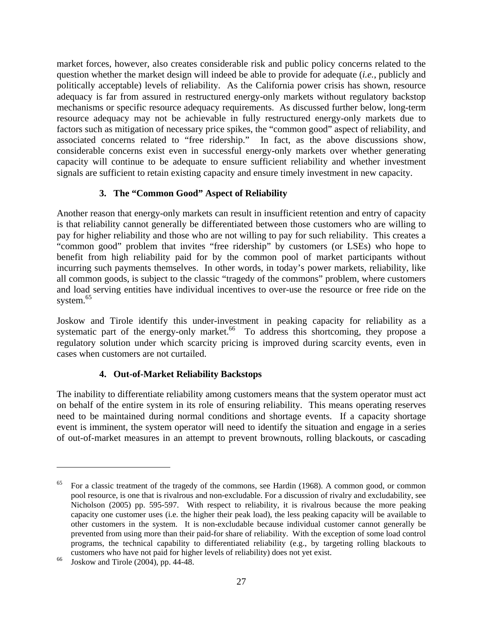market forces, however, also creates considerable risk and public policy concerns related to the question whether the market design will indeed be able to provide for adequate (*i.e.*, publicly and politically acceptable) levels of reliability. As the California power crisis has shown, resource adequacy is far from assured in restructured energy-only markets without regulatory backstop mechanisms or specific resource adequacy requirements. As discussed further below, long-term resource adequacy may not be achievable in fully restructured energy-only markets due to factors such as mitigation of necessary price spikes, the "common good" aspect of reliability, and associated concerns related to "free ridership." In fact, as the above discussions show, considerable concerns exist even in successful energy-only markets over whether generating capacity will continue to be adequate to ensure sufficient reliability and whether investment signals are sufficient to retain existing capacity and ensure timely investment in new capacity.

# **3. The "Common Good" Aspect of Reliability**

Another reason that energy-only markets can result in insufficient retention and entry of capacity is that reliability cannot generally be differentiated between those customers who are willing to pay for higher reliability and those who are not willing to pay for such reliability. This creates a "common good" problem that invites "free ridership" by customers (or LSEs) who hope to benefit from high reliability paid for by the common pool of market participants without incurring such payments themselves. In other words, in today's power markets, reliability, like all common goods, is subject to the classic "tragedy of the commons" problem, where customers and load serving entities have individual incentives to over-use the resource or free ride on the system.<sup>65</sup>

Joskow and Tirole identify this under-investment in peaking capacity for reliability as a systematic part of the energy-only market.<sup>66</sup> To address this shortcoming, they propose a regulatory solution under which scarcity pricing is improved during scarcity events, even in cases when customers are not curtailed.

# **4. Out-of-Market Reliability Backstops**

The inability to differentiate reliability among customers means that the system operator must act on behalf of the entire system in its role of ensuring reliability. This means operating reserves need to be maintained during normal conditions and shortage events. If a capacity shortage event is imminent, the system operator will need to identify the situation and engage in a series of out-of-market measures in an attempt to prevent brownouts, rolling blackouts, or cascading

1

<sup>65</sup> For a classic treatment of the tragedy of the commons, see Hardin (1968). A common good, or common pool resource, is one that is rivalrous and non-excludable. For a discussion of rivalry and excludability, see Nicholson (2005) pp. 595-597. With respect to reliability, it is rivalrous because the more peaking capacity one customer uses (i.e. the higher their peak load), the less peaking capacity will be available to other customers in the system. It is non-excludable because individual customer cannot generally be prevented from using more than their paid-for share of reliability. With the exception of some load control programs, the technical capability to differentiated reliability (e.g., by targeting rolling blackouts to customers who have not paid for higher levels of reliability) does not yet exist.

 $66$  Joskow and Tirole (2004), pp. 44-48.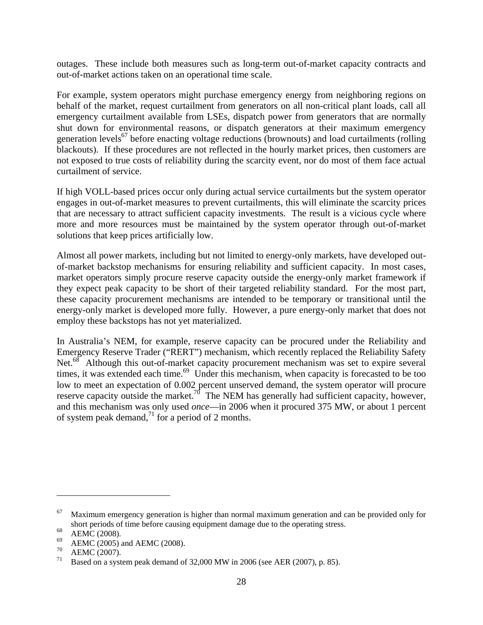outages. These include both measures such as long-term out-of-market capacity contracts and out-of-market actions taken on an operational time scale.

For example, system operators might purchase emergency energy from neighboring regions on behalf of the market, request curtailment from generators on all non-critical plant loads, call all emergency curtailment available from LSEs, dispatch power from generators that are normally shut down for environmental reasons, or dispatch generators at their maximum emergency generation levels<sup>67</sup> before enacting voltage reductions (brownouts) and load curtailments (rolling blackouts). If these procedures are not reflected in the hourly market prices, then customers are not exposed to true costs of reliability during the scarcity event, nor do most of them face actual curtailment of service.

If high VOLL-based prices occur only during actual service curtailments but the system operator engages in out-of-market measures to prevent curtailments, this will eliminate the scarcity prices that are necessary to attract sufficient capacity investments. The result is a vicious cycle where more and more resources must be maintained by the system operator through out-of-market solutions that keep prices artificially low.

Almost all power markets, including but not limited to energy-only markets, have developed outof-market backstop mechanisms for ensuring reliability and sufficient capacity. In most cases, market operators simply procure reserve capacity outside the energy-only market framework if they expect peak capacity to be short of their targeted reliability standard. For the most part, these capacity procurement mechanisms are intended to be temporary or transitional until the energy-only market is developed more fully. However, a pure energy-only market that does not employ these backstops has not yet materialized.

In Australia's NEM, for example, reserve capacity can be procured under the Reliability and Emergency Reserve Trader ("RERT") mechanism, which recently replaced the Reliability Safety Net.<sup>68</sup> Although this out-of-market capacity procurement mechanism was set to expire several times, it was extended each time.<sup>69</sup> Under this mechanism, when capacity is forecasted to be too low to meet an expectation of 0.002 percent unserved demand, the system operator will procure reserve capacity outside the market.<sup>70</sup> The NEM has generally had sufficient capacity, however, and this mechanism was only used *once*—in 2006 when it procured 375 MW, or about 1 percent of system peak demand,<sup>71</sup> for a period of 2 months.

 $67$  Maximum emergency generation is higher than normal maximum generation and can be provided only for short periods of time before causing equipment damage due to the operating stress.

 $^{68}$  AEMC (2008).

 $^{69}$  AEMC (2005) and AEMC (2008).

 $^{70}$  AEMC (2007).

Based on a system peak demand of  $32,000$  MW in 2006 (see AER (2007), p. 85).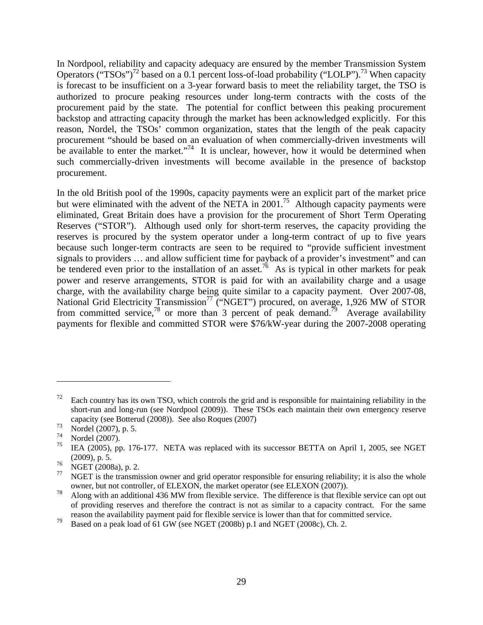In Nordpool, reliability and capacity adequacy are ensured by the member Transmission System Operators ("TSOs")<sup>72</sup> based on a 0.1 percent loss-of-load probability ("LOLP").<sup>73</sup> When capacity is forecast to be insufficient on a 3-year forward basis to meet the reliability target, the TSO is authorized to procure peaking resources under long-term contracts with the costs of the procurement paid by the state. The potential for conflict between this peaking procurement backstop and attracting capacity through the market has been acknowledged explicitly. For this reason, Nordel, the TSOs' common organization, states that the length of the peak capacity procurement "should be based on an evaluation of when commercially-driven investments will be available to enter the market."<sup>74</sup> It is unclear, however, how it would be determined when such commercially-driven investments will become available in the presence of backstop procurement.

In the old British pool of the 1990s, capacity payments were an explicit part of the market price but were eliminated with the advent of the NETA in 2001.<sup>75</sup> Although capacity payments were eliminated, Great Britain does have a provision for the procurement of Short Term Operating Reserves ("STOR"). Although used only for short-term reserves, the capacity providing the reserves is procured by the system operator under a long-term contract of up to five years because such longer-term contracts are seen to be required to "provide sufficient investment signals to providers … and allow sufficient time for payback of a provider's investment" and can be tendered even prior to the installation of an asset.<sup>76</sup> As is typical in other markets for peak power and reserve arrangements, STOR is paid for with an availability charge and a usage charge, with the availability charge being quite similar to a capacity payment. Over 2007-08, National Grid Electricity Transmission<sup>77</sup> ("NGET") procured, on average, 1,926 MW of STOR from committed service,<sup>78</sup> or more than 3 percent of peak demand.<sup>79</sup> Average availability payments for flexible and committed STOR were \$76/kW-year during the 2007-2008 operating

 $72$  Each country has its own TSO, which controls the grid and is responsible for maintaining reliability in the short-run and long-run (see Nordpool (2009)). These TSOs each maintain their own emergency reserve capacity (see Botterud (2008)). See also Roques (2007)

 $^{73}$  Nordel (2007), p. 5.<br> $^{74}$  Nordel (2007).

 $^{74}$  Nordel (2007).

IEA (2005), pp. 176-177. NETA was replaced with its successor BETTA on April 1, 2005, see NGET (2009), p. 5.

 $^{76}$  NGET (2008a), p. 2.

NGET is the transmission owner and grid operator responsible for ensuring reliability; it is also the whole owner, but not controller, of ELEXON, the market operator (see ELEXON (2007)).

<sup>&</sup>lt;sup>78</sup> Along with an additional 436 MW from flexible service. The difference is that flexible service can opt out of providing reserves and therefore the contract is not as similar to a capacity contract. For the same reason the availability payment paid for flexible service is lower than that for committed service.

<sup>&</sup>lt;sup>79</sup> Based on a peak load of 61 GW (see NGET (2008b) p.1 and NGET (2008c), Ch. 2.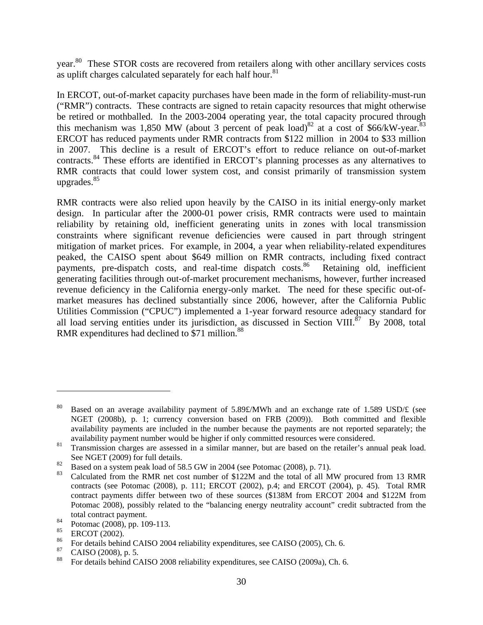year.<sup>80</sup> These STOR costs are recovered from retailers along with other ancillary services costs as uplift charges calculated separately for each half hour. $81$ 

In ERCOT, out-of-market capacity purchases have been made in the form of reliability-must-run ("RMR") contracts. These contracts are signed to retain capacity resources that might otherwise be retired or mothballed. In the 2003-2004 operating year, the total capacity procured through this mechanism was 1,850 MW (about 3 percent of peak load)<sup>82</sup> at a cost of \$66/kW-year.<sup>83</sup> ERCOT has reduced payments under RMR contracts from \$122 million in 2004 to \$33 million in 2007. This decline is a result of ERCOT's effort to reduce reliance on out-of-market contracts.84 These efforts are identified in ERCOT's planning processes as any alternatives to RMR contracts that could lower system cost, and consist primarily of transmission system upgrades. $85$ 

RMR contracts were also relied upon heavily by the CAISO in its initial energy-only market design. In particular after the 2000-01 power crisis, RMR contracts were used to maintain reliability by retaining old, inefficient generating units in zones with local transmission constraints where significant revenue deficiencies were caused in part through stringent mitigation of market prices. For example, in 2004, a year when reliability-related expenditures peaked, the CAISO spent about \$649 million on RMR contracts, including fixed contract payments, pre-dispatch costs, and real-time dispatch costs.<sup>86</sup> Retaining old, inefficient generating facilities through out-of-market procurement mechanisms, however, further increased revenue deficiency in the California energy-only market. The need for these specific out-ofmarket measures has declined substantially since 2006, however, after the California Public Utilities Commission ("CPUC") implemented a 1-year forward resource adequacy standard for all load serving entities under its jurisdiction, as discussed in Section VIII. $^{87}$  By 2008, total RMR expenditures had declined to \$71 million.<sup>88</sup>

<sup>&</sup>lt;sup>80</sup> Based on an average availability payment of 5.89£/MWh and an exchange rate of 1.589 USD/ $\pounds$  (see NGET (2008b), p. 1; currency conversion based on FRB (2009)). Both committed and flexible availability payments are included in the number because the payments are not reported separately; the availability payment number would be higher if only committed resources were considered.

<sup>&</sup>lt;sup>81</sup> Transmission charges are assessed in a similar manner, but are based on the retailer's annual peak load. See NGET (2009) for full details.

<sup>&</sup>lt;sup>82</sup> Based on a system peak load of 58.5 GW in 2004 (see Potomac (2008), p. 71).

Calculated from the RMR net cost number of \$122M and the total of all MW procured from 13 RMR contracts (see Potomac (2008), p. 111; ERCOT (2002), p.4; and ERCOT (2004), p. 45). Total RMR contract payments differ between two of these sources (\$138M from ERCOT 2004 and \$122M from Potomac 2008), possibly related to the "balancing energy neutrality account" credit subtracted from the total contract payment.

 $^{84}$  Potomac (2008), pp. 109-113.<br> $^{85}$  ERCOT (2002)

 $^{85}$  ERCOT (2002).

<sup>&</sup>lt;sup>86</sup> For details behind CAISO 2004 reliability expenditures, see CAISO (2005), Ch. 6.<br><sup>87</sup> CAISO (2008),  $\sigma$  5

 $^{87}$  CAISO (2008), p. 5.

<sup>88</sup> For details behind CAISO 2008 reliability expenditures, see CAISO (2009a), Ch. 6.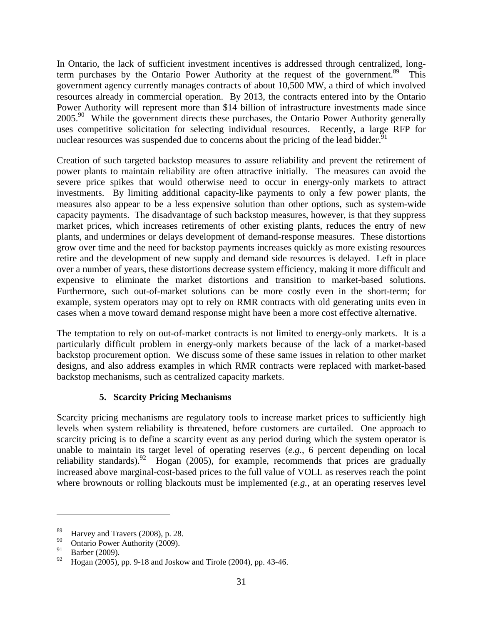In Ontario, the lack of sufficient investment incentives is addressed through centralized, longterm purchases by the Ontario Power Authority at the request of the government.<sup>89</sup> This government agency currently manages contracts of about 10,500 MW, a third of which involved resources already in commercial operation. By 2013, the contracts entered into by the Ontario Power Authority will represent more than \$14 billion of infrastructure investments made since 2005.<sup>90</sup> While the government directs these purchases, the Ontario Power Authority generally uses competitive solicitation for selecting individual resources. Recently, a large RFP for nuclear resources was suspended due to concerns about the pricing of the lead bidder.<sup>91</sup>

Creation of such targeted backstop measures to assure reliability and prevent the retirement of power plants to maintain reliability are often attractive initially. The measures can avoid the severe price spikes that would otherwise need to occur in energy-only markets to attract investments. By limiting additional capacity-like payments to only a few power plants, the measures also appear to be a less expensive solution than other options, such as system-wide capacity payments. The disadvantage of such backstop measures, however, is that they suppress market prices, which increases retirements of other existing plants, reduces the entry of new plants, and undermines or delays development of demand-response measures. These distortions grow over time and the need for backstop payments increases quickly as more existing resources retire and the development of new supply and demand side resources is delayed. Left in place over a number of years, these distortions decrease system efficiency, making it more difficult and expensive to eliminate the market distortions and transition to market-based solutions. Furthermore, such out-of-market solutions can be more costly even in the short-term; for example, system operators may opt to rely on RMR contracts with old generating units even in cases when a move toward demand response might have been a more cost effective alternative.

The temptation to rely on out-of-market contracts is not limited to energy-only markets. It is a particularly difficult problem in energy-only markets because of the lack of a market-based backstop procurement option. We discuss some of these same issues in relation to other market designs, and also address examples in which RMR contracts were replaced with market-based backstop mechanisms, such as centralized capacity markets.

# **5. Scarcity Pricing Mechanisms**

Scarcity pricing mechanisms are regulatory tools to increase market prices to sufficiently high levels when system reliability is threatened, before customers are curtailed. One approach to scarcity pricing is to define a scarcity event as any period during which the system operator is unable to maintain its target level of operating reserves (*e.g.*, 6 percent depending on local reliability standards).<sup>92</sup> Hogan (2005), for example, recommends that prices are gradually increased above marginal-cost-based prices to the full value of VOLL as reserves reach the point where brownouts or rolling blackouts must be implemented (*e.g.*, at an operating reserves level

1

<sup>&</sup>lt;sup>89</sup> Harvey and Travers (2008), p. 28.<br> $\frac{90}{2}$  Outside Person Arthur (2000).

 $^{90}$  Ontario Power Authority (2009).

 $^{91}_{92}$  Barber (2009).

<sup>92</sup> Hogan (2005), pp. 9-18 and Joskow and Tirole (2004), pp. 43-46.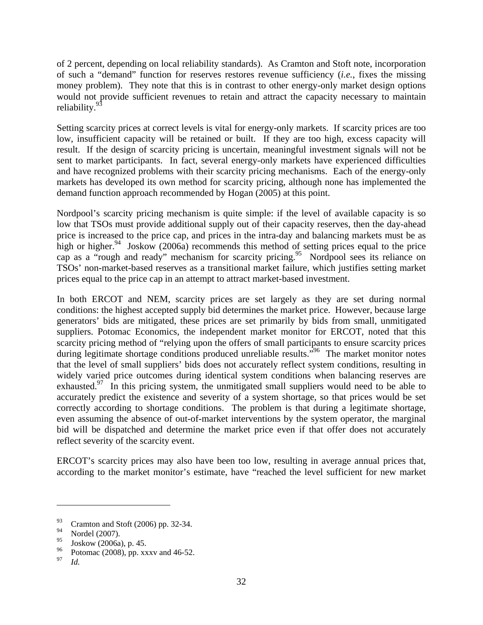of 2 percent, depending on local reliability standards). As Cramton and Stoft note, incorporation of such a "demand" function for reserves restores revenue sufficiency (*i.e.*, fixes the missing money problem). They note that this is in contrast to other energy-only market design options would not provide sufficient revenues to retain and attract the capacity necessary to maintain reliability.<sup>93</sup>

Setting scarcity prices at correct levels is vital for energy-only markets. If scarcity prices are too low, insufficient capacity will be retained or built. If they are too high, excess capacity will result. If the design of scarcity pricing is uncertain, meaningful investment signals will not be sent to market participants. In fact, several energy-only markets have experienced difficulties and have recognized problems with their scarcity pricing mechanisms. Each of the energy-only markets has developed its own method for scarcity pricing, although none has implemented the demand function approach recommended by Hogan (2005) at this point.

Nordpool's scarcity pricing mechanism is quite simple: if the level of available capacity is so low that TSOs must provide additional supply out of their capacity reserves, then the day-ahead price is increased to the price cap, and prices in the intra-day and balancing markets must be as high or higher.<sup>94</sup> Joskow (2006a) recommends this method of setting prices equal to the price cap as a "rough and ready" mechanism for scarcity pricing.<sup>95</sup> Nordpool sees its reliance on TSOs' non-market-based reserves as a transitional market failure, which justifies setting market prices equal to the price cap in an attempt to attract market-based investment.

In both ERCOT and NEM, scarcity prices are set largely as they are set during normal conditions: the highest accepted supply bid determines the market price. However, because large generators' bids are mitigated, these prices are set primarily by bids from small, unmitigated suppliers. Potomac Economics, the independent market monitor for ERCOT, noted that this scarcity pricing method of "relying upon the offers of small participants to ensure scarcity prices during legitimate shortage conditions produced unreliable results.<sup>"96</sup> The market monitor notes that the level of small suppliers' bids does not accurately reflect system conditions, resulting in widely varied price outcomes during identical system conditions when balancing reserves are exhausted.<sup>97</sup> In this pricing system, the unmitigated small suppliers would need to be able to accurately predict the existence and severity of a system shortage, so that prices would be set correctly according to shortage conditions. The problem is that during a legitimate shortage, even assuming the absence of out-of-market interventions by the system operator, the marginal bid will be dispatched and determine the market price even if that offer does not accurately reflect severity of the scarcity event.

ERCOT's scarcity prices may also have been too low, resulting in average annual prices that, according to the market monitor's estimate, have "reached the level sufficient for new market

<u>.</u>

 $^{93}$  Cramton and Stoft (2006) pp. 32-34.<br><sup>94</sup> Nordal (2007)

 $^{94}$  Nordel (2007).

 $\frac{95}{96}$  Joskow (2006a), p. 45.

 $^{96}$  Potomac (2008), pp. xxxv and 46-52.

*Id.*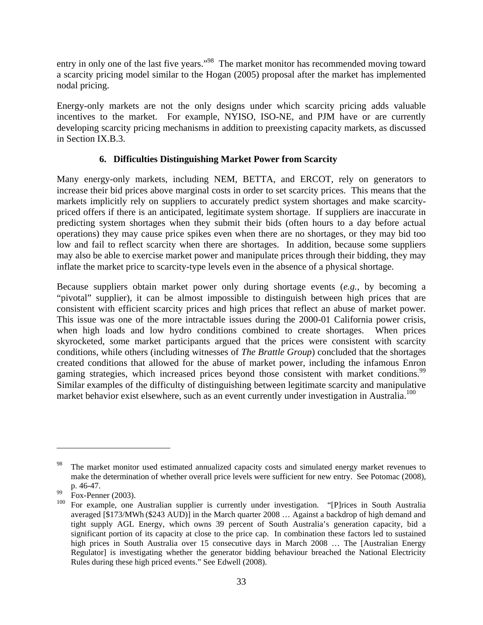entry in only one of the last five years."<sup>98</sup> The market monitor has recommended moving toward a scarcity pricing model similar to the Hogan (2005) proposal after the market has implemented nodal pricing.

Energy-only markets are not the only designs under which scarcity pricing adds valuable incentives to the market. For example, NYISO, ISO-NE, and PJM have or are currently developing scarcity pricing mechanisms in addition to preexisting capacity markets, as discussed in Section IX.B.3.

### **6. Difficulties Distinguishing Market Power from Scarcity**

Many energy-only markets, including NEM, BETTA, and ERCOT, rely on generators to increase their bid prices above marginal costs in order to set scarcity prices. This means that the markets implicitly rely on suppliers to accurately predict system shortages and make scarcitypriced offers if there is an anticipated, legitimate system shortage. If suppliers are inaccurate in predicting system shortages when they submit their bids (often hours to a day before actual operations) they may cause price spikes even when there are no shortages, or they may bid too low and fail to reflect scarcity when there are shortages. In addition, because some suppliers may also be able to exercise market power and manipulate prices through their bidding, they may inflate the market price to scarcity-type levels even in the absence of a physical shortage.

Because suppliers obtain market power only during shortage events (*e.g.*, by becoming a "pivotal" supplier), it can be almost impossible to distinguish between high prices that are consistent with efficient scarcity prices and high prices that reflect an abuse of market power. This issue was one of the more intractable issues during the 2000-01 California power crisis, when high loads and low hydro conditions combined to create shortages. When prices skyrocketed, some market participants argued that the prices were consistent with scarcity conditions, while others (including witnesses of *The Brattle Group*) concluded that the shortages created conditions that allowed for the abuse of market power, including the infamous Enron gaming strategies, which increased prices beyond those consistent with market conditions.<sup>99</sup> Similar examples of the difficulty of distinguishing between legitimate scarcity and manipulative market behavior exist elsewhere, such as an event currently under investigation in Australia.<sup>100</sup>

<sup>&</sup>lt;sup>98</sup> The market monitor used estimated annualized capacity costs and simulated energy market revenues to make the determination of whether overall price levels were sufficient for new entry. See Potomac (2008), p. 46-47.

Fox-Penner  $(2003)$ .

<sup>&</sup>lt;sup>100</sup> For example, one Australian supplier is currently under investigation. "[P]rices in South Australia averaged [\$173/MWh (\$243 AUD)] in the March quarter 2008 … Against a backdrop of high demand and tight supply AGL Energy, which owns 39 percent of South Australia's generation capacity, bid a significant portion of its capacity at close to the price cap. In combination these factors led to sustained high prices in South Australia over 15 consecutive days in March 2008 … The [Australian Energy Regulator] is investigating whether the generator bidding behaviour breached the National Electricity Rules during these high priced events." See Edwell (2008).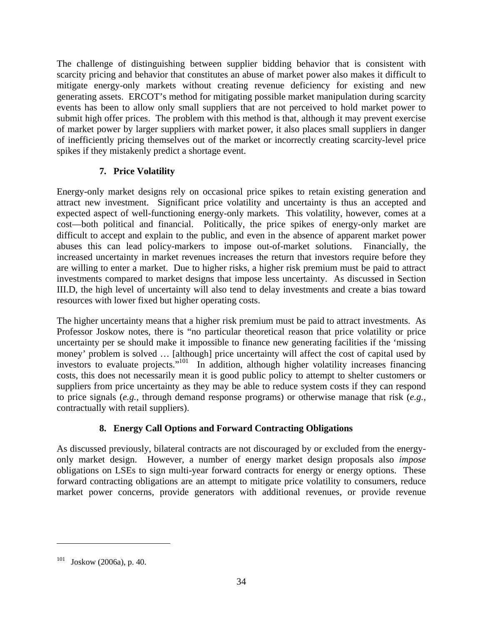The challenge of distinguishing between supplier bidding behavior that is consistent with scarcity pricing and behavior that constitutes an abuse of market power also makes it difficult to mitigate energy-only markets without creating revenue deficiency for existing and new generating assets. ERCOT's method for mitigating possible market manipulation during scarcity events has been to allow only small suppliers that are not perceived to hold market power to submit high offer prices. The problem with this method is that, although it may prevent exercise of market power by larger suppliers with market power, it also places small suppliers in danger of inefficiently pricing themselves out of the market or incorrectly creating scarcity-level price spikes if they mistakenly predict a shortage event.

## **7. Price Volatility**

Energy-only market designs rely on occasional price spikes to retain existing generation and attract new investment. Significant price volatility and uncertainty is thus an accepted and expected aspect of well-functioning energy-only markets. This volatility, however, comes at a cost—both political and financial. Politically, the price spikes of energy-only market are difficult to accept and explain to the public, and even in the absence of apparent market power abuses this can lead policy-markers to impose out-of-market solutions. Financially, the increased uncertainty in market revenues increases the return that investors require before they are willing to enter a market. Due to higher risks, a higher risk premium must be paid to attract investments compared to market designs that impose less uncertainty. As discussed in Section III.D, the high level of uncertainty will also tend to delay investments and create a bias toward resources with lower fixed but higher operating costs.

The higher uncertainty means that a higher risk premium must be paid to attract investments. As Professor Joskow notes, there is "no particular theoretical reason that price volatility or price uncertainty per se should make it impossible to finance new generating facilities if the 'missing money' problem is solved … [although] price uncertainty will affect the cost of capital used by investors to evaluate projects."<sup>101</sup> In addition, although higher volatility increases financing costs, this does not necessarily mean it is good public policy to attempt to shelter customers or suppliers from price uncertainty as they may be able to reduce system costs if they can respond to price signals (*e.g.*, through demand response programs) or otherwise manage that risk (*e.g.*, contractually with retail suppliers).

# **8. Energy Call Options and Forward Contracting Obligations**

As discussed previously, bilateral contracts are not discouraged by or excluded from the energyonly market design. However, a number of energy market design proposals also *impose* obligations on LSEs to sign multi-year forward contracts for energy or energy options. These forward contracting obligations are an attempt to mitigate price volatility to consumers, reduce market power concerns, provide generators with additional revenues, or provide revenue

 $101$  Joskow (2006a), p. 40.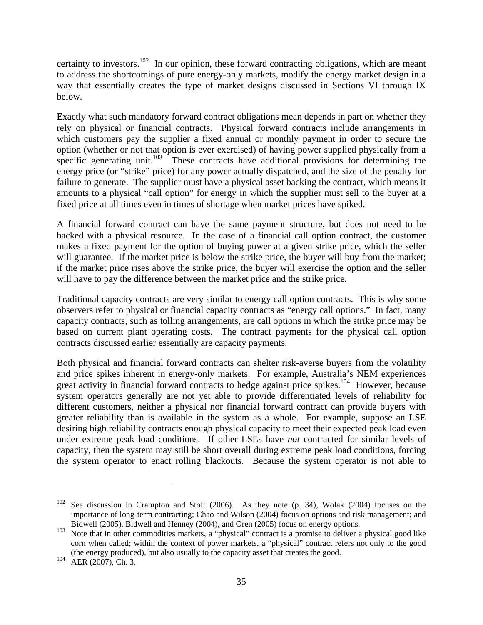certainty to investors.<sup>102</sup> In our opinion, these forward contracting obligations, which are meant to address the shortcomings of pure energy-only markets, modify the energy market design in a way that essentially creates the type of market designs discussed in Sections VI through IX below.

Exactly what such mandatory forward contract obligations mean depends in part on whether they rely on physical or financial contracts. Physical forward contracts include arrangements in which customers pay the supplier a fixed annual or monthly payment in order to secure the option (whether or not that option is ever exercised) of having power supplied physically from a specific generating unit.<sup>103</sup> These contracts have additional provisions for determining the energy price (or "strike" price) for any power actually dispatched, and the size of the penalty for failure to generate. The supplier must have a physical asset backing the contract, which means it amounts to a physical "call option" for energy in which the supplier must sell to the buyer at a fixed price at all times even in times of shortage when market prices have spiked.

A financial forward contract can have the same payment structure, but does not need to be backed with a physical resource. In the case of a financial call option contract, the customer makes a fixed payment for the option of buying power at a given strike price, which the seller will guarantee. If the market price is below the strike price, the buyer will buy from the market; if the market price rises above the strike price, the buyer will exercise the option and the seller will have to pay the difference between the market price and the strike price.

Traditional capacity contracts are very similar to energy call option contracts. This is why some observers refer to physical or financial capacity contracts as "energy call options." In fact, many capacity contracts, such as tolling arrangements, are call options in which the strike price may be based on current plant operating costs. The contract payments for the physical call option contracts discussed earlier essentially are capacity payments.

Both physical and financial forward contracts can shelter risk-averse buyers from the volatility and price spikes inherent in energy-only markets. For example, Australia's NEM experiences great activity in financial forward contracts to hedge against price spikes.<sup>104</sup> However, because system operators generally are not yet able to provide differentiated levels of reliability for different customers, neither a physical nor financial forward contract can provide buyers with greater reliability than is available in the system as a whole. For example, suppose an LSE desiring high reliability contracts enough physical capacity to meet their expected peak load even under extreme peak load conditions. If other LSEs have *not* contracted for similar levels of capacity, then the system may still be short overall during extreme peak load conditions, forcing the system operator to enact rolling blackouts. Because the system operator is not able to

 $102$  See discussion in Crampton and Stoft (2006). As they note (p. 34), Wolak (2004) focuses on the importance of long-term contracting; Chao and Wilson (2004) focus on options and risk management; and Bidwell (2005), Bidwell and Henney (2004), and Oren (2005) focus on energy options.

<sup>&</sup>lt;sup>103</sup> Note that in other commodities markets, a "physical" contract is a promise to deliver a physical good like corn when called; within the context of power markets, a "physical" contract refers not only to the good (the energy produced), but also usually to the capacity asset that creates the good.

 $104$  AER (2007), Ch. 3.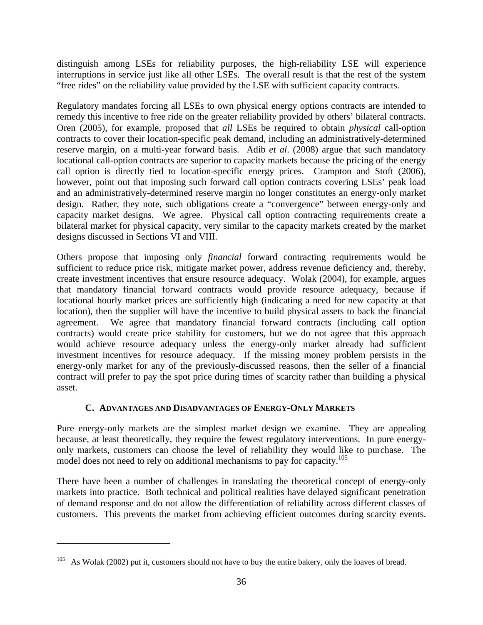distinguish among LSEs for reliability purposes, the high-reliability LSE will experience interruptions in service just like all other LSEs. The overall result is that the rest of the system "free rides" on the reliability value provided by the LSE with sufficient capacity contracts.

Regulatory mandates forcing all LSEs to own physical energy options contracts are intended to remedy this incentive to free ride on the greater reliability provided by others' bilateral contracts. Oren (2005), for example, proposed that *all* LSEs be required to obtain *physical* call-option contracts to cover their location-specific peak demand, including an administratively-determined reserve margin, on a multi-year forward basis. Adib *et al*. (2008) argue that such mandatory locational call-option contracts are superior to capacity markets because the pricing of the energy call option is directly tied to location-specific energy prices. Crampton and Stoft (2006), however, point out that imposing such forward call option contracts covering LSEs' peak load and an administratively-determined reserve margin no longer constitutes an energy-only market design. Rather, they note, such obligations create a "convergence" between energy-only and capacity market designs. We agree. Physical call option contracting requirements create a bilateral market for physical capacity, very similar to the capacity markets created by the market designs discussed in Sections VI and VIII.

Others propose that imposing only *financial* forward contracting requirements would be sufficient to reduce price risk, mitigate market power, address revenue deficiency and, thereby, create investment incentives that ensure resource adequacy. Wolak (2004), for example, argues that mandatory financial forward contracts would provide resource adequacy, because if locational hourly market prices are sufficiently high (indicating a need for new capacity at that location), then the supplier will have the incentive to build physical assets to back the financial agreement. We agree that mandatory financial forward contracts (including call option contracts) would create price stability for customers, but we do not agree that this approach would achieve resource adequacy unless the energy-only market already had sufficient investment incentives for resource adequacy. If the missing money problem persists in the energy-only market for any of the previously-discussed reasons, then the seller of a financial contract will prefer to pay the spot price during times of scarcity rather than building a physical asset.

#### **C. ADVANTAGES AND DISADVANTAGES OF ENERGY-ONLY MARKETS**

Pure energy-only markets are the simplest market design we examine. They are appealing because, at least theoretically, they require the fewest regulatory interventions. In pure energyonly markets, customers can choose the level of reliability they would like to purchase. The model does not need to rely on additional mechanisms to pay for capacity.<sup>105</sup>

There have been a number of challenges in translating the theoretical concept of energy-only markets into practice. Both technical and political realities have delayed significant penetration of demand response and do not allow the differentiation of reliability across different classes of customers. This prevents the market from achieving efficient outcomes during scarcity events.

 $105$  As Wolak (2002) put it, customers should not have to buy the entire bakery, only the loaves of bread.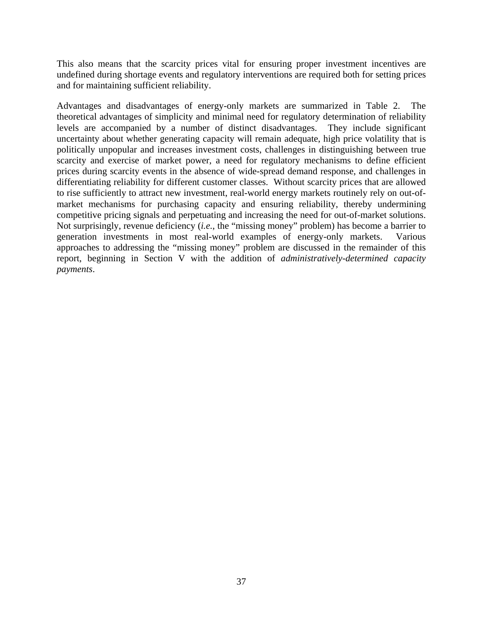This also means that the scarcity prices vital for ensuring proper investment incentives are undefined during shortage events and regulatory interventions are required both for setting prices and for maintaining sufficient reliability.

Advantages and disadvantages of energy-only markets are summarized in Table 2. The theoretical advantages of simplicity and minimal need for regulatory determination of reliability levels are accompanied by a number of distinct disadvantages. They include significant uncertainty about whether generating capacity will remain adequate, high price volatility that is politically unpopular and increases investment costs, challenges in distinguishing between true scarcity and exercise of market power, a need for regulatory mechanisms to define efficient prices during scarcity events in the absence of wide-spread demand response, and challenges in differentiating reliability for different customer classes. Without scarcity prices that are allowed to rise sufficiently to attract new investment, real-world energy markets routinely rely on out-ofmarket mechanisms for purchasing capacity and ensuring reliability, thereby undermining competitive pricing signals and perpetuating and increasing the need for out-of-market solutions. Not surprisingly, revenue deficiency (*i.e.*, the "missing money" problem) has become a barrier to generation investments in most real-world examples of energy-only markets. Various approaches to addressing the "missing money" problem are discussed in the remainder of this report, beginning in Section V with the addition of *administratively-determined capacity payments*.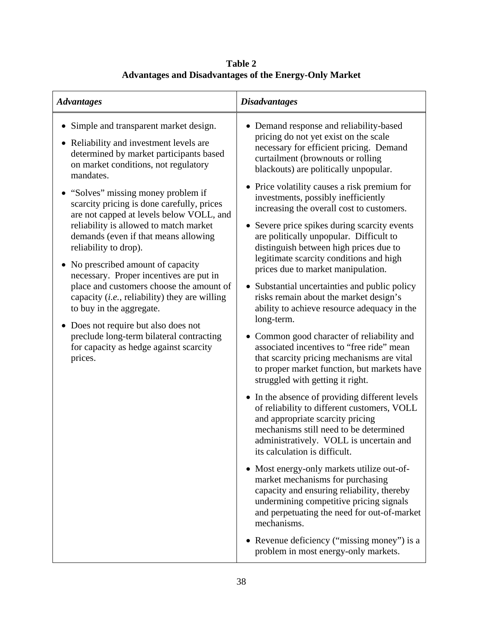| <b>Disadvantages</b>                                                                                                                                                                                                                                                                                                                                                                                                                                                                                                                                                                                                                                                                                                                                                                                                   |
|------------------------------------------------------------------------------------------------------------------------------------------------------------------------------------------------------------------------------------------------------------------------------------------------------------------------------------------------------------------------------------------------------------------------------------------------------------------------------------------------------------------------------------------------------------------------------------------------------------------------------------------------------------------------------------------------------------------------------------------------------------------------------------------------------------------------|
| • Demand response and reliability-based<br>pricing do not yet exist on the scale<br>necessary for efficient pricing. Demand<br>curtailment (brownouts or rolling<br>blackouts) are politically unpopular.<br>• Price volatility causes a risk premium for<br>investments, possibly inefficiently<br>increasing the overall cost to customers.<br>• Severe price spikes during scarcity events<br>are politically unpopular. Difficult to<br>distinguish between high prices due to<br>legitimate scarcity conditions and high<br>prices due to market manipulation.<br>• Substantial uncertainties and public policy<br>risks remain about the market design's<br>ability to achieve resource adequacy in the<br>long-term.<br>• Common good character of reliability and<br>associated incentives to "free ride" mean |
| that scarcity pricing mechanisms are vital<br>to proper market function, but markets have<br>struggled with getting it right.<br>• In the absence of providing different levels<br>of reliability to different customers, VOLL<br>and appropriate scarcity pricing<br>mechanisms still need to be determined<br>administratively. VOLL is uncertain and<br>its calculation is difficult.<br>• Most energy-only markets utilize out-of-<br>market mechanisms for purchasing<br>capacity and ensuring reliability, thereby<br>undermining competitive pricing signals<br>and perpetuating the need for out-of-market<br>mechanisms.<br>• Revenue deficiency ("missing money") is a<br>problem in most energy-only markets.                                                                                               |
|                                                                                                                                                                                                                                                                                                                                                                                                                                                                                                                                                                                                                                                                                                                                                                                                                        |

**Table 2 Advantages and Disadvantages of the Energy-Only Market**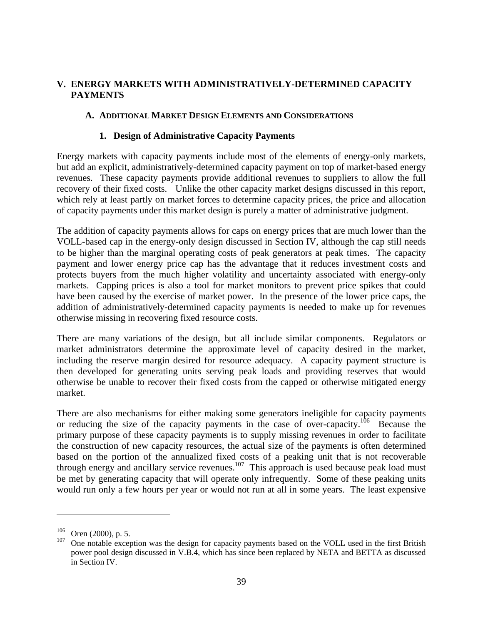## **V. ENERGY MARKETS WITH ADMINISTRATIVELY-DETERMINED CAPACITY PAYMENTS**

### **A. ADDITIONAL MARKET DESIGN ELEMENTS AND CONSIDERATIONS**

### **1. Design of Administrative Capacity Payments**

Energy markets with capacity payments include most of the elements of energy-only markets, but add an explicit, administratively-determined capacity payment on top of market-based energy revenues. These capacity payments provide additional revenues to suppliers to allow the full recovery of their fixed costs. Unlike the other capacity market designs discussed in this report, which rely at least partly on market forces to determine capacity prices, the price and allocation of capacity payments under this market design is purely a matter of administrative judgment.

The addition of capacity payments allows for caps on energy prices that are much lower than the VOLL-based cap in the energy-only design discussed in Section IV, although the cap still needs to be higher than the marginal operating costs of peak generators at peak times. The capacity payment and lower energy price cap has the advantage that it reduces investment costs and protects buyers from the much higher volatility and uncertainty associated with energy-only markets. Capping prices is also a tool for market monitors to prevent price spikes that could have been caused by the exercise of market power. In the presence of the lower price caps, the addition of administratively-determined capacity payments is needed to make up for revenues otherwise missing in recovering fixed resource costs.

There are many variations of the design, but all include similar components. Regulators or market administrators determine the approximate level of capacity desired in the market, including the reserve margin desired for resource adequacy. A capacity payment structure is then developed for generating units serving peak loads and providing reserves that would otherwise be unable to recover their fixed costs from the capped or otherwise mitigated energy market.

There are also mechanisms for either making some generators ineligible for capacity payments or reducing the size of the capacity payments in the case of over-capacity.<sup>106</sup> Because the primary purpose of these capacity payments is to supply missing revenues in order to facilitate the construction of new capacity resources, the actual size of the payments is often determined based on the portion of the annualized fixed costs of a peaking unit that is not recoverable through energy and ancillary service revenues.<sup>107</sup> This approach is used because peak load must be met by generating capacity that will operate only infrequently. Some of these peaking units would run only a few hours per year or would not run at all in some years. The least expensive

 $\frac{106}{107}$  Oren (2000), p. 5.

One notable exception was the design for capacity payments based on the VOLL used in the first British power pool design discussed in V.B.4, which has since been replaced by NETA and BETTA as discussed in Section IV.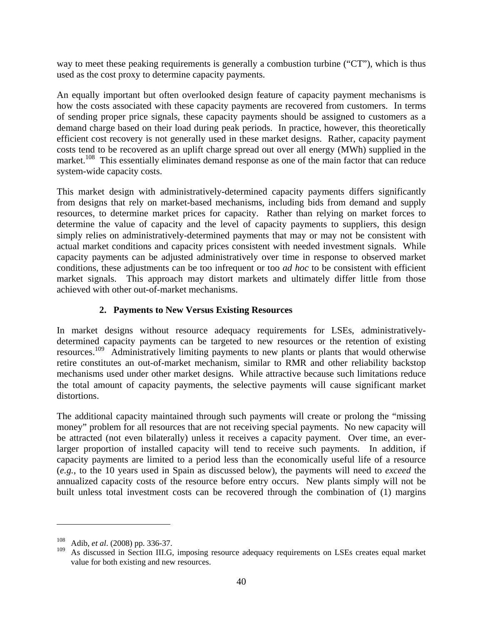way to meet these peaking requirements is generally a combustion turbine ("CT"), which is thus used as the cost proxy to determine capacity payments.

An equally important but often overlooked design feature of capacity payment mechanisms is how the costs associated with these capacity payments are recovered from customers. In terms of sending proper price signals, these capacity payments should be assigned to customers as a demand charge based on their load during peak periods. In practice, however, this theoretically efficient cost recovery is not generally used in these market designs. Rather, capacity payment costs tend to be recovered as an uplift charge spread out over all energy (MWh) supplied in the market.<sup>108</sup> This essentially eliminates demand response as one of the main factor that can reduce system-wide capacity costs.

This market design with administratively-determined capacity payments differs significantly from designs that rely on market-based mechanisms, including bids from demand and supply resources, to determine market prices for capacity. Rather than relying on market forces to determine the value of capacity and the level of capacity payments to suppliers, this design simply relies on administratively-determined payments that may or may not be consistent with actual market conditions and capacity prices consistent with needed investment signals. While capacity payments can be adjusted administratively over time in response to observed market conditions, these adjustments can be too infrequent or too *ad hoc* to be consistent with efficient market signals. This approach may distort markets and ultimately differ little from those achieved with other out-of-market mechanisms.

### **2. Payments to New Versus Existing Resources**

In market designs without resource adequacy requirements for LSEs, administrativelydetermined capacity payments can be targeted to new resources or the retention of existing resources.109 Administratively limiting payments to new plants or plants that would otherwise retire constitutes an out-of-market mechanism, similar to RMR and other reliability backstop mechanisms used under other market designs. While attractive because such limitations reduce the total amount of capacity payments, the selective payments will cause significant market distortions.

The additional capacity maintained through such payments will create or prolong the "missing money" problem for all resources that are not receiving special payments. No new capacity will be attracted (not even bilaterally) unless it receives a capacity payment. Over time, an everlarger proportion of installed capacity will tend to receive such payments. In addition, if capacity payments are limited to a period less than the economically useful life of a resource (*e.g.*, to the 10 years used in Spain as discussed below), the payments will need to *exceed* the annualized capacity costs of the resource before entry occurs. New plants simply will not be built unless total investment costs can be recovered through the combination of (1) margins

<sup>108</sup> Adib, *et al*. (2008) pp. 336-37.

<sup>109</sup> As discussed in Section III.G, imposing resource adequacy requirements on LSEs creates equal market value for both existing and new resources.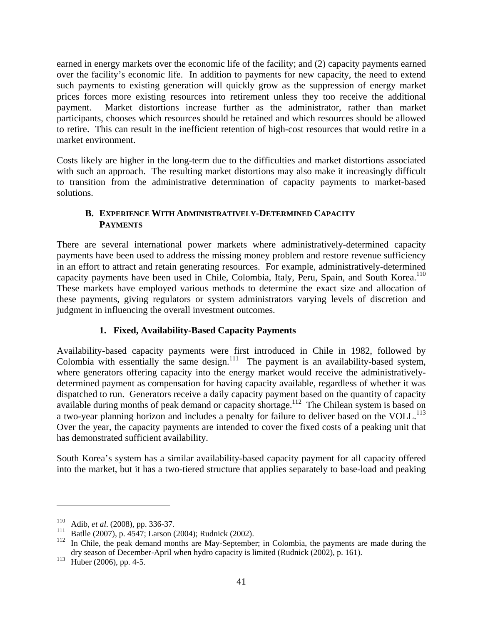earned in energy markets over the economic life of the facility; and (2) capacity payments earned over the facility's economic life. In addition to payments for new capacity, the need to extend such payments to existing generation will quickly grow as the suppression of energy market prices forces more existing resources into retirement unless they too receive the additional payment. Market distortions increase further as the administrator, rather than market participants, chooses which resources should be retained and which resources should be allowed to retire. This can result in the inefficient retention of high-cost resources that would retire in a market environment.

Costs likely are higher in the long-term due to the difficulties and market distortions associated with such an approach. The resulting market distortions may also make it increasingly difficult to transition from the administrative determination of capacity payments to market-based solutions.

### **B. EXPERIENCE WITH ADMINISTRATIVELY-DETERMINED CAPACITY PAYMENTS**

There are several international power markets where administratively-determined capacity payments have been used to address the missing money problem and restore revenue sufficiency in an effort to attract and retain generating resources. For example, administratively-determined capacity payments have been used in Chile, Colombia, Italy, Peru, Spain, and South Korea.<sup>110</sup> These markets have employed various methods to determine the exact size and allocation of these payments, giving regulators or system administrators varying levels of discretion and judgment in influencing the overall investment outcomes.

# **1. Fixed, Availability-Based Capacity Payments**

Availability-based capacity payments were first introduced in Chile in 1982, followed by Colombia with essentially the same design.<sup>111</sup> The payment is an availability-based system, where generators offering capacity into the energy market would receive the administrativelydetermined payment as compensation for having capacity available, regardless of whether it was dispatched to run. Generators receive a daily capacity payment based on the quantity of capacity available during months of peak demand or capacity shortage.<sup>112</sup> The Chilean system is based on a two-year planning horizon and includes a penalty for failure to deliver based on the VOLL.<sup>113</sup> Over the year, the capacity payments are intended to cover the fixed costs of a peaking unit that has demonstrated sufficient availability.

South Korea's system has a similar availability-based capacity payment for all capacity offered into the market, but it has a two-tiered structure that applies separately to base-load and peaking

<u>.</u>

<sup>110</sup> Adib, *et al*. (2008), pp. 336-37.

<sup>111</sup> Batlle (2007), p. 4547; Larson (2004); Rudnick (2002).

<sup>&</sup>lt;sup>112</sup> In Chile, the peak demand months are May-September; in Colombia, the payments are made during the dry season of December-April when hydro capacity is limited (Rudnick (2002), p. 161).

 $113$  Huber (2006), pp. 4-5.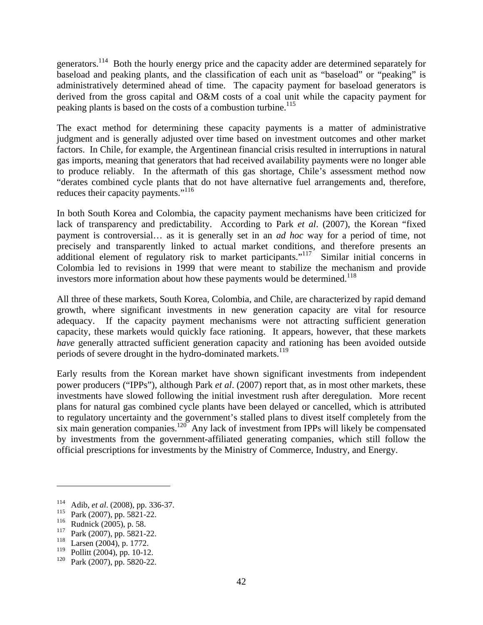generators.<sup>114</sup> Both the hourly energy price and the capacity adder are determined separately for baseload and peaking plants, and the classification of each unit as "baseload" or "peaking" is administratively determined ahead of time. The capacity payment for baseload generators is derived from the gross capital and O&M costs of a coal unit while the capacity payment for peaking plants is based on the costs of a combustion turbine.<sup>115</sup>

The exact method for determining these capacity payments is a matter of administrative judgment and is generally adjusted over time based on investment outcomes and other market factors. In Chile, for example, the Argentinean financial crisis resulted in interruptions in natural gas imports, meaning that generators that had received availability payments were no longer able to produce reliably. In the aftermath of this gas shortage, Chile's assessment method now "derates combined cycle plants that do not have alternative fuel arrangements and, therefore, reduces their capacity payments."<sup>116</sup>

In both South Korea and Colombia, the capacity payment mechanisms have been criticized for lack of transparency and predictability. According to Park *et al*. (2007), the Korean "fixed payment is controversial… as it is generally set in an *ad hoc* way for a period of time, not precisely and transparently linked to actual market conditions, and therefore presents an additional element of regulatory risk to market participants."<sup>117</sup> Similar initial concerns in Colombia led to revisions in 1999 that were meant to stabilize the mechanism and provide investors more information about how these payments would be determined.<sup>118</sup>

All three of these markets, South Korea, Colombia, and Chile, are characterized by rapid demand growth, where significant investments in new generation capacity are vital for resource adequacy. If the capacity payment mechanisms were not attracting sufficient generation capacity, these markets would quickly face rationing. It appears, however, that these markets *have* generally attracted sufficient generation capacity and rationing has been avoided outside periods of severe drought in the hydro-dominated markets.<sup>119</sup>

Early results from the Korean market have shown significant investments from independent power producers ("IPPs"), although Park *et al*. (2007) report that, as in most other markets, these investments have slowed following the initial investment rush after deregulation. More recent plans for natural gas combined cycle plants have been delayed or cancelled, which is attributed to regulatory uncertainty and the government's stalled plans to divest itself completely from the six main generation companies.<sup>120</sup> Any lack of investment from IPPs will likely be compensated by investments from the government-affiliated generating companies, which still follow the official prescriptions for investments by the Ministry of Commerce, Industry, and Energy.

<sup>&</sup>lt;sup>114</sup> Adib, *et al.* (2008), pp. 336-37.<br><sup>115</sup> Pork (2007), pp. 5821.22.

<sup>&</sup>lt;sup>115</sup> Park (2007), pp. 5821-22.<br><sup>116</sup> Pudnick (2005), p. 58

<sup>&</sup>lt;sup>116</sup> Rudnick (2005), p. 58.<br><sup>117</sup> Park (2007), pp. 5821.

<sup>&</sup>lt;sup>117</sup> Park (2007), pp. 5821-22.<br><sup>118</sup> Larsen (2004), p. 1772.

Larsen (2004), p. 1772.

<sup>119</sup> Pollitt (2004), pp. 10-12.

<sup>120</sup> Park (2007), pp. 5820-22.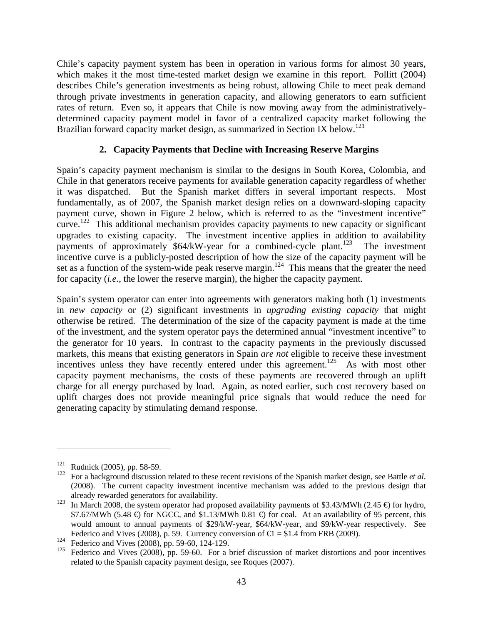Chile's capacity payment system has been in operation in various forms for almost 30 years, which makes it the most time-tested market design we examine in this report. Pollitt (2004) describes Chile's generation investments as being robust, allowing Chile to meet peak demand through private investments in generation capacity, and allowing generators to earn sufficient rates of return. Even so, it appears that Chile is now moving away from the administrativelydetermined capacity payment model in favor of a centralized capacity market following the Brazilian forward capacity market design, as summarized in Section IX below.<sup>121</sup>

### **2. Capacity Payments that Decline with Increasing Reserve Margins**

Spain's capacity payment mechanism is similar to the designs in South Korea, Colombia, and Chile in that generators receive payments for available generation capacity regardless of whether it was dispatched. But the Spanish market differs in several important respects. Most fundamentally, as of 2007, the Spanish market design relies on a downward-sloping capacity payment curve, shown in Figure 2 below, which is referred to as the "investment incentive"  $c$ urve.<sup>122</sup> This additional mechanism provides capacity payments to new capacity or significant upgrades to existing capacity. The investment incentive applies in addition to availability payments of approximately \$64/kW-year for a combined-cycle plant.<sup>123</sup> The investment incentive curve is a publicly-posted description of how the size of the capacity payment will be set as a function of the system-wide peak reserve margin.<sup>124</sup> This means that the greater the need for capacity (*i.e.*, the lower the reserve margin), the higher the capacity payment.

Spain's system operator can enter into agreements with generators making both (1) investments in *new capacity* or (2) significant investments in *upgrading existing capacity* that might otherwise be retired. The determination of the size of the capacity payment is made at the time of the investment, and the system operator pays the determined annual "investment incentive" to the generator for 10 years. In contrast to the capacity payments in the previously discussed markets, this means that existing generators in Spain *are not* eligible to receive these investment incentives unless they have recently entered under this agreement.<sup>125</sup> As with most other capacity payment mechanisms, the costs of these payments are recovered through an uplift charge for all energy purchased by load. Again, as noted earlier, such cost recovery based on uplift charges does not provide meaningful price signals that would reduce the need for generating capacity by stimulating demand response.

<sup>121</sup> Rudnick (2005), pp. 58-59.

<sup>122</sup> For a background discussion related to these recent revisions of the Spanish market design, see Battle *et al*. (2008). The current capacity investment incentive mechanism was added to the previous design that already rewarded generators for availability.

<sup>123</sup> In March 2008, the system operator had proposed availability payments of \$3.43/MWh (2.45  $\oplus$  for hydro,  $$7.67/MWh$  (5.48  $\oplus$  for NGCC, and  $$1.13/MWh$  0.81  $\oplus$  for coal. At an availability of 95 percent, this would amount to annual payments of \$29/kW-year, \$64/kW-year, and \$9/kW-year respectively. See Federico and Vives (2008), p. 59. Currency conversion of  $\epsilon$  = \$1.4 from FRB (2009).

<sup>124</sup> Federico and Vives (2008), pp. 59-60, 124-129.

<sup>&</sup>lt;sup>125</sup> Federico and Vives (2008), pp. 59-60. For a brief discussion of market distortions and poor incentives related to the Spanish capacity payment design, see Roques (2007).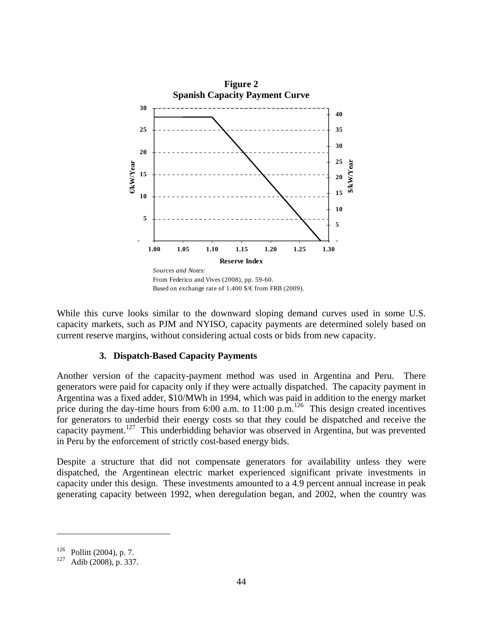

While this curve looks similar to the downward sloping demand curves used in some U.S. capacity markets, such as PJM and NYISO, capacity payments are determined solely based on current reserve margins, without considering actual costs or bids from new capacity.

#### **3. Dispatch-Based Capacity Payments**

Another version of the capacity-payment method was used in Argentina and Peru. There generators were paid for capacity only if they were actually dispatched. The capacity payment in Argentina was a fixed adder, \$10/MWh in 1994, which was paid in addition to the energy market price during the day-time hours from 6:00 a.m. to 11:00 p.m.<sup>126</sup> This design created incentives for generators to underbid their energy costs so that they could be dispatched and receive the capacity payment.127 This underbidding behavior was observed in Argentina, but was prevented in Peru by the enforcement of strictly cost-based energy bids.

Despite a structure that did not compensate generators for availability unless they were dispatched, the Argentinean electric market experienced significant private investments in capacity under this design. These investments amounted to a 4.9 percent annual increase in peak generating capacity between 1992, when deregulation began, and 2002, when the country was

 $^{126}$  Pollitt (2004), p. 7.<br> $^{127}$  Adib (2008), p. 337

Adib (2008), p. 337.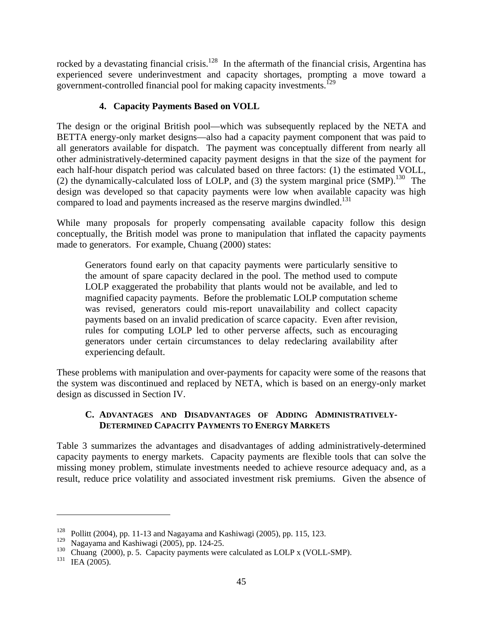rocked by a devastating financial crisis.<sup>128</sup> In the aftermath of the financial crisis, Argentina has experienced severe underinvestment and capacity shortages, prompting a move toward a government-controlled financial pool for making capacity investments.<sup>129</sup>

## **4. Capacity Payments Based on VOLL**

The design or the original British pool—which was subsequently replaced by the NETA and BETTA energy-only market designs—also had a capacity payment component that was paid to all generators available for dispatch. The payment was conceptually different from nearly all other administratively-determined capacity payment designs in that the size of the payment for each half-hour dispatch period was calculated based on three factors: (1) the estimated VOLL, (2) the dynamically-calculated loss of LOLP, and (3) the system marginal price (SMP).<sup>130</sup> The design was developed so that capacity payments were low when available capacity was high compared to load and payments increased as the reserve margins dwindled.<sup>131</sup>

While many proposals for properly compensating available capacity follow this design conceptually, the British model was prone to manipulation that inflated the capacity payments made to generators. For example, Chuang (2000) states:

Generators found early on that capacity payments were particularly sensitive to the amount of spare capacity declared in the pool. The method used to compute LOLP exaggerated the probability that plants would not be available, and led to magnified capacity payments. Before the problematic LOLP computation scheme was revised, generators could mis-report unavailability and collect capacity payments based on an invalid predication of scarce capacity. Even after revision, rules for computing LOLP led to other perverse affects, such as encouraging generators under certain circumstances to delay redeclaring availability after experiencing default.

These problems with manipulation and over-payments for capacity were some of the reasons that the system was discontinued and replaced by NETA, which is based on an energy-only market design as discussed in Section IV.

### **C. ADVANTAGES AND DISADVANTAGES OF ADDING ADMINISTRATIVELY-DETERMINED CAPACITY PAYMENTS TO ENERGY MARKETS**

Table 3 summarizes the advantages and disadvantages of adding administratively-determined capacity payments to energy markets. Capacity payments are flexible tools that can solve the missing money problem, stimulate investments needed to achieve resource adequacy and, as a result, reduce price volatility and associated investment risk premiums. Given the absence of

<sup>&</sup>lt;sup>128</sup> Pollitt (2004), pp. 11-13 and Nagayama and Kashiwagi (2005), pp. 115, 123.

<sup>129</sup> Nagayama and Kashiwagi (2005), pp. 124-25.

<sup>&</sup>lt;sup>130</sup> Chuang (2000), p. 5. Capacity payments were calculated as LOLP x (VOLL-SMP).

 $131$  IEA (2005).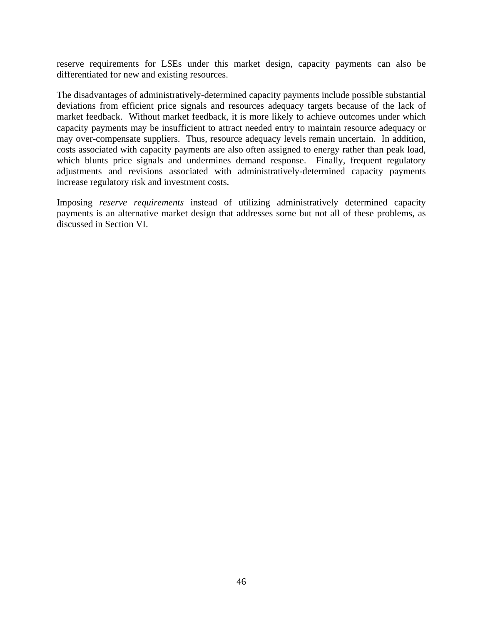reserve requirements for LSEs under this market design, capacity payments can also be differentiated for new and existing resources.

The disadvantages of administratively-determined capacity payments include possible substantial deviations from efficient price signals and resources adequacy targets because of the lack of market feedback. Without market feedback, it is more likely to achieve outcomes under which capacity payments may be insufficient to attract needed entry to maintain resource adequacy or may over-compensate suppliers. Thus, resource adequacy levels remain uncertain. In addition, costs associated with capacity payments are also often assigned to energy rather than peak load, which blunts price signals and undermines demand response. Finally, frequent regulatory adjustments and revisions associated with administratively-determined capacity payments increase regulatory risk and investment costs.

Imposing *reserve requirements* instead of utilizing administratively determined capacity payments is an alternative market design that addresses some but not all of these problems, as discussed in Section VI.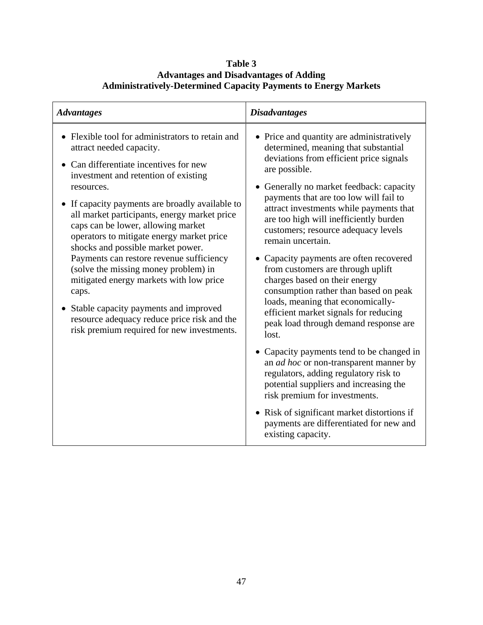| Table 3                                                                |
|------------------------------------------------------------------------|
| <b>Advantages and Disadvantages of Adding</b>                          |
| <b>Administratively-Determined Capacity Payments to Energy Markets</b> |

| <b>Advantages</b>                                                                                                                                                                                                                                                                                                                                                                                                                                                                                                                                                                                                                                                                     | <b>Disadvantages</b>                                                                                                                                                                                                                                                                                                                                                                                                                                                                                                                                                                                                                                                                                                                                                                                                                                                                                                                                                                                             |
|---------------------------------------------------------------------------------------------------------------------------------------------------------------------------------------------------------------------------------------------------------------------------------------------------------------------------------------------------------------------------------------------------------------------------------------------------------------------------------------------------------------------------------------------------------------------------------------------------------------------------------------------------------------------------------------|------------------------------------------------------------------------------------------------------------------------------------------------------------------------------------------------------------------------------------------------------------------------------------------------------------------------------------------------------------------------------------------------------------------------------------------------------------------------------------------------------------------------------------------------------------------------------------------------------------------------------------------------------------------------------------------------------------------------------------------------------------------------------------------------------------------------------------------------------------------------------------------------------------------------------------------------------------------------------------------------------------------|
| • Flexible tool for administrators to retain and<br>attract needed capacity.<br>Can differentiate incentives for new<br>investment and retention of existing<br>resources.<br>• If capacity payments are broadly available to<br>all market participants, energy market price<br>caps can be lower, allowing market<br>operators to mitigate energy market price<br>shocks and possible market power.<br>Payments can restore revenue sufficiency<br>(solve the missing money problem) in<br>mitigated energy markets with low price<br>caps.<br>• Stable capacity payments and improved<br>resource adequacy reduce price risk and the<br>risk premium required for new investments. | • Price and quantity are administratively<br>determined, meaning that substantial<br>deviations from efficient price signals<br>are possible.<br>• Generally no market feedback: capacity<br>payments that are too low will fail to<br>attract investments while payments that<br>are too high will inefficiently burden<br>customers; resource adequacy levels<br>remain uncertain.<br>• Capacity payments are often recovered<br>from customers are through uplift<br>charges based on their energy<br>consumption rather than based on peak<br>loads, meaning that economically-<br>efficient market signals for reducing<br>peak load through demand response are<br>lost.<br>• Capacity payments tend to be changed in<br>an <i>ad hoc</i> or non-transparent manner by<br>regulators, adding regulatory risk to<br>potential suppliers and increasing the<br>risk premium for investments.<br>• Risk of significant market distortions if<br>payments are differentiated for new and<br>existing capacity. |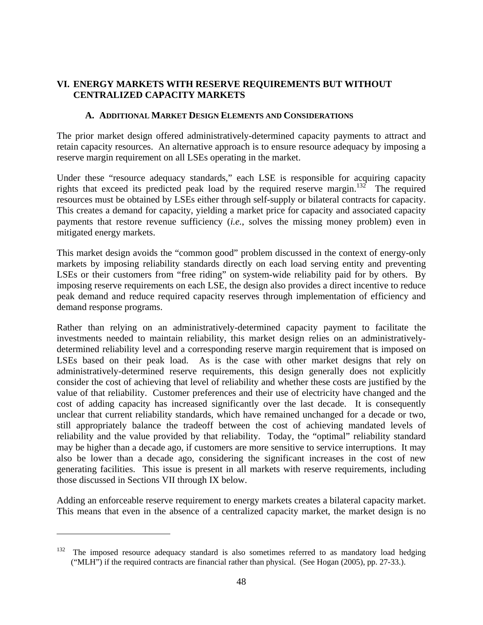## **VI. ENERGY MARKETS WITH RESERVE REQUIREMENTS BUT WITHOUT CENTRALIZED CAPACITY MARKETS**

#### **A. ADDITIONAL MARKET DESIGN ELEMENTS AND CONSIDERATIONS**

The prior market design offered administratively-determined capacity payments to attract and retain capacity resources. An alternative approach is to ensure resource adequacy by imposing a reserve margin requirement on all LSEs operating in the market.

Under these "resource adequacy standards," each LSE is responsible for acquiring capacity rights that exceed its predicted peak load by the required reserve margin.<sup>132</sup> The required resources must be obtained by LSEs either through self-supply or bilateral contracts for capacity. This creates a demand for capacity, yielding a market price for capacity and associated capacity payments that restore revenue sufficiency (*i.e.*, solves the missing money problem) even in mitigated energy markets.

This market design avoids the "common good" problem discussed in the context of energy-only markets by imposing reliability standards directly on each load serving entity and preventing LSEs or their customers from "free riding" on system-wide reliability paid for by others. By imposing reserve requirements on each LSE, the design also provides a direct incentive to reduce peak demand and reduce required capacity reserves through implementation of efficiency and demand response programs.

Rather than relying on an administratively-determined capacity payment to facilitate the investments needed to maintain reliability, this market design relies on an administrativelydetermined reliability level and a corresponding reserve margin requirement that is imposed on LSEs based on their peak load. As is the case with other market designs that rely on administratively-determined reserve requirements, this design generally does not explicitly consider the cost of achieving that level of reliability and whether these costs are justified by the value of that reliability. Customer preferences and their use of electricity have changed and the cost of adding capacity has increased significantly over the last decade. It is consequently unclear that current reliability standards, which have remained unchanged for a decade or two, still appropriately balance the tradeoff between the cost of achieving mandated levels of reliability and the value provided by that reliability. Today, the "optimal" reliability standard may be higher than a decade ago, if customers are more sensitive to service interruptions. It may also be lower than a decade ago, considering the significant increases in the cost of new generating facilities. This issue is present in all markets with reserve requirements, including those discussed in Sections VII through IX below.

Adding an enforceable reserve requirement to energy markets creates a bilateral capacity market. This means that even in the absence of a centralized capacity market, the market design is no

 $132$  The imposed resource adequacy standard is also sometimes referred to as mandatory load hedging ("MLH") if the required contracts are financial rather than physical. (See Hogan (2005), pp. 27-33.).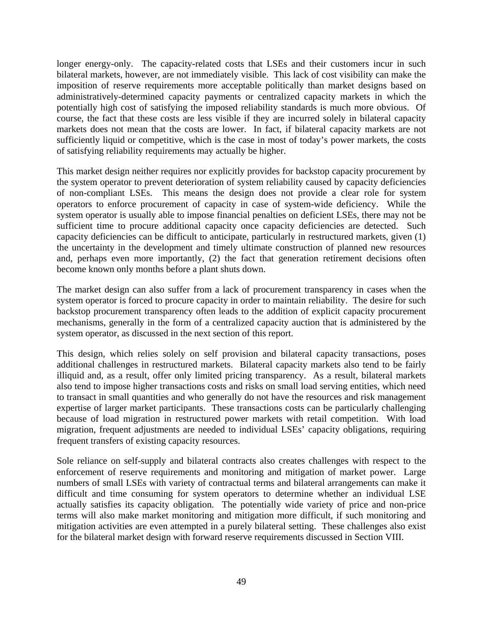longer energy-only. The capacity-related costs that LSEs and their customers incur in such bilateral markets, however, are not immediately visible. This lack of cost visibility can make the imposition of reserve requirements more acceptable politically than market designs based on administratively-determined capacity payments or centralized capacity markets in which the potentially high cost of satisfying the imposed reliability standards is much more obvious. Of course, the fact that these costs are less visible if they are incurred solely in bilateral capacity markets does not mean that the costs are lower. In fact, if bilateral capacity markets are not sufficiently liquid or competitive, which is the case in most of today's power markets, the costs of satisfying reliability requirements may actually be higher.

This market design neither requires nor explicitly provides for backstop capacity procurement by the system operator to prevent deterioration of system reliability caused by capacity deficiencies of non-compliant LSEs. This means the design does not provide a clear role for system operators to enforce procurement of capacity in case of system-wide deficiency. While the system operator is usually able to impose financial penalties on deficient LSEs, there may not be sufficient time to procure additional capacity once capacity deficiencies are detected. Such capacity deficiencies can be difficult to anticipate, particularly in restructured markets, given (1) the uncertainty in the development and timely ultimate construction of planned new resources and, perhaps even more importantly, (2) the fact that generation retirement decisions often become known only months before a plant shuts down.

The market design can also suffer from a lack of procurement transparency in cases when the system operator is forced to procure capacity in order to maintain reliability. The desire for such backstop procurement transparency often leads to the addition of explicit capacity procurement mechanisms, generally in the form of a centralized capacity auction that is administered by the system operator, as discussed in the next section of this report.

This design, which relies solely on self provision and bilateral capacity transactions, poses additional challenges in restructured markets. Bilateral capacity markets also tend to be fairly illiquid and, as a result, offer only limited pricing transparency. As a result, bilateral markets also tend to impose higher transactions costs and risks on small load serving entities, which need to transact in small quantities and who generally do not have the resources and risk management expertise of larger market participants. These transactions costs can be particularly challenging because of load migration in restructured power markets with retail competition. With load migration, frequent adjustments are needed to individual LSEs' capacity obligations, requiring frequent transfers of existing capacity resources.

Sole reliance on self-supply and bilateral contracts also creates challenges with respect to the enforcement of reserve requirements and monitoring and mitigation of market power. Large numbers of small LSEs with variety of contractual terms and bilateral arrangements can make it difficult and time consuming for system operators to determine whether an individual LSE actually satisfies its capacity obligation. The potentially wide variety of price and non-price terms will also make market monitoring and mitigation more difficult, if such monitoring and mitigation activities are even attempted in a purely bilateral setting. These challenges also exist for the bilateral market design with forward reserve requirements discussed in Section VIII.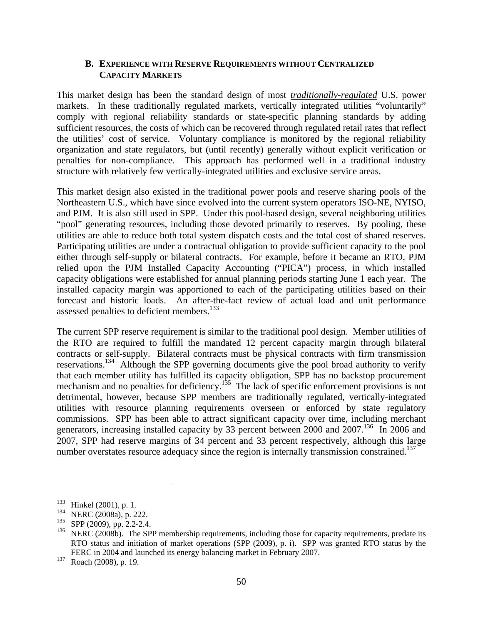#### **B. EXPERIENCE WITH RESERVE REQUIREMENTS WITHOUT CENTRALIZED CAPACITY MARKETS**

This market design has been the standard design of most *traditionally-regulated* U.S. power markets. In these traditionally regulated markets, vertically integrated utilities "voluntarily" comply with regional reliability standards or state-specific planning standards by adding sufficient resources, the costs of which can be recovered through regulated retail rates that reflect the utilities' cost of service. Voluntary compliance is monitored by the regional reliability organization and state regulators, but (until recently) generally without explicit verification or penalties for non-compliance. This approach has performed well in a traditional industry structure with relatively few vertically-integrated utilities and exclusive service areas.

This market design also existed in the traditional power pools and reserve sharing pools of the Northeastern U.S., which have since evolved into the current system operators ISO-NE, NYISO, and PJM. It is also still used in SPP. Under this pool-based design, several neighboring utilities "pool" generating resources, including those devoted primarily to reserves. By pooling, these utilities are able to reduce both total system dispatch costs and the total cost of shared reserves. Participating utilities are under a contractual obligation to provide sufficient capacity to the pool either through self-supply or bilateral contracts. For example, before it became an RTO, PJM relied upon the PJM Installed Capacity Accounting ("PICA") process, in which installed capacity obligations were established for annual planning periods starting June 1 each year. The installed capacity margin was apportioned to each of the participating utilities based on their forecast and historic loads. An after-the-fact review of actual load and unit performance assessed penalties to deficient members.<sup>133</sup>

The current SPP reserve requirement is similar to the traditional pool design. Member utilities of the RTO are required to fulfill the mandated 12 percent capacity margin through bilateral contracts or self-supply. Bilateral contracts must be physical contracts with firm transmission reservations.134 Although the SPP governing documents give the pool broad authority to verify that each member utility has fulfilled its capacity obligation, SPP has no backstop procurement mechanism and no penalties for deficiency.<sup>135</sup> The lack of specific enforcement provisions is not detrimental, however, because SPP members are traditionally regulated, vertically-integrated utilities with resource planning requirements overseen or enforced by state regulatory commissions. SPP has been able to attract significant capacity over time, including merchant generators, increasing installed capacity by 33 percent between 2000 and 2007.<sup>136</sup> In 2006 and 2007, SPP had reserve margins of 34 percent and 33 percent respectively, although this large number overstates resource adequacy since the region is internally transmission constrained.<sup>137</sup>

 $133$  Hinkel (2001), p. 1.

 $^{134}$  NERC (2008a), p. 222.

 $^{135}$  SPP (2009), pp. 2.2-2.4.<br> $^{136}$  NEPC (2008b) The SP

NERC (2008b). The SPP membership requirements, including those for capacity requirements, predate its RTO status and initiation of market operations (SPP (2009), p. i). SPP was granted RTO status by the FERC in 2004 and launched its energy balancing market in February 2007.

<sup>137</sup> Roach (2008), p. 19.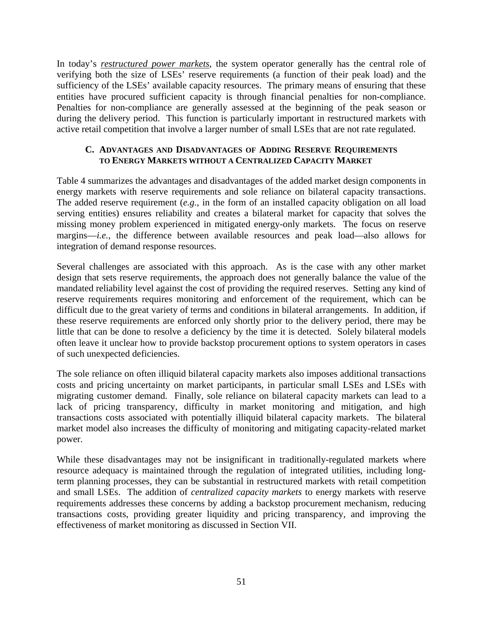In today's *restructured power markets*, the system operator generally has the central role of verifying both the size of LSEs' reserve requirements (a function of their peak load) and the sufficiency of the LSEs' available capacity resources. The primary means of ensuring that these entities have procured sufficient capacity is through financial penalties for non-compliance. Penalties for non-compliance are generally assessed at the beginning of the peak season or during the delivery period. This function is particularly important in restructured markets with active retail competition that involve a larger number of small LSEs that are not rate regulated.

#### **C. ADVANTAGES AND DISADVANTAGES OF ADDING RESERVE REQUIREMENTS TO ENERGY MARKETS WITHOUT A CENTRALIZED CAPACITY MARKET**

Table 4 summarizes the advantages and disadvantages of the added market design components in energy markets with reserve requirements and sole reliance on bilateral capacity transactions. The added reserve requirement (*e.g.*, in the form of an installed capacity obligation on all load serving entities) ensures reliability and creates a bilateral market for capacity that solves the missing money problem experienced in mitigated energy-only markets. The focus on reserve margins—*i.e.*, the difference between available resources and peak load—also allows for integration of demand response resources.

Several challenges are associated with this approach. As is the case with any other market design that sets reserve requirements, the approach does not generally balance the value of the mandated reliability level against the cost of providing the required reserves. Setting any kind of reserve requirements requires monitoring and enforcement of the requirement, which can be difficult due to the great variety of terms and conditions in bilateral arrangements. In addition, if these reserve requirements are enforced only shortly prior to the delivery period, there may be little that can be done to resolve a deficiency by the time it is detected. Solely bilateral models often leave it unclear how to provide backstop procurement options to system operators in cases of such unexpected deficiencies.

The sole reliance on often illiquid bilateral capacity markets also imposes additional transactions costs and pricing uncertainty on market participants, in particular small LSEs and LSEs with migrating customer demand. Finally, sole reliance on bilateral capacity markets can lead to a lack of pricing transparency, difficulty in market monitoring and mitigation, and high transactions costs associated with potentially illiquid bilateral capacity markets. The bilateral market model also increases the difficulty of monitoring and mitigating capacity-related market power.

While these disadvantages may not be insignificant in traditionally-regulated markets where resource adequacy is maintained through the regulation of integrated utilities, including longterm planning processes, they can be substantial in restructured markets with retail competition and small LSEs. The addition of *centralized capacity markets* to energy markets with reserve requirements addresses these concerns by adding a backstop procurement mechanism, reducing transactions costs, providing greater liquidity and pricing transparency, and improving the effectiveness of market monitoring as discussed in Section VII.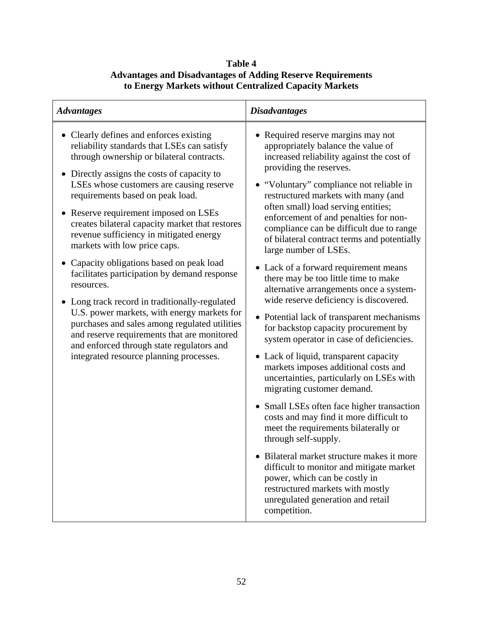## **Table 4 Advantages and Disadvantages of Adding Reserve Requirements to Energy Markets without Centralized Capacity Markets**

| <b>Advantages</b>                                                                                                                                                                                                                                                                                                                                                                                                                                                                                                                                                                                                                                                                                                                                                                                                                             | <b>Disadvantages</b>                                                                                                                                                                                                                                                                                                                                                                                                                                                                                                                                                                                                                                                                                                                                                                                                                                                                                                                                                                                                                                                                                                                                                                                                                                                                   |
|-----------------------------------------------------------------------------------------------------------------------------------------------------------------------------------------------------------------------------------------------------------------------------------------------------------------------------------------------------------------------------------------------------------------------------------------------------------------------------------------------------------------------------------------------------------------------------------------------------------------------------------------------------------------------------------------------------------------------------------------------------------------------------------------------------------------------------------------------|----------------------------------------------------------------------------------------------------------------------------------------------------------------------------------------------------------------------------------------------------------------------------------------------------------------------------------------------------------------------------------------------------------------------------------------------------------------------------------------------------------------------------------------------------------------------------------------------------------------------------------------------------------------------------------------------------------------------------------------------------------------------------------------------------------------------------------------------------------------------------------------------------------------------------------------------------------------------------------------------------------------------------------------------------------------------------------------------------------------------------------------------------------------------------------------------------------------------------------------------------------------------------------------|
| • Clearly defines and enforces existing<br>reliability standards that LSEs can satisfy<br>through ownership or bilateral contracts.<br>• Directly assigns the costs of capacity to<br>LSEs whose customers are causing reserve<br>requirements based on peak load.<br>• Reserve requirement imposed on LSEs<br>creates bilateral capacity market that restores<br>revenue sufficiency in mitigated energy<br>markets with low price caps.<br>• Capacity obligations based on peak load<br>facilitates participation by demand response<br>resources.<br>• Long track record in traditionally-regulated<br>U.S. power markets, with energy markets for<br>purchases and sales among regulated utilities<br>and reserve requirements that are monitored<br>and enforced through state regulators and<br>integrated resource planning processes. | • Required reserve margins may not<br>appropriately balance the value of<br>increased reliability against the cost of<br>providing the reserves.<br>• "Voluntary" compliance not reliable in<br>restructured markets with many (and<br>often small) load serving entities;<br>enforcement of and penalties for non-<br>compliance can be difficult due to range<br>of bilateral contract terms and potentially<br>large number of LSEs.<br>• Lack of a forward requirement means<br>there may be too little time to make<br>alternative arrangements once a system-<br>wide reserve deficiency is discovered.<br>• Potential lack of transparent mechanisms<br>for backstop capacity procurement by<br>system operator in case of deficiencies.<br>• Lack of liquid, transparent capacity<br>markets imposes additional costs and<br>uncertainties, particularly on LSEs with<br>migrating customer demand.<br>• Small LSEs often face higher transaction<br>costs and may find it more difficult to<br>meet the requirements bilaterally or<br>through self-supply.<br>Bilateral market structure makes it more<br>difficult to monitor and mitigate market<br>power, which can be costly in<br>restructured markets with mostly<br>unregulated generation and retail<br>competition. |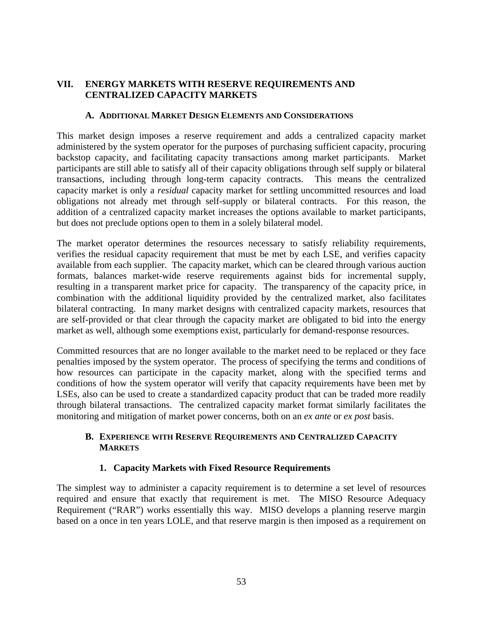## **VII. ENERGY MARKETS WITH RESERVE REQUIREMENTS AND CENTRALIZED CAPACITY MARKETS**

#### **A. ADDITIONAL MARKET DESIGN ELEMENTS AND CONSIDERATIONS**

This market design imposes a reserve requirement and adds a centralized capacity market administered by the system operator for the purposes of purchasing sufficient capacity, procuring backstop capacity, and facilitating capacity transactions among market participants. Market participants are still able to satisfy all of their capacity obligations through self supply or bilateral transactions, including through long-term capacity contracts. This means the centralized capacity market is only a *residual* capacity market for settling uncommitted resources and load obligations not already met through self-supply or bilateral contracts. For this reason, the addition of a centralized capacity market increases the options available to market participants, but does not preclude options open to them in a solely bilateral model.

The market operator determines the resources necessary to satisfy reliability requirements, verifies the residual capacity requirement that must be met by each LSE, and verifies capacity available from each supplier. The capacity market, which can be cleared through various auction formats, balances market-wide reserve requirements against bids for incremental supply, resulting in a transparent market price for capacity. The transparency of the capacity price, in combination with the additional liquidity provided by the centralized market, also facilitates bilateral contracting. In many market designs with centralized capacity markets, resources that are self-provided or that clear through the capacity market are obligated to bid into the energy market as well, although some exemptions exist, particularly for demand-response resources.

Committed resources that are no longer available to the market need to be replaced or they face penalties imposed by the system operator. The process of specifying the terms and conditions of how resources can participate in the capacity market, along with the specified terms and conditions of how the system operator will verify that capacity requirements have been met by LSEs, also can be used to create a standardized capacity product that can be traded more readily through bilateral transactions. The centralized capacity market format similarly facilitates the monitoring and mitigation of market power concerns, both on an *ex ante* or *ex post* basis.

### **B. EXPERIENCE WITH RESERVE REQUIREMENTS AND CENTRALIZED CAPACITY MARKETS**

## **1. Capacity Markets with Fixed Resource Requirements**

The simplest way to administer a capacity requirement is to determine a set level of resources required and ensure that exactly that requirement is met. The MISO Resource Adequacy Requirement ("RAR") works essentially this way. MISO develops a planning reserve margin based on a once in ten years LOLE, and that reserve margin is then imposed as a requirement on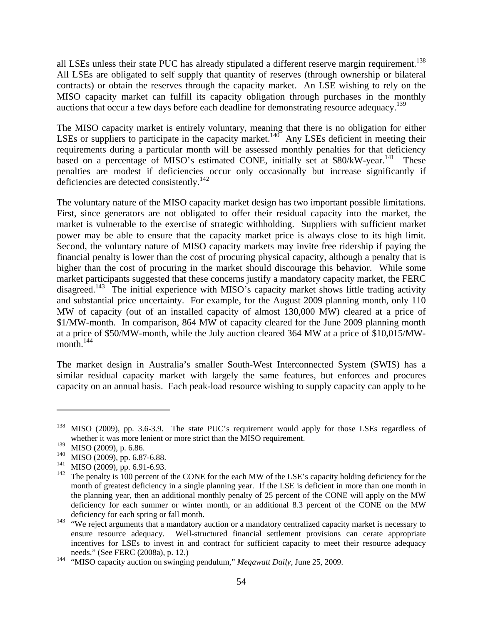all LSEs unless their state PUC has already stipulated a different reserve margin requirement.<sup>138</sup> All LSEs are obligated to self supply that quantity of reserves (through ownership or bilateral contracts) or obtain the reserves through the capacity market. An LSE wishing to rely on the MISO capacity market can fulfill its capacity obligation through purchases in the monthly auctions that occur a few days before each deadline for demonstrating resource adequacy.<sup>139</sup>

The MISO capacity market is entirely voluntary, meaning that there is no obligation for either LSEs or suppliers to participate in the capacity market.<sup>140</sup> Any LSEs deficient in meeting their requirements during a particular month will be assessed monthly penalties for that deficiency based on a percentage of MISO's estimated CONE, initially set at  $$80/kW-year.<sup>141</sup>$  These penalties are modest if deficiencies occur only occasionally but increase significantly if deficiencies are detected consistently.<sup>142</sup>

The voluntary nature of the MISO capacity market design has two important possible limitations. First, since generators are not obligated to offer their residual capacity into the market, the market is vulnerable to the exercise of strategic withholding. Suppliers with sufficient market power may be able to ensure that the capacity market price is always close to its high limit. Second, the voluntary nature of MISO capacity markets may invite free ridership if paying the financial penalty is lower than the cost of procuring physical capacity, although a penalty that is higher than the cost of procuring in the market should discourage this behavior. While some market participants suggested that these concerns justify a mandatory capacity market, the FERC disagreed.<sup>143</sup> The initial experience with MISO's capacity market shows little trading activity and substantial price uncertainty. For example, for the August 2009 planning month, only 110 MW of capacity (out of an installed capacity of almost 130,000 MW) cleared at a price of \$1/MW-month. In comparison, 864 MW of capacity cleared for the June 2009 planning month at a price of \$50/MW-month, while the July auction cleared 364 MW at a price of \$10,015/MWmonth. $144$ 

The market design in Australia's smaller South-West Interconnected System (SWIS) has a similar residual capacity market with largely the same features, but enforces and procures capacity on an annual basis. Each peak-load resource wishing to supply capacity can apply to be

<sup>&</sup>lt;sup>138</sup> MISO (2009), pp. 3.6-3.9. The state PUC's requirement would apply for those LSEs regardless of whether it was more lenient or more strict than the MISO requirement.

 $139$  MISO (2009), p. 6.86.

<sup>&</sup>lt;sup>140</sup> MISO (2009), pp. 6.87-6.88.<br><sup>141</sup> MISO (2000), pp. 6.01.6.03

 $141$  MISO (2009), pp. 6.91-6.93.

The penalty is 100 percent of the CONE for the each MW of the LSE's capacity holding deficiency for the month of greatest deficiency in a single planning year. If the LSE is deficient in more than one month in the planning year, then an additional monthly penalty of 25 percent of the CONE will apply on the MW deficiency for each summer or winter month, or an additional 8.3 percent of the CONE on the MW deficiency for each spring or fall month.

<sup>&</sup>lt;sup>143</sup> "We reject arguments that a mandatory auction or a mandatory centralized capacity market is necessary to ensure resource adequacy. Well-structured financial settlement provisions can cerate appropriate incentives for LSEs to invest in and contract for sufficient capacity to meet their resource adequacy needs." (See FERC (2008a), p. 12.)

<sup>&</sup>lt;sup>144</sup> "MISO capacity auction on swinging pendulum," *Megawatt Daily*, June 25, 2009.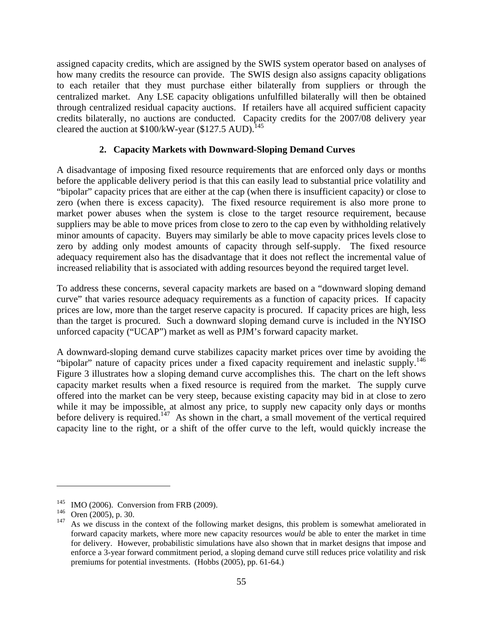assigned capacity credits, which are assigned by the SWIS system operator based on analyses of how many credits the resource can provide. The SWIS design also assigns capacity obligations to each retailer that they must purchase either bilaterally from suppliers or through the centralized market. Any LSE capacity obligations unfulfilled bilaterally will then be obtained through centralized residual capacity auctions. If retailers have all acquired sufficient capacity credits bilaterally, no auctions are conducted. Capacity credits for the 2007/08 delivery year cleared the auction at  $$100/kW$ -year (\$127.5 AUD).<sup>145</sup>

## **2. Capacity Markets with Downward-Sloping Demand Curves**

A disadvantage of imposing fixed resource requirements that are enforced only days or months before the applicable delivery period is that this can easily lead to substantial price volatility and "bipolar" capacity prices that are either at the cap (when there is insufficient capacity) or close to zero (when there is excess capacity). The fixed resource requirement is also more prone to market power abuses when the system is close to the target resource requirement, because suppliers may be able to move prices from close to zero to the cap even by withholding relatively minor amounts of capacity. Buyers may similarly be able to move capacity prices levels close to zero by adding only modest amounts of capacity through self-supply. The fixed resource adequacy requirement also has the disadvantage that it does not reflect the incremental value of increased reliability that is associated with adding resources beyond the required target level.

To address these concerns, several capacity markets are based on a "downward sloping demand curve" that varies resource adequacy requirements as a function of capacity prices. If capacity prices are low, more than the target reserve capacity is procured. If capacity prices are high, less than the target is procured. Such a downward sloping demand curve is included in the NYISO unforced capacity ("UCAP") market as well as PJM's forward capacity market.

A downward-sloping demand curve stabilizes capacity market prices over time by avoiding the "bipolar" nature of capacity prices under a fixed capacity requirement and inelastic supply.<sup>146</sup> Figure 3 illustrates how a sloping demand curve accomplishes this. The chart on the left shows capacity market results when a fixed resource is required from the market. The supply curve offered into the market can be very steep, because existing capacity may bid in at close to zero while it may be impossible, at almost any price, to supply new capacity only days or months before delivery is required.<sup>147</sup> As shown in the chart, a small movement of the vertical required capacity line to the right, or a shift of the offer curve to the left, would quickly increase the

<sup>&</sup>lt;sup>145</sup> IMO (2006). Conversion from FRB (2009).

 $^{146}$  Oren (2005), p. 30.

As we discuss in the context of the following market designs, this problem is somewhat ameliorated in forward capacity markets, where more new capacity resources *would* be able to enter the market in time for delivery. However, probabilistic simulations have also shown that in market designs that impose and enforce a 3-year forward commitment period, a sloping demand curve still reduces price volatility and risk premiums for potential investments. (Hobbs (2005), pp. 61-64.)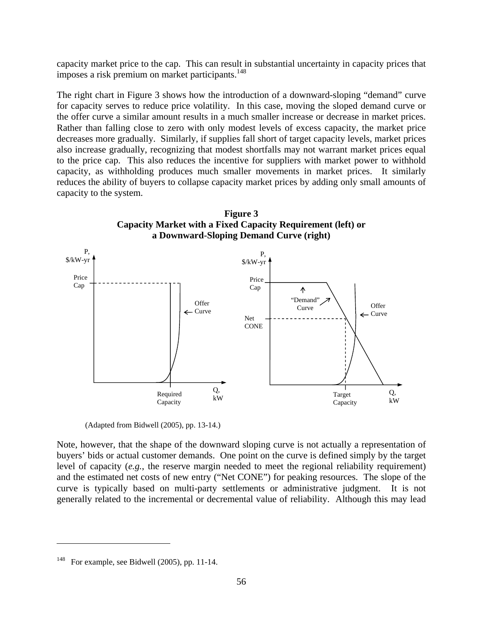capacity market price to the cap. This can result in substantial uncertainty in capacity prices that imposes a risk premium on market participants.<sup>148</sup>

The right chart in Figure 3 shows how the introduction of a downward-sloping "demand" curve for capacity serves to reduce price volatility. In this case, moving the sloped demand curve or the offer curve a similar amount results in a much smaller increase or decrease in market prices. Rather than falling close to zero with only modest levels of excess capacity, the market price decreases more gradually. Similarly, if supplies fall short of target capacity levels, market prices also increase gradually, recognizing that modest shortfalls may not warrant market prices equal to the price cap. This also reduces the incentive for suppliers with market power to withhold capacity, as withholding produces much smaller movements in market prices. It similarly reduces the ability of buyers to collapse capacity market prices by adding only small amounts of capacity to the system.



(Adapted from Bidwell (2005), pp. 13-14.)

Note, however, that the shape of the downward sloping curve is not actually a representation of buyers' bids or actual customer demands. One point on the curve is defined simply by the target level of capacity (*e.g.*, the reserve margin needed to meet the regional reliability requirement) and the estimated net costs of new entry ("Net CONE") for peaking resources. The slope of the curve is typically based on multi-party settlements or administrative judgment. It is not generally related to the incremental or decremental value of reliability. Although this may lead

<sup>148</sup> For example, see Bidwell (2005), pp. 11-14.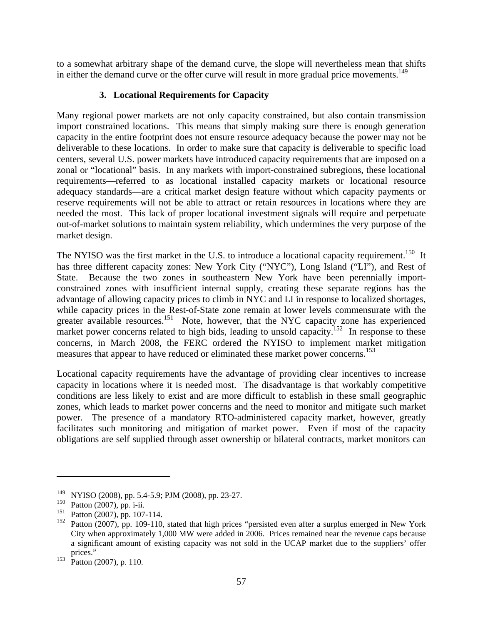to a somewhat arbitrary shape of the demand curve, the slope will nevertheless mean that shifts in either the demand curve or the offer curve will result in more gradual price movements.<sup>149</sup>

## **3. Locational Requirements for Capacity**

Many regional power markets are not only capacity constrained, but also contain transmission import constrained locations. This means that simply making sure there is enough generation capacity in the entire footprint does not ensure resource adequacy because the power may not be deliverable to these locations. In order to make sure that capacity is deliverable to specific load centers, several U.S. power markets have introduced capacity requirements that are imposed on a zonal or "locational" basis. In any markets with import-constrained subregions, these locational requirements—referred to as locational installed capacity markets or locational resource adequacy standards—are a critical market design feature without which capacity payments or reserve requirements will not be able to attract or retain resources in locations where they are needed the most. This lack of proper locational investment signals will require and perpetuate out-of-market solutions to maintain system reliability, which undermines the very purpose of the market design.

The NYISO was the first market in the U.S. to introduce a locational capacity requirement.<sup>150</sup> It has three different capacity zones: New York City ("NYC"), Long Island ("LI"), and Rest of State. Because the two zones in southeastern New York have been perennially importconstrained zones with insufficient internal supply, creating these separate regions has the advantage of allowing capacity prices to climb in NYC and LI in response to localized shortages, while capacity prices in the Rest-of-State zone remain at lower levels commensurate with the greater available resources.<sup>151</sup> Note, however, that the NYC capacity zone has experienced market power concerns related to high bids, leading to unsold capacity.<sup>152</sup> In response to these concerns, in March 2008, the FERC ordered the NYISO to implement market mitigation measures that appear to have reduced or eliminated these market power concerns.<sup>153</sup>

Locational capacity requirements have the advantage of providing clear incentives to increase capacity in locations where it is needed most. The disadvantage is that workably competitive conditions are less likely to exist and are more difficult to establish in these small geographic zones, which leads to market power concerns and the need to monitor and mitigate such market power. The presence of a mandatory RTO-administered capacity market, however, greatly facilitates such monitoring and mitigation of market power. Even if most of the capacity obligations are self supplied through asset ownership or bilateral contracts, market monitors can

<sup>149</sup> NYISO (2008), pp. 5.4-5.9; PJM (2008), pp. 23-27.

<sup>&</sup>lt;sup>150</sup> Patton (2007), pp. i-ii.<br><sup>151</sup> Patton (2007), pp. 107

<sup>&</sup>lt;sup>151</sup> Patton (2007), pp. 107-114.<br><sup>152</sup> Patton (2007), pp. 109-110.

Patton (2007), pp. 109-110, stated that high prices "persisted even after a surplus emerged in New York City when approximately 1,000 MW were added in 2006. Prices remained near the revenue caps because a significant amount of existing capacity was not sold in the UCAP market due to the suppliers' offer prices."

 $153$  Patton (2007), p. 110.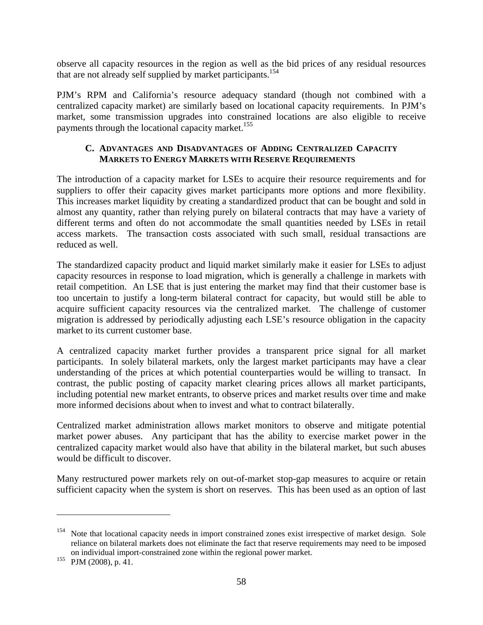observe all capacity resources in the region as well as the bid prices of any residual resources that are not already self supplied by market participants.<sup>154</sup>

PJM's RPM and California's resource adequacy standard (though not combined with a centralized capacity market) are similarly based on locational capacity requirements. In PJM's market, some transmission upgrades into constrained locations are also eligible to receive payments through the locational capacity market.<sup>155</sup>

#### **C. ADVANTAGES AND DISADVANTAGES OF ADDING CENTRALIZED CAPACITY MARKETS TO ENERGY MARKETS WITH RESERVE REQUIREMENTS**

The introduction of a capacity market for LSEs to acquire their resource requirements and for suppliers to offer their capacity gives market participants more options and more flexibility. This increases market liquidity by creating a standardized product that can be bought and sold in almost any quantity, rather than relying purely on bilateral contracts that may have a variety of different terms and often do not accommodate the small quantities needed by LSEs in retail access markets. The transaction costs associated with such small, residual transactions are reduced as well.

The standardized capacity product and liquid market similarly make it easier for LSEs to adjust capacity resources in response to load migration, which is generally a challenge in markets with retail competition. An LSE that is just entering the market may find that their customer base is too uncertain to justify a long-term bilateral contract for capacity, but would still be able to acquire sufficient capacity resources via the centralized market. The challenge of customer migration is addressed by periodically adjusting each LSE's resource obligation in the capacity market to its current customer base.

A centralized capacity market further provides a transparent price signal for all market participants. In solely bilateral markets, only the largest market participants may have a clear understanding of the prices at which potential counterparties would be willing to transact. In contrast, the public posting of capacity market clearing prices allows all market participants, including potential new market entrants, to observe prices and market results over time and make more informed decisions about when to invest and what to contract bilaterally.

Centralized market administration allows market monitors to observe and mitigate potential market power abuses. Any participant that has the ability to exercise market power in the centralized capacity market would also have that ability in the bilateral market, but such abuses would be difficult to discover.

Many restructured power markets rely on out-of-market stop-gap measures to acquire or retain sufficient capacity when the system is short on reserves. This has been used as an option of last

<sup>&</sup>lt;sup>154</sup> Note that locational capacity needs in import constrained zones exist irrespective of market design. Sole reliance on bilateral markets does not eliminate the fact that reserve requirements may need to be imposed on individual import-constrained zone within the regional power market.

 $155$  PJM (2008), p. 41.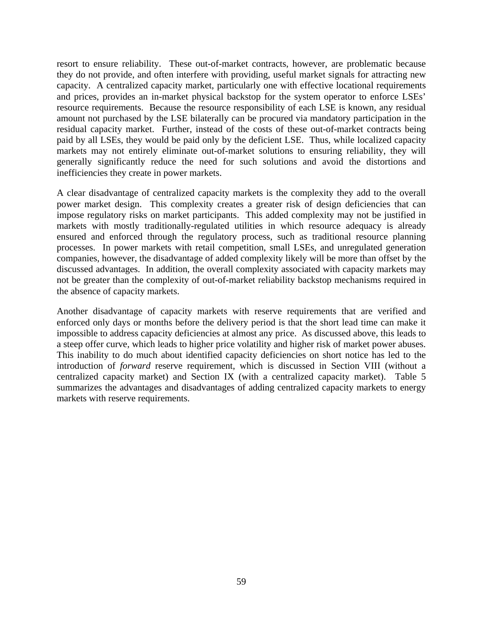resort to ensure reliability. These out-of-market contracts, however, are problematic because they do not provide, and often interfere with providing, useful market signals for attracting new capacity. A centralized capacity market, particularly one with effective locational requirements and prices, provides an in-market physical backstop for the system operator to enforce LSEs' resource requirements. Because the resource responsibility of each LSE is known, any residual amount not purchased by the LSE bilaterally can be procured via mandatory participation in the residual capacity market. Further, instead of the costs of these out-of-market contracts being paid by all LSEs, they would be paid only by the deficient LSE. Thus, while localized capacity markets may not entirely eliminate out-of-market solutions to ensuring reliability, they will generally significantly reduce the need for such solutions and avoid the distortions and inefficiencies they create in power markets.

A clear disadvantage of centralized capacity markets is the complexity they add to the overall power market design. This complexity creates a greater risk of design deficiencies that can impose regulatory risks on market participants. This added complexity may not be justified in markets with mostly traditionally-regulated utilities in which resource adequacy is already ensured and enforced through the regulatory process, such as traditional resource planning processes. In power markets with retail competition, small LSEs, and unregulated generation companies, however, the disadvantage of added complexity likely will be more than offset by the discussed advantages. In addition, the overall complexity associated with capacity markets may not be greater than the complexity of out-of-market reliability backstop mechanisms required in the absence of capacity markets.

Another disadvantage of capacity markets with reserve requirements that are verified and enforced only days or months before the delivery period is that the short lead time can make it impossible to address capacity deficiencies at almost any price. As discussed above, this leads to a steep offer curve, which leads to higher price volatility and higher risk of market power abuses. This inability to do much about identified capacity deficiencies on short notice has led to the introduction of *forward* reserve requirement, which is discussed in Section VIII (without a centralized capacity market) and Section IX (with a centralized capacity market). Table 5 summarizes the advantages and disadvantages of adding centralized capacity markets to energy markets with reserve requirements.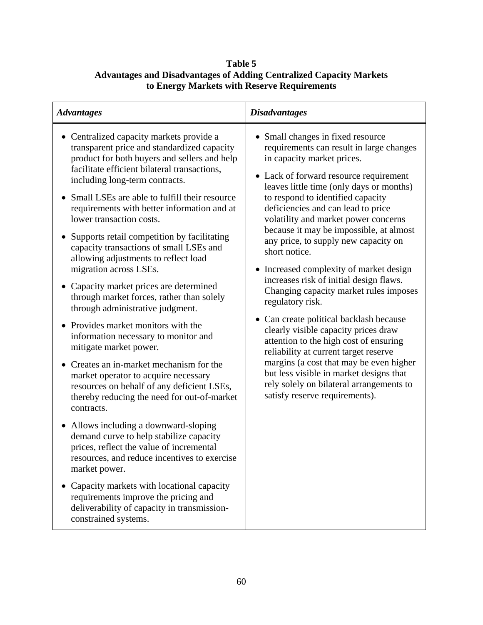# **Table 5 Advantages and Disadvantages of Adding Centralized Capacity Markets to Energy Markets with Reserve Requirements**

| <b>Advantages</b>                                                                                                                                                                                                                                                                                                                                                                                                                                                                                                                                                                                                                                                                                                                                                                                                                                                                                                                                                                                                                                                                                                                                                                                                                                                                                                                            | <b>Disadvantages</b>                                                                                                                                                                                                                                                                                                                                                                                                                                                                                                                                                                                                                                                                                                                                                                                                                                                                                                   |
|----------------------------------------------------------------------------------------------------------------------------------------------------------------------------------------------------------------------------------------------------------------------------------------------------------------------------------------------------------------------------------------------------------------------------------------------------------------------------------------------------------------------------------------------------------------------------------------------------------------------------------------------------------------------------------------------------------------------------------------------------------------------------------------------------------------------------------------------------------------------------------------------------------------------------------------------------------------------------------------------------------------------------------------------------------------------------------------------------------------------------------------------------------------------------------------------------------------------------------------------------------------------------------------------------------------------------------------------|------------------------------------------------------------------------------------------------------------------------------------------------------------------------------------------------------------------------------------------------------------------------------------------------------------------------------------------------------------------------------------------------------------------------------------------------------------------------------------------------------------------------------------------------------------------------------------------------------------------------------------------------------------------------------------------------------------------------------------------------------------------------------------------------------------------------------------------------------------------------------------------------------------------------|
| • Centralized capacity markets provide a<br>transparent price and standardized capacity<br>product for both buyers and sellers and help<br>facilitate efficient bilateral transactions,<br>including long-term contracts.<br>• Small LSEs are able to fulfill their resource<br>requirements with better information and at<br>lower transaction costs.<br>Supports retail competition by facilitating<br>$\bullet$<br>capacity transactions of small LSEs and<br>allowing adjustments to reflect load<br>migration across LSEs.<br>Capacity market prices are determined<br>$\bullet$<br>through market forces, rather than solely<br>through administrative judgment.<br>• Provides market monitors with the<br>information necessary to monitor and<br>mitigate market power.<br>• Creates an in-market mechanism for the<br>market operator to acquire necessary<br>resources on behalf of any deficient LSEs,<br>thereby reducing the need for out-of-market<br>contracts.<br>• Allows including a downward-sloping<br>demand curve to help stabilize capacity<br>prices, reflect the value of incremental<br>resources, and reduce incentives to exercise<br>market power.<br>Capacity markets with locational capacity<br>requirements improve the pricing and<br>deliverability of capacity in transmission-<br>constrained systems. | • Small changes in fixed resource<br>requirements can result in large changes<br>in capacity market prices.<br>• Lack of forward resource requirement<br>leaves little time (only days or months)<br>to respond to identified capacity<br>deficiencies and can lead to price<br>volatility and market power concerns<br>because it may be impossible, at almost<br>any price, to supply new capacity on<br>short notice.<br>• Increased complexity of market design<br>increases risk of initial design flaws.<br>Changing capacity market rules imposes<br>regulatory risk.<br>• Can create political backlash because<br>clearly visible capacity prices draw<br>attention to the high cost of ensuring<br>reliability at current target reserve<br>margins (a cost that may be even higher<br>but less visible in market designs that<br>rely solely on bilateral arrangements to<br>satisfy reserve requirements). |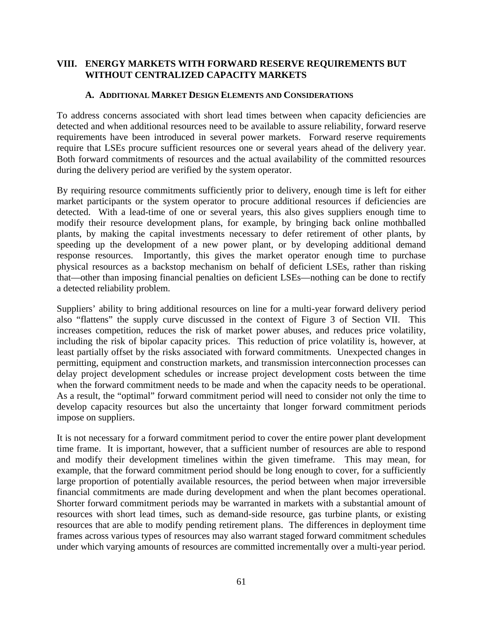## **VIII. ENERGY MARKETS WITH FORWARD RESERVE REQUIREMENTS BUT WITHOUT CENTRALIZED CAPACITY MARKETS**

#### **A. ADDITIONAL MARKET DESIGN ELEMENTS AND CONSIDERATIONS**

To address concerns associated with short lead times between when capacity deficiencies are detected and when additional resources need to be available to assure reliability, forward reserve requirements have been introduced in several power markets. Forward reserve requirements require that LSEs procure sufficient resources one or several years ahead of the delivery year. Both forward commitments of resources and the actual availability of the committed resources during the delivery period are verified by the system operator.

By requiring resource commitments sufficiently prior to delivery, enough time is left for either market participants or the system operator to procure additional resources if deficiencies are detected. With a lead-time of one or several years, this also gives suppliers enough time to modify their resource development plans, for example, by bringing back online mothballed plants, by making the capital investments necessary to defer retirement of other plants, by speeding up the development of a new power plant, or by developing additional demand response resources. Importantly, this gives the market operator enough time to purchase physical resources as a backstop mechanism on behalf of deficient LSEs, rather than risking that—other than imposing financial penalties on deficient LSEs—nothing can be done to rectify a detected reliability problem.

Suppliers' ability to bring additional resources on line for a multi-year forward delivery period also "flattens" the supply curve discussed in the context of Figure 3 of Section VII. This increases competition, reduces the risk of market power abuses, and reduces price volatility, including the risk of bipolar capacity prices. This reduction of price volatility is, however, at least partially offset by the risks associated with forward commitments. Unexpected changes in permitting, equipment and construction markets, and transmission interconnection processes can delay project development schedules or increase project development costs between the time when the forward commitment needs to be made and when the capacity needs to be operational. As a result, the "optimal" forward commitment period will need to consider not only the time to develop capacity resources but also the uncertainty that longer forward commitment periods impose on suppliers.

It is not necessary for a forward commitment period to cover the entire power plant development time frame. It is important, however, that a sufficient number of resources are able to respond and modify their development timelines within the given timeframe. This may mean, for example, that the forward commitment period should be long enough to cover, for a sufficiently large proportion of potentially available resources, the period between when major irreversible financial commitments are made during development and when the plant becomes operational. Shorter forward commitment periods may be warranted in markets with a substantial amount of resources with short lead times, such as demand-side resource, gas turbine plants, or existing resources that are able to modify pending retirement plans. The differences in deployment time frames across various types of resources may also warrant staged forward commitment schedules under which varying amounts of resources are committed incrementally over a multi-year period.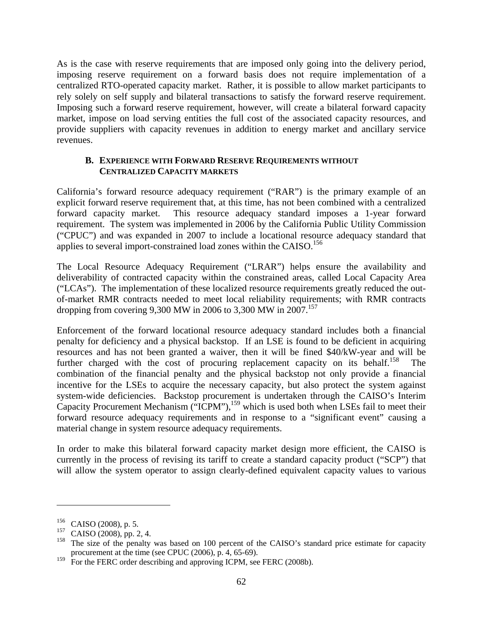As is the case with reserve requirements that are imposed only going into the delivery period, imposing reserve requirement on a forward basis does not require implementation of a centralized RTO-operated capacity market. Rather, it is possible to allow market participants to rely solely on self supply and bilateral transactions to satisfy the forward reserve requirement. Imposing such a forward reserve requirement, however, will create a bilateral forward capacity market, impose on load serving entities the full cost of the associated capacity resources, and provide suppliers with capacity revenues in addition to energy market and ancillary service revenues.

### **B. EXPERIENCE WITH FORWARD RESERVE REQUIREMENTS WITHOUT CENTRALIZED CAPACITY MARKETS**

California's forward resource adequacy requirement ("RAR") is the primary example of an explicit forward reserve requirement that, at this time, has not been combined with a centralized forward capacity market. This resource adequacy standard imposes a 1-year forward requirement. The system was implemented in 2006 by the California Public Utility Commission ("CPUC") and was expanded in 2007 to include a locational resource adequacy standard that applies to several import-constrained load zones within the CAISO.<sup>156</sup>

The Local Resource Adequacy Requirement ("LRAR") helps ensure the availability and deliverability of contracted capacity within the constrained areas, called Local Capacity Area ("LCAs"). The implementation of these localized resource requirements greatly reduced the outof-market RMR contracts needed to meet local reliability requirements; with RMR contracts dropping from covering 9,300 MW in 2006 to 3,300 MW in 2007.<sup>157</sup>

Enforcement of the forward locational resource adequacy standard includes both a financial penalty for deficiency and a physical backstop. If an LSE is found to be deficient in acquiring resources and has not been granted a waiver, then it will be fined \$40/kW-year and will be further charged with the cost of procuring replacement capacity on its behalf.<sup>158</sup> The combination of the financial penalty and the physical backstop not only provide a financial incentive for the LSEs to acquire the necessary capacity, but also protect the system against system-wide deficiencies. Backstop procurement is undertaken through the CAISO's Interim Capacity Procurement Mechanism ("ICPM"), $159$  which is used both when LSEs fail to meet their forward resource adequacy requirements and in response to a "significant event" causing a material change in system resource adequacy requirements.

In order to make this bilateral forward capacity market design more efficient, the CAISO is currently in the process of revising its tariff to create a standard capacity product ("SCP") that will allow the system operator to assign clearly-defined equivalent capacity values to various

<sup>156</sup> CAISO (2008), p. 5.

<sup>157</sup> CAISO (2008), pp. 2, 4.

<sup>&</sup>lt;sup>158</sup> The size of the penalty was based on 100 percent of the CAISO's standard price estimate for capacity procurement at the time (see CPUC (2006), p. 4, 65-69).

<sup>&</sup>lt;sup>159</sup> For the FERC order describing and approving ICPM, see FERC (2008b).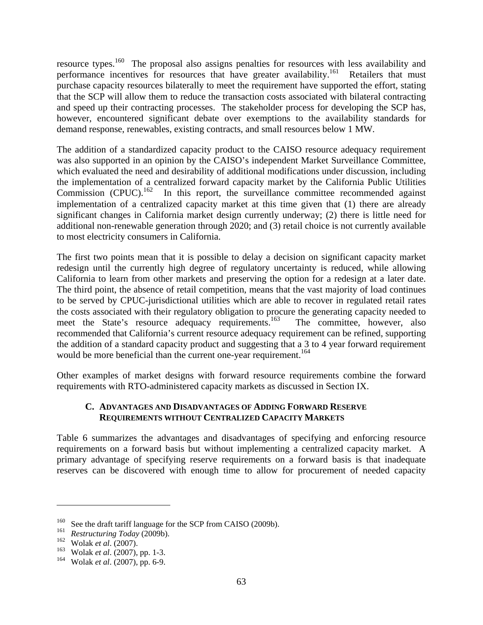resource types.<sup>160</sup> The proposal also assigns penalties for resources with less availability and performance incentives for resources that have greater availability.<sup>161</sup> Retailers that must purchase capacity resources bilaterally to meet the requirement have supported the effort, stating that the SCP will allow them to reduce the transaction costs associated with bilateral contracting and speed up their contracting processes. The stakeholder process for developing the SCP has, however, encountered significant debate over exemptions to the availability standards for demand response, renewables, existing contracts, and small resources below 1 MW.

The addition of a standardized capacity product to the CAISO resource adequacy requirement was also supported in an opinion by the CAISO's independent Market Surveillance Committee, which evaluated the need and desirability of additional modifications under discussion, including the implementation of a centralized forward capacity market by the California Public Utilities Commission  $(CPUC)$ <sup>162</sup> In this report, the surveillance committee recommended against implementation of a centralized capacity market at this time given that (1) there are already significant changes in California market design currently underway; (2) there is little need for additional non-renewable generation through 2020; and (3) retail choice is not currently available to most electricity consumers in California.

The first two points mean that it is possible to delay a decision on significant capacity market redesign until the currently high degree of regulatory uncertainty is reduced, while allowing California to learn from other markets and preserving the option for a redesign at a later date. The third point, the absence of retail competition, means that the vast majority of load continues to be served by CPUC-jurisdictional utilities which are able to recover in regulated retail rates the costs associated with their regulatory obligation to procure the generating capacity needed to meet the State's resource adequacy requirements.<sup>163</sup> The committee, however, also recommended that California's current resource adequacy requirement can be refined, supporting the addition of a standard capacity product and suggesting that a 3 to 4 year forward requirement would be more beneficial than the current one-year requirement.<sup>164</sup>

Other examples of market designs with forward resource requirements combine the forward requirements with RTO-administered capacity markets as discussed in Section IX.

### **C. ADVANTAGES AND DISADVANTAGES OF ADDING FORWARD RESERVE REQUIREMENTS WITHOUT CENTRALIZED CAPACITY MARKETS**

Table 6 summarizes the advantages and disadvantages of specifying and enforcing resource requirements on a forward basis but without implementing a centralized capacity market. A primary advantage of specifying reserve requirements on a forward basis is that inadequate reserves can be discovered with enough time to allow for procurement of needed capacity

<sup>&</sup>lt;sup>160</sup> See the draft tariff language for the SCP from CAISO (2009b).<br><sup>161</sup> Bestructuring Today (2000b).

<sup>&</sup>lt;sup>161</sup> *Restructuring Today* (2009b).<br><sup>162</sup> Wolak et al. (2007)

<sup>162</sup> Wolak *et al*. (2007).

<sup>163</sup> Wolak *et al*. (2007), pp. 1-3.

<sup>164</sup> Wolak *et al*. (2007), pp. 6-9.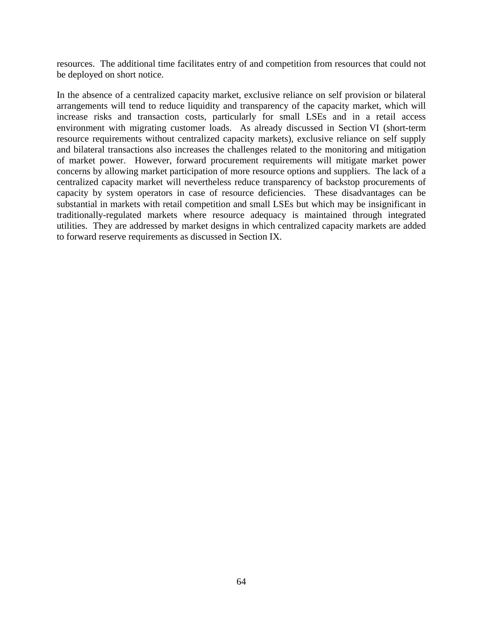resources. The additional time facilitates entry of and competition from resources that could not be deployed on short notice.

In the absence of a centralized capacity market, exclusive reliance on self provision or bilateral arrangements will tend to reduce liquidity and transparency of the capacity market, which will increase risks and transaction costs, particularly for small LSEs and in a retail access environment with migrating customer loads. As already discussed in Section VI (short-term resource requirements without centralized capacity markets), exclusive reliance on self supply and bilateral transactions also increases the challenges related to the monitoring and mitigation of market power. However, forward procurement requirements will mitigate market power concerns by allowing market participation of more resource options and suppliers. The lack of a centralized capacity market will nevertheless reduce transparency of backstop procurements of capacity by system operators in case of resource deficiencies. These disadvantages can be substantial in markets with retail competition and small LSEs but which may be insignificant in traditionally-regulated markets where resource adequacy is maintained through integrated utilities. They are addressed by market designs in which centralized capacity markets are added to forward reserve requirements as discussed in Section IX.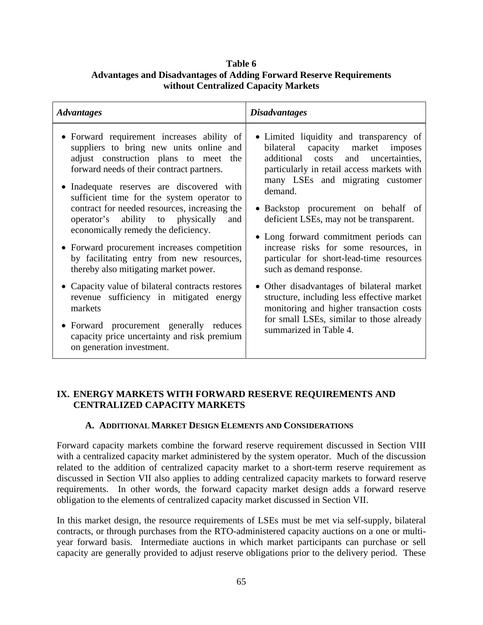## **Table 6 Advantages and Disadvantages of Adding Forward Reserve Requirements without Centralized Capacity Markets**

| <b>Advantages</b>                                                                                                                                                                                                                                                                                                                                                                                                                                                                                                                                                                                                                                                                                                                                                            | <b>Disadvantages</b>                                                                                                                                                                                                                                                                                                                                                                                                                                                                                                                                                                                                                                                     |
|------------------------------------------------------------------------------------------------------------------------------------------------------------------------------------------------------------------------------------------------------------------------------------------------------------------------------------------------------------------------------------------------------------------------------------------------------------------------------------------------------------------------------------------------------------------------------------------------------------------------------------------------------------------------------------------------------------------------------------------------------------------------------|--------------------------------------------------------------------------------------------------------------------------------------------------------------------------------------------------------------------------------------------------------------------------------------------------------------------------------------------------------------------------------------------------------------------------------------------------------------------------------------------------------------------------------------------------------------------------------------------------------------------------------------------------------------------------|
| • Forward requirement increases ability of<br>suppliers to bring new units online and<br>adjust construction plans to meet the<br>forward needs of their contract partners.<br>• Inadequate reserves are discovered with<br>sufficient time for the system operator to<br>contract for needed resources, increasing the<br>operator's ability to physically and<br>economically remedy the deficiency.<br>• Forward procurement increases competition<br>by facilitating entry from new resources,<br>thereby also mitigating market power.<br>• Capacity value of bilateral contracts restores<br>revenue sufficiency in mitigated energy<br>markets<br>• Forward procurement generally reduces<br>capacity price uncertainty and risk premium<br>on generation investment. | • Limited liquidity and transparency of<br>bilateral capacity market imposes<br>additional costs and uncertainties,<br>particularly in retail access markets with<br>many LSEs and migrating customer<br>demand.<br>• Backstop procurement on behalf of<br>deficient LSEs, may not be transparent.<br>• Long forward commitment periods can<br>increase risks for some resources, in<br>particular for short-lead-time resources<br>such as demand response.<br>• Other disadvantages of bilateral market<br>structure, including less effective market<br>monitoring and higher transaction costs<br>for small LSEs, similar to those already<br>summarized in Table 4. |

### **IX. ENERGY MARKETS WITH FORWARD RESERVE REQUIREMENTS AND CENTRALIZED CAPACITY MARKETS**

#### **A. ADDITIONAL MARKET DESIGN ELEMENTS AND CONSIDERATIONS**

Forward capacity markets combine the forward reserve requirement discussed in Section VIII with a centralized capacity market administered by the system operator. Much of the discussion related to the addition of centralized capacity market to a short-term reserve requirement as discussed in Section VII also applies to adding centralized capacity markets to forward reserve requirements. In other words, the forward capacity market design adds a forward reserve obligation to the elements of centralized capacity market discussed in Section VII.

In this market design, the resource requirements of LSEs must be met via self-supply, bilateral contracts, or through purchases from the RTO-administered capacity auctions on a one or multiyear forward basis. Intermediate auctions in which market participants can purchase or sell capacity are generally provided to adjust reserve obligations prior to the delivery period. These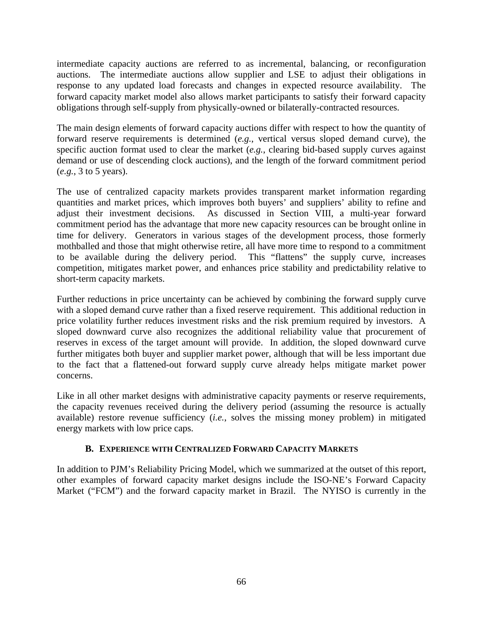intermediate capacity auctions are referred to as incremental, balancing, or reconfiguration auctions. The intermediate auctions allow supplier and LSE to adjust their obligations in response to any updated load forecasts and changes in expected resource availability. The forward capacity market model also allows market participants to satisfy their forward capacity obligations through self-supply from physically-owned or bilaterally-contracted resources.

The main design elements of forward capacity auctions differ with respect to how the quantity of forward reserve requirements is determined (*e.g.*, vertical versus sloped demand curve), the specific auction format used to clear the market (*e.g.*, clearing bid-based supply curves against demand or use of descending clock auctions), and the length of the forward commitment period (*e.g.*, 3 to 5 years).

The use of centralized capacity markets provides transparent market information regarding quantities and market prices, which improves both buyers' and suppliers' ability to refine and adjust their investment decisions. As discussed in Section VIII, a multi-year forward commitment period has the advantage that more new capacity resources can be brought online in time for delivery. Generators in various stages of the development process, those formerly mothballed and those that might otherwise retire, all have more time to respond to a commitment to be available during the delivery period. This "flattens" the supply curve, increases competition, mitigates market power, and enhances price stability and predictability relative to short-term capacity markets.

Further reductions in price uncertainty can be achieved by combining the forward supply curve with a sloped demand curve rather than a fixed reserve requirement. This additional reduction in price volatility further reduces investment risks and the risk premium required by investors. A sloped downward curve also recognizes the additional reliability value that procurement of reserves in excess of the target amount will provide. In addition, the sloped downward curve further mitigates both buyer and supplier market power, although that will be less important due to the fact that a flattened-out forward supply curve already helps mitigate market power concerns.

Like in all other market designs with administrative capacity payments or reserve requirements, the capacity revenues received during the delivery period (assuming the resource is actually available) restore revenue sufficiency (*i.e.*, solves the missing money problem) in mitigated energy markets with low price caps.

#### **B. EXPERIENCE WITH CENTRALIZED FORWARD CAPACITY MARKETS**

In addition to PJM's Reliability Pricing Model, which we summarized at the outset of this report, other examples of forward capacity market designs include the ISO-NE's Forward Capacity Market ("FCM") and the forward capacity market in Brazil. The NYISO is currently in the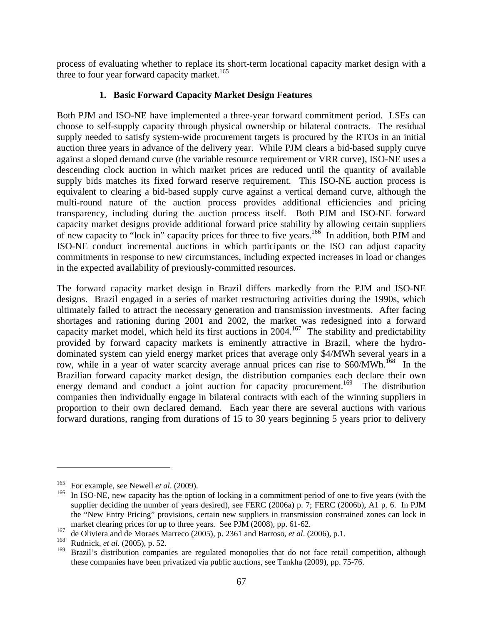process of evaluating whether to replace its short-term locational capacity market design with a three to four year forward capacity market.<sup>165</sup>

## **1. Basic Forward Capacity Market Design Features**

Both PJM and ISO-NE have implemented a three-year forward commitment period. LSEs can choose to self-supply capacity through physical ownership or bilateral contracts. The residual supply needed to satisfy system-wide procurement targets is procured by the RTOs in an initial auction three years in advance of the delivery year. While PJM clears a bid-based supply curve against a sloped demand curve (the variable resource requirement or VRR curve), ISO-NE uses a descending clock auction in which market prices are reduced until the quantity of available supply bids matches its fixed forward reserve requirement. This ISO-NE auction process is equivalent to clearing a bid-based supply curve against a vertical demand curve, although the multi-round nature of the auction process provides additional efficiencies and pricing transparency, including during the auction process itself. Both PJM and ISO-NE forward capacity market designs provide additional forward price stability by allowing certain suppliers of new capacity to "lock in" capacity prices for three to five years.166 In addition, both PJM and ISO-NE conduct incremental auctions in which participants or the ISO can adjust capacity commitments in response to new circumstances, including expected increases in load or changes in the expected availability of previously-committed resources.

The forward capacity market design in Brazil differs markedly from the PJM and ISO-NE designs. Brazil engaged in a series of market restructuring activities during the 1990s, which ultimately failed to attract the necessary generation and transmission investments. After facing shortages and rationing during 2001 and 2002, the market was redesigned into a forward capacity market model, which held its first auctions in 2004.<sup>167</sup> The stability and predictability provided by forward capacity markets is eminently attractive in Brazil, where the hydrodominated system can yield energy market prices that average only \$4/MWh several years in a row, while in a year of water scarcity average annual prices can rise to \$60/MWh.<sup>168</sup> In the Brazilian forward capacity market design, the distribution companies each declare their own energy demand and conduct a joint auction for capacity procurement.<sup>169</sup> The distribution companies then individually engage in bilateral contracts with each of the winning suppliers in proportion to their own declared demand. Each year there are several auctions with various forward durations, ranging from durations of 15 to 30 years beginning 5 years prior to delivery

<sup>&</sup>lt;sup>165</sup> For example, see Newell *et al.* (2009).

In ISO-NE, new capacity has the option of locking in a commitment period of one to five years (with the supplier deciding the number of years desired), see FERC (2006a) p. 7; FERC (2006b), A1 p. 6. In PJM the "New Entry Pricing" provisions, certain new suppliers in transmission constrained zones can lock in market clearing prices for up to three years. See PJM (2008), pp. 61-62.

<sup>&</sup>lt;sup>167</sup> de Oliviera and de Moraes Marreco (2005), p. 2361 and Barroso, *et al.* (2006), p.1.<br><sup>168</sup> Budniels et al. (2005), p. 52

<sup>&</sup>lt;sup>168</sup> Rudnick, *et al.* (2005), p. 52.<br><sup>169</sup> Prozil's distribution component

Brazil's distribution companies are regulated monopolies that do not face retail competition, although these companies have been privatized via public auctions, see Tankha (2009), pp. 75-76.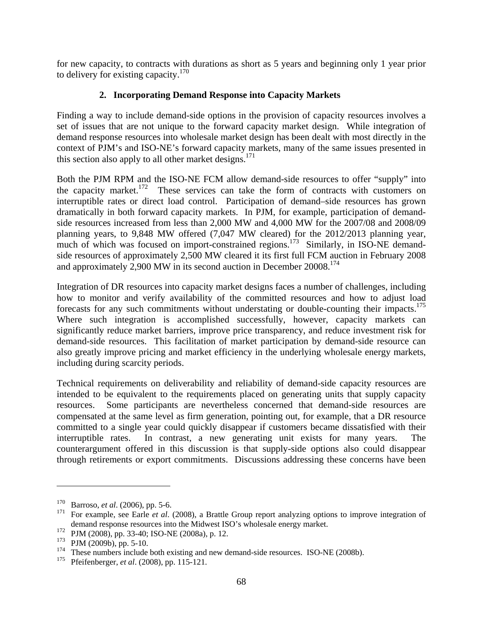for new capacity, to contracts with durations as short as 5 years and beginning only 1 year prior to delivery for existing capacity.<sup>170</sup>

## **2. Incorporating Demand Response into Capacity Markets**

Finding a way to include demand-side options in the provision of capacity resources involves a set of issues that are not unique to the forward capacity market design. While integration of demand response resources into wholesale market design has been dealt with most directly in the context of PJM's and ISO-NE's forward capacity markets, many of the same issues presented in this section also apply to all other market designs.<sup>171</sup>

Both the PJM RPM and the ISO-NE FCM allow demand-side resources to offer "supply" into<br>the capacity market.<sup>172</sup> These services can take the form of contracts with customers on These services can take the form of contracts with customers on interruptible rates or direct load control. Participation of demand–side resources has grown dramatically in both forward capacity markets. In PJM, for example, participation of demandside resources increased from less than 2,000 MW and 4,000 MW for the 2007/08 and 2008/09 planning years, to 9,848 MW offered (7,047 MW cleared) for the 2012/2013 planning year, much of which was focused on import-constrained regions.<sup>173</sup> Similarly, in ISO-NE demandside resources of approximately 2,500 MW cleared it its first full FCM auction in February 2008 and approximately 2,900 MW in its second auction in December 20008.<sup>174</sup>

Integration of DR resources into capacity market designs faces a number of challenges, including how to monitor and verify availability of the committed resources and how to adjust load forecasts for any such commitments without understating or double-counting their impacts.<sup>175</sup> Where such integration is accomplished successfully, however, capacity markets can significantly reduce market barriers, improve price transparency, and reduce investment risk for demand-side resources. This facilitation of market participation by demand-side resource can also greatly improve pricing and market efficiency in the underlying wholesale energy markets, including during scarcity periods.

Technical requirements on deliverability and reliability of demand-side capacity resources are intended to be equivalent to the requirements placed on generating units that supply capacity resources. Some participants are nevertheless concerned that demand-side resources are compensated at the same level as firm generation, pointing out, for example, that a DR resource committed to a single year could quickly disappear if customers became dissatisfied with their interruptible rates. In contrast, a new generating unit exists for many years. The counterargument offered in this discussion is that supply-side options also could disappear through retirements or export commitments. Discussions addressing these concerns have been

<sup>&</sup>lt;sup>170</sup> Barroso, *et al.* (2006), pp. 5-6.

<sup>171</sup> For example, see Earle *et al*. (2008), a Brattle Group report analyzing options to improve integration of demand response resources into the Midwest ISO's wholesale energy market.

<sup>&</sup>lt;sup>172</sup> PJM (2008), pp. 33-40; ISO-NE (2008a), p. 12.<br><sup>173</sup> PJM (2009b), pp. 5-10

PJM (2009b), pp. 5-10.

<sup>&</sup>lt;sup>174</sup> These numbers include both existing and new demand-side resources. ISO-NE (2008b).

<sup>175</sup> Pfeifenberger, *et al*. (2008), pp. 115-121.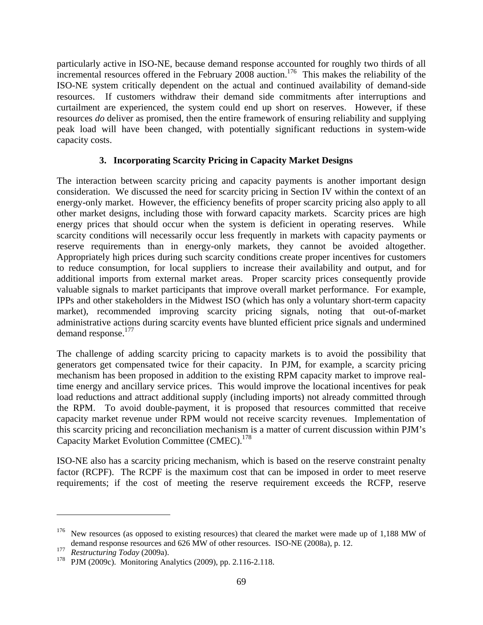particularly active in ISO-NE, because demand response accounted for roughly two thirds of all incremental resources offered in the February 2008 auction.<sup>176</sup> This makes the reliability of the ISO-NE system critically dependent on the actual and continued availability of demand-side resources. If customers withdraw their demand side commitments after interruptions and curtailment are experienced, the system could end up short on reserves. However, if these resources *do* deliver as promised, then the entire framework of ensuring reliability and supplying peak load will have been changed, with potentially significant reductions in system-wide capacity costs.

## **3. Incorporating Scarcity Pricing in Capacity Market Designs**

The interaction between scarcity pricing and capacity payments is another important design consideration. We discussed the need for scarcity pricing in Section IV within the context of an energy-only market. However, the efficiency benefits of proper scarcity pricing also apply to all other market designs, including those with forward capacity markets. Scarcity prices are high energy prices that should occur when the system is deficient in operating reserves. While scarcity conditions will necessarily occur less frequently in markets with capacity payments or reserve requirements than in energy-only markets, they cannot be avoided altogether. Appropriately high prices during such scarcity conditions create proper incentives for customers to reduce consumption, for local suppliers to increase their availability and output, and for additional imports from external market areas. Proper scarcity prices consequently provide valuable signals to market participants that improve overall market performance. For example, IPPs and other stakeholders in the Midwest ISO (which has only a voluntary short-term capacity market), recommended improving scarcity pricing signals, noting that out-of-market administrative actions during scarcity events have blunted efficient price signals and undermined demand response.<sup>177</sup>

The challenge of adding scarcity pricing to capacity markets is to avoid the possibility that generators get compensated twice for their capacity. In PJM, for example, a scarcity pricing mechanism has been proposed in addition to the existing RPM capacity market to improve realtime energy and ancillary service prices. This would improve the locational incentives for peak load reductions and attract additional supply (including imports) not already committed through the RPM. To avoid double-payment, it is proposed that resources committed that receive capacity market revenue under RPM would not receive scarcity revenues. Implementation of this scarcity pricing and reconciliation mechanism is a matter of current discussion within PJM's Capacity Market Evolution Committee (CMEC).<sup>178</sup>

ISO-NE also has a scarcity pricing mechanism, which is based on the reserve constraint penalty factor (RCPF). The RCPF is the maximum cost that can be imposed in order to meet reserve requirements; if the cost of meeting the reserve requirement exceeds the RCFP, reserve

1

<sup>&</sup>lt;sup>176</sup> New resources (as opposed to existing resources) that cleared the market were made up of 1,188 MW of demand response resources and 626 MW of other resources. ISO-NE (2008a), p. 12.

<sup>177</sup> *Restructuring Today* (2009a).

<sup>178</sup> PJM (2009c). Monitoring Analytics (2009), pp. 2.116-2.118.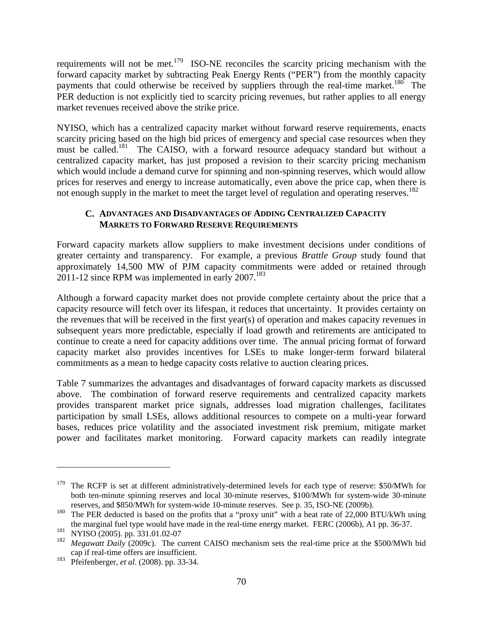requirements will not be met.179 ISO-NE reconciles the scarcity pricing mechanism with the forward capacity market by subtracting Peak Energy Rents ("PER") from the monthly capacity payments that could otherwise be received by suppliers through the real-time market.<sup>180</sup> The PER deduction is not explicitly tied to scarcity pricing revenues, but rather applies to all energy market revenues received above the strike price.

NYISO, which has a centralized capacity market without forward reserve requirements, enacts scarcity pricing based on the high bid prices of emergency and special case resources when they must be called.<sup>181</sup> The CAISO, with a forward resource adequacy standard but without a centralized capacity market, has just proposed a revision to their scarcity pricing mechanism which would include a demand curve for spinning and non-spinning reserves, which would allow prices for reserves and energy to increase automatically, even above the price cap, when there is not enough supply in the market to meet the target level of regulation and operating reserves.<sup>182</sup>

## **C. ADVANTAGES AND DISADVANTAGES OF ADDING CENTRALIZED CAPACITY MARKETS TO FORWARD RESERVE REQUIREMENTS**

Forward capacity markets allow suppliers to make investment decisions under conditions of greater certainty and transparency. For example, a previous *Brattle Group* study found that approximately 14,500 MW of PJM capacity commitments were added or retained through 2011-12 since RPM was implemented in early  $2007$ .<sup>183</sup>

Although a forward capacity market does not provide complete certainty about the price that a capacity resource will fetch over its lifespan, it reduces that uncertainty. It provides certainty on the revenues that will be received in the first year(s) of operation and makes capacity revenues in subsequent years more predictable, especially if load growth and retirements are anticipated to continue to create a need for capacity additions over time. The annual pricing format of forward capacity market also provides incentives for LSEs to make longer-term forward bilateral commitments as a mean to hedge capacity costs relative to auction clearing prices.

Table 7 summarizes the advantages and disadvantages of forward capacity markets as discussed above. The combination of forward reserve requirements and centralized capacity markets provides transparent market price signals, addresses load migration challenges, facilitates participation by small LSEs, allows additional resources to compete on a multi-year forward bases, reduces price volatility and the associated investment risk premium, mitigate market power and facilitates market monitoring. Forward capacity markets can readily integrate

 $\overline{a}$ 

The RCFP is set at different administratively-determined levels for each type of reserve: \$50/MWh for both ten-minute spinning reserves and local 30-minute reserves, \$100/MWh for system-wide 30-minute reserves, and \$850/MWh for system-wide 10-minute reserves. See p. 35, ISO-NE (2009b).

<sup>&</sup>lt;sup>180</sup> The PER deducted is based on the profits that a "proxy unit" with a heat rate of 22,000 BTU/kWh using the marginal fuel type would have made in the real-time energy market. FERC (2006b), A1 pp. 36-37.

<sup>181</sup> NYISO (2005). pp. 331.01.02-07

<sup>&</sup>lt;sup>182</sup> *Megawatt Daily* (2009c). The current CAISO mechanism sets the real-time price at the \$500/MWh bid cap if real-time offers are insufficient.

<sup>183</sup> Pfeifenberger, *et al.* (2008). pp. 33-34.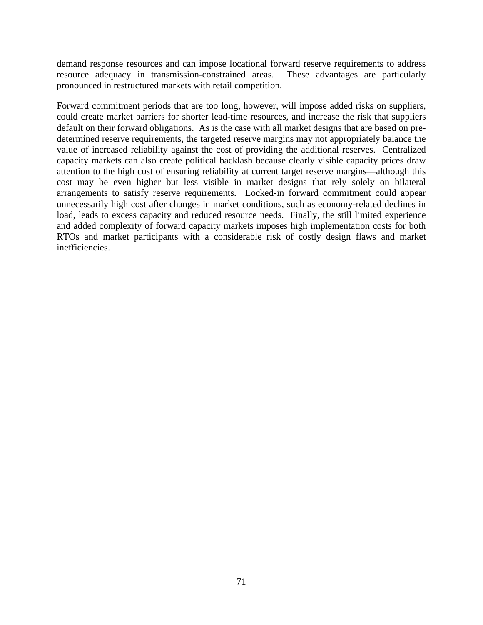demand response resources and can impose locational forward reserve requirements to address resource adequacy in transmission-constrained areas. These advantages are particularly pronounced in restructured markets with retail competition.

Forward commitment periods that are too long, however, will impose added risks on suppliers, could create market barriers for shorter lead-time resources, and increase the risk that suppliers default on their forward obligations. As is the case with all market designs that are based on predetermined reserve requirements, the targeted reserve margins may not appropriately balance the value of increased reliability against the cost of providing the additional reserves. Centralized capacity markets can also create political backlash because clearly visible capacity prices draw attention to the high cost of ensuring reliability at current target reserve margins—although this cost may be even higher but less visible in market designs that rely solely on bilateral arrangements to satisfy reserve requirements. Locked-in forward commitment could appear unnecessarily high cost after changes in market conditions, such as economy-related declines in load, leads to excess capacity and reduced resource needs. Finally, the still limited experience and added complexity of forward capacity markets imposes high implementation costs for both RTOs and market participants with a considerable risk of costly design flaws and market inefficiencies.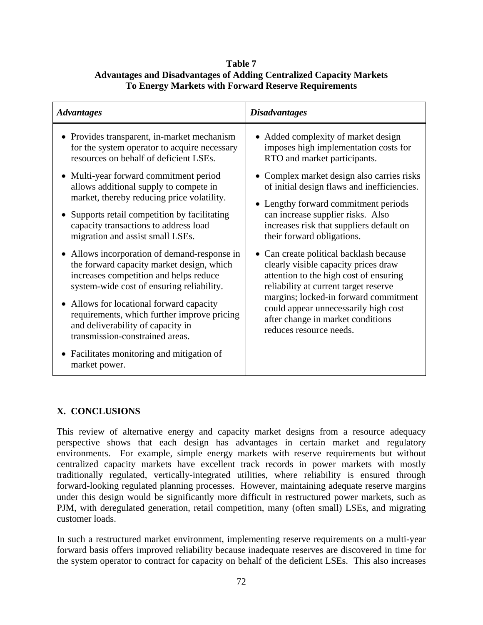## **Table 7 Advantages and Disadvantages of Adding Centralized Capacity Markets To Energy Markets with Forward Reserve Requirements**

| <b>Advantages</b>                                                                                                                                                                                                                                                                                                                                                                                                  | <b>Disadvantages</b>                                                                                                                                                                                                                                                                                                                                             |
|--------------------------------------------------------------------------------------------------------------------------------------------------------------------------------------------------------------------------------------------------------------------------------------------------------------------------------------------------------------------------------------------------------------------|------------------------------------------------------------------------------------------------------------------------------------------------------------------------------------------------------------------------------------------------------------------------------------------------------------------------------------------------------------------|
| • Provides transparent, in-market mechanism<br>for the system operator to acquire necessary<br>resources on behalf of deficient LSEs.<br>• Multi-year forward commitment period<br>allows additional supply to compete in<br>market, thereby reducing price volatility.<br>• Supports retail competition by facilitating<br>capacity transactions to address load<br>migration and assist small LSEs.              | • Added complexity of market design<br>imposes high implementation costs for<br>RTO and market participants.<br>• Complex market design also carries risks<br>of initial design flaws and inefficiencies.<br>• Lengthy forward commitment periods<br>can increase supplier risks. Also<br>increases risk that suppliers default on<br>their forward obligations. |
| • Allows incorporation of demand-response in<br>the forward capacity market design, which<br>increases competition and helps reduce<br>system-wide cost of ensuring reliability.<br>• Allows for locational forward capacity<br>requirements, which further improve pricing<br>and deliverability of capacity in<br>transmission-constrained areas.<br>• Facilitates monitoring and mitigation of<br>market power. | • Can create political backlash because<br>clearly visible capacity prices draw<br>attention to the high cost of ensuring<br>reliability at current target reserve<br>margins; locked-in forward commitment<br>could appear unnecessarily high cost<br>after change in market conditions<br>reduces resource needs.                                              |

## **X. CONCLUSIONS**

This review of alternative energy and capacity market designs from a resource adequacy perspective shows that each design has advantages in certain market and regulatory environments. For example, simple energy markets with reserve requirements but without centralized capacity markets have excellent track records in power markets with mostly traditionally regulated, vertically-integrated utilities, where reliability is ensured through forward-looking regulated planning processes. However, maintaining adequate reserve margins under this design would be significantly more difficult in restructured power markets, such as PJM, with deregulated generation, retail competition, many (often small) LSEs, and migrating customer loads.

In such a restructured market environment, implementing reserve requirements on a multi-year forward basis offers improved reliability because inadequate reserves are discovered in time for the system operator to contract for capacity on behalf of the deficient LSEs. This also increases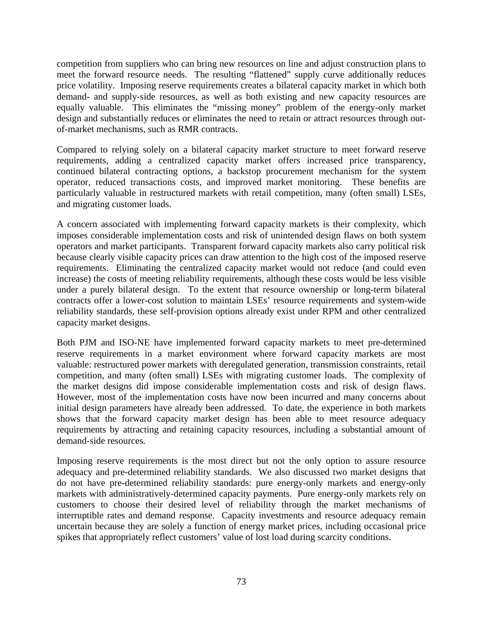competition from suppliers who can bring new resources on line and adjust construction plans to meet the forward resource needs. The resulting "flattened" supply curve additionally reduces price volatility. Imposing reserve requirements creates a bilateral capacity market in which both demand- and supply-side resources, as well as both existing and new capacity resources are equally valuable. This eliminates the "missing money" problem of the energy-only market design and substantially reduces or eliminates the need to retain or attract resources through outof-market mechanisms, such as RMR contracts.

Compared to relying solely on a bilateral capacity market structure to meet forward reserve requirements, adding a centralized capacity market offers increased price transparency, continued bilateral contracting options, a backstop procurement mechanism for the system operator, reduced transactions costs, and improved market monitoring. These benefits are particularly valuable in restructured markets with retail competition, many (often small) LSEs, and migrating customer loads.

A concern associated with implementing forward capacity markets is their complexity, which imposes considerable implementation costs and risk of unintended design flaws on both system operators and market participants. Transparent forward capacity markets also carry political risk because clearly visible capacity prices can draw attention to the high cost of the imposed reserve requirements. Eliminating the centralized capacity market would not reduce (and could even increase) the costs of meeting reliability requirements, although these costs would be less visible under a purely bilateral design. To the extent that resource ownership or long-term bilateral contracts offer a lower-cost solution to maintain LSEs' resource requirements and system-wide reliability standards, these self-provision options already exist under RPM and other centralized capacity market designs.

Both PJM and ISO-NE have implemented forward capacity markets to meet pre-determined reserve requirements in a market environment where forward capacity markets are most valuable: restructured power markets with deregulated generation, transmission constraints, retail competition, and many (often small) LSEs with migrating customer loads. The complexity of the market designs did impose considerable implementation costs and risk of design flaws. However, most of the implementation costs have now been incurred and many concerns about initial design parameters have already been addressed. To date, the experience in both markets shows that the forward capacity market design has been able to meet resource adequacy requirements by attracting and retaining capacity resources, including a substantial amount of demand-side resources.

Imposing reserve requirements is the most direct but not the only option to assure resource adequacy and pre-determined reliability standards. We also discussed two market designs that do not have pre-determined reliability standards: pure energy-only markets and energy-only markets with administratively-determined capacity payments. Pure energy-only markets rely on customers to choose their desired level of reliability through the market mechanisms of interruptible rates and demand response. Capacity investments and resource adequacy remain uncertain because they are solely a function of energy market prices, including occasional price spikes that appropriately reflect customers' value of lost load during scarcity conditions.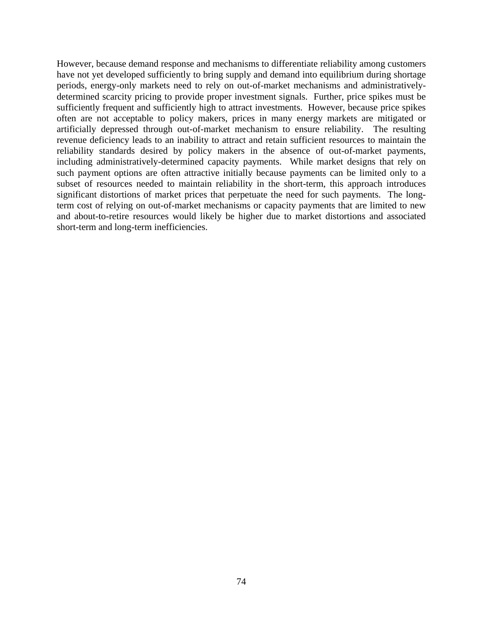However, because demand response and mechanisms to differentiate reliability among customers have not yet developed sufficiently to bring supply and demand into equilibrium during shortage periods, energy-only markets need to rely on out-of-market mechanisms and administrativelydetermined scarcity pricing to provide proper investment signals. Further, price spikes must be sufficiently frequent and sufficiently high to attract investments. However, because price spikes often are not acceptable to policy makers, prices in many energy markets are mitigated or artificially depressed through out-of-market mechanism to ensure reliability. The resulting revenue deficiency leads to an inability to attract and retain sufficient resources to maintain the reliability standards desired by policy makers in the absence of out-of-market payments, including administratively-determined capacity payments. While market designs that rely on such payment options are often attractive initially because payments can be limited only to a subset of resources needed to maintain reliability in the short-term, this approach introduces significant distortions of market prices that perpetuate the need for such payments. The longterm cost of relying on out-of-market mechanisms or capacity payments that are limited to new and about-to-retire resources would likely be higher due to market distortions and associated short-term and long-term inefficiencies.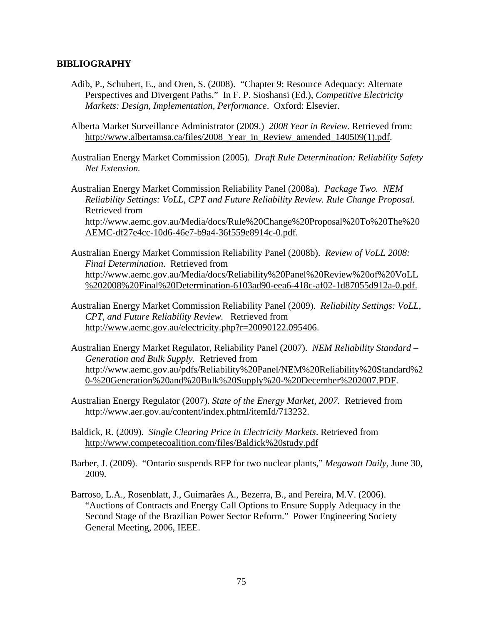#### **BIBLIOGRAPHY**

- Adib, P., Schubert, E., and Oren, S. (2008). "Chapter 9: Resource Adequacy: Alternate Perspectives and Divergent Paths." In F. P. Sioshansi (Ed.), *Competitive Electricity Markets: Design, Implementation, Performance*. Oxford: Elsevier.
- Alberta Market Surveillance Administrator (2009.) *2008 Year in Review.* Retrieved from: http://www.albertamsa.ca/files/2008 Year in Review amended 140509(1).pdf.
- Australian Energy Market Commission (2005). *Draft Rule Determination: Reliability Safety Net Extension.*

Australian Energy Market Commission Reliability Panel (2008a). *Package Two. NEM Reliability Settings: VoLL, CPT and Future Reliability Review. Rule Change Proposal.*  Retrieved from http://www.aemc.gov.au/Media/docs/Rule%20Change%20Proposal%20To%20The%20 AEMC-df27e4cc-10d6-46e7-b9a4-36f559e8914c-0.pdf.

- Australian Energy Market Commission Reliability Panel (2008b). *Review of VoLL 2008: Final Determination*. Retrieved from http://www.aemc.gov.au/Media/docs/Reliability%20Panel%20Review%20of%20VoLL %202008%20Final%20Determination-6103ad90-eea6-418c-af02-1d87055d912a-0.pdf.
- Australian Energy Market Commission Reliability Panel (2009). *Reliability Settings: VoLL, CPT, and Future Reliability Review.* Retrieved from http://www.aemc.gov.au/electricity.php?r=20090122.095406.
- Australian Energy Market Regulator, Reliability Panel (2007). *NEM Reliability Standard Generation and Bulk Supply.* Retrieved from http://www.aemc.gov.au/pdfs/Reliability%20Panel/NEM%20Reliability%20Standard%2 0-%20Generation%20and%20Bulk%20Supply%20-%20December%202007.PDF.
- Australian Energy Regulator (2007). *State of the Energy Market, 2007.* Retrieved from http://www.aer.gov.au/content/index.phtml/itemId/713232.
- Baldick, R. (2009). *Single Clearing Price in Electricity Markets*. Retrieved from http://www.competecoalition.com/files/Baldick%20study.pdf
- Barber, J. (2009). "Ontario suspends RFP for two nuclear plants," *Megawatt Daily*, June 30, 2009.
- Barroso, L.A., Rosenblatt, J., Guimarães A., Bezerra, B., and Pereira, M.V. (2006). "Auctions of Contracts and Energy Call Options to Ensure Supply Adequacy in the Second Stage of the Brazilian Power Sector Reform." Power Engineering Society General Meeting, 2006, IEEE.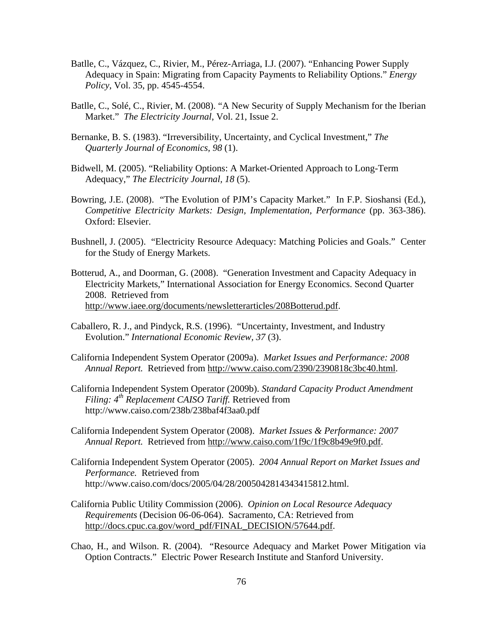- Batlle, C., Vázquez, C., Rivier, M., Pérez-Arriaga, I.J. (2007). "Enhancing Power Supply Adequacy in Spain: Migrating from Capacity Payments to Reliability Options." *Energy Policy*, Vol. 35, pp. 4545-4554.
- Batlle, C., Solé, C., Rivier, M. (2008). "A New Security of Supply Mechanism for the Iberian Market." *The Electricity Journal*, Vol. 21, Issue 2.
- Bernanke, B. S. (1983). "Irreversibility, Uncertainty, and Cyclical Investment," *The Quarterly Journal of Economics, 98* (1).
- Bidwell, M. (2005). "Reliability Options: A Market-Oriented Approach to Long-Term Adequacy," *The Electricity Journal, 18* (5).
- Bowring, J.E. (2008). "The Evolution of PJM's Capacity Market." In F.P. Sioshansi (Ed.), *Competitive Electricity Markets: Design, Implementation, Performance* (pp. 363-386). Oxford: Elsevier.
- Bushnell, J. (2005). "Electricity Resource Adequacy: Matching Policies and Goals." Center for the Study of Energy Markets.
- Botterud, A., and Doorman, G. (2008). "Generation Investment and Capacity Adequacy in Electricity Markets," International Association for Energy Economics. Second Quarter 2008. Retrieved from http://www.iaee.org/documents/newsletterarticles/208Botterud.pdf.
- Caballero, R. J., and Pindyck, R.S. (1996). "Uncertainty, Investment, and Industry Evolution." *International Economic Review, 37* (3).
- California Independent System Operator (2009a). *Market Issues and Performance: 2008 Annual Report.* Retrieved from http://www.caiso.com/2390/2390818c3bc40.html.
- California Independent System Operator (2009b). *Standard Capacity Product Amendment Filing: 4th Replacement CAISO Tariff.* Retrieved from http://www.caiso.com/238b/238baf4f3aa0.pdf
- California Independent System Operator (2008). *Market Issues & Performance: 2007 Annual Report.* Retrieved from http://www.caiso.com/1f9c/1f9c8b49e9f0.pdf.
- California Independent System Operator (2005). *2004 Annual Report on Market Issues and Performance.* Retrieved from http://www.caiso.com/docs/2005/04/28/2005042814343415812.html.
- California Public Utility Commission (2006). *Opinion on Local Resource Adequacy Requirements* (Decision 06-06-064). Sacramento, CA: Retrieved from http://docs.cpuc.ca.gov/word\_pdf/FINAL\_DECISION/57644.pdf.
- Chao, H., and Wilson. R. (2004). "Resource Adequacy and Market Power Mitigation via Option Contracts." Electric Power Research Institute and Stanford University.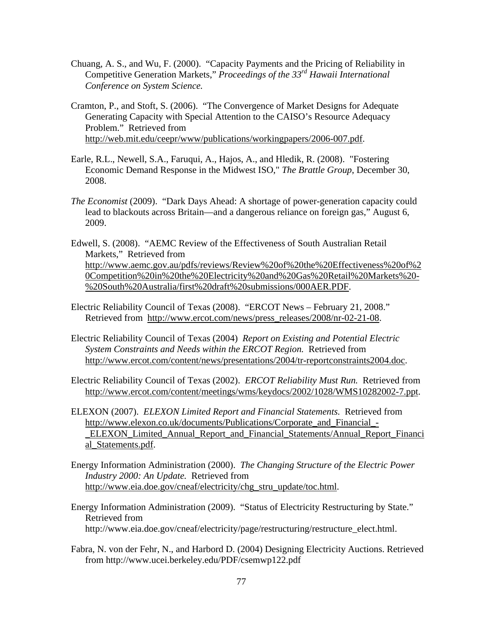- Chuang, A. S., and Wu, F. (2000). "Capacity Payments and the Pricing of Reliability in Competitive Generation Markets," *Proceedings of the 33rd Hawaii International Conference on System Science.*
- Cramton, P., and Stoft, S. (2006). "The Convergence of Market Designs for Adequate Generating Capacity with Special Attention to the CAISO's Resource Adequacy Problem." Retrieved from http://web.mit.edu/ceepr/www/publications/workingpapers/2006-007.pdf.
- Earle, R.L., Newell, S.A., Faruqui, A., Hajos, A., and Hledik, R. (2008). "Fostering Economic Demand Response in the Midwest ISO," *The Brattle Group*, December 30, 2008.
- *The Economist* (2009). "Dark Days Ahead: A shortage of power-generation capacity could lead to blackouts across Britain—and a dangerous reliance on foreign gas," August 6, 2009.
- Edwell, S. (2008). "AEMC Review of the Effectiveness of South Australian Retail Markets," Retrieved from http://www.aemc.gov.au/pdfs/reviews/Review%20of%20the%20Effectiveness%20of%2 0Competition%20in%20the%20Electricity%20and%20Gas%20Retail%20Markets%20- %20South%20Australia/first%20draft%20submissions/000AER.PDF.
- Electric Reliability Council of Texas (2008). "ERCOT News February 21, 2008." Retrieved from http://www.ercot.com/news/press\_releases/2008/nr-02-21-08.
- Electric Reliability Council of Texas (2004) *Report on Existing and Potential Electric System Constraints and Needs within the ERCOT Region.* Retrieved from http://www.ercot.com/content/news/presentations/2004/tr-reportconstraints2004.doc.
- Electric Reliability Council of Texas (2002). *ERCOT Reliability Must Run.* Retrieved from http://www.ercot.com/content/meetings/wms/keydocs/2002/1028/WMS10282002-7.ppt.
- ELEXON (2007). *ELEXON Limited Report and Financial Statements.* Retrieved from http://www.elexon.co.uk/documents/Publications/Corporate and Financial -\_ELEXON\_Limited\_Annual\_Report\_and\_Financial\_Statements/Annual\_Report\_Financi al\_Statements.pdf.
- Energy Information Administration (2000). *The Changing Structure of the Electric Power Industry 2000: An Update.* Retrieved from http://www.eia.doe.gov/cneaf/electricity/chg\_stru\_update/toc.html.
- Energy Information Administration (2009). "Status of Electricity Restructuring by State." Retrieved from http://www.eia.doe.gov/cneaf/electricity/page/restructuring/restructure\_elect.html.
- Fabra, N. von der Fehr, N., and Harbord D. (2004) Designing Electricity Auctions. Retrieved from http://www.ucei.berkeley.edu/PDF/csemwp122.pdf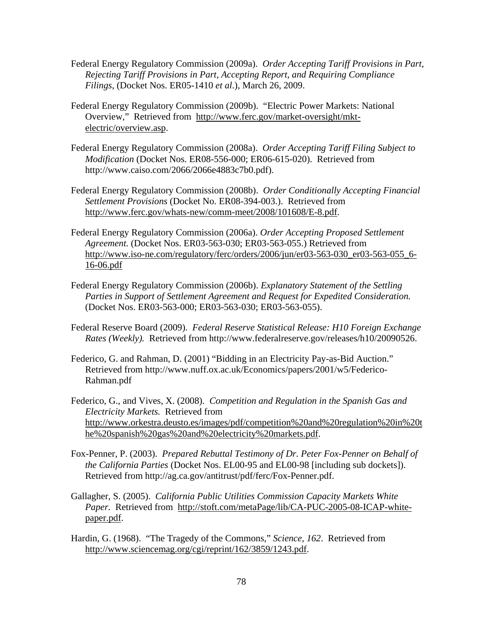- Federal Energy Regulatory Commission (2009a). *Order Accepting Tariff Provisions in Part, Rejecting Tariff Provisions in Part, Accepting Report, and Requiring Compliance Filings*, (Docket Nos. ER05-1410 *et al*.), March 26, 2009.
- Federal Energy Regulatory Commission (2009b). "Electric Power Markets: National Overview," Retrieved from http://www.ferc.gov/market-oversight/mktelectric/overview.asp.
- Federal Energy Regulatory Commission (2008a). *Order Accepting Tariff Filing Subject to Modification* (Docket Nos. ER08-556-000; ER06-615-020). Retrieved from http://www.caiso.com/2066/2066e4883c7b0.pdf).
- Federal Energy Regulatory Commission (2008b). *Order Conditionally Accepting Financial Settlement Provisions* (Docket No. ER08-394-003.). Retrieved from http://www.ferc.gov/whats-new/comm-meet/2008/101608/E-8.pdf.
- Federal Energy Regulatory Commission (2006a). *Order Accepting Proposed Settlement Agreement.* (Docket Nos. ER03-563-030; ER03-563-055.) Retrieved from http://www.iso-ne.com/regulatory/ferc/orders/2006/jun/er03-563-030\_er03-563-055\_6- 16-06.pdf
- Federal Energy Regulatory Commission (2006b). *Explanatory Statement of the Settling Parties in Support of Settlement Agreement and Request for Expedited Consideration.*  (Docket Nos. ER03-563-000; ER03-563-030; ER03-563-055).
- Federal Reserve Board (2009). *Federal Reserve Statistical Release: H10 Foreign Exchange Rates (Weekly).* Retrieved from http://www.federalreserve.gov/releases/h10/20090526.
- Federico, G. and Rahman, D. (2001) "Bidding in an Electricity Pay-as-Bid Auction." Retrieved from http://www.nuff.ox.ac.uk/Economics/papers/2001/w5/Federico-Rahman.pdf
- Federico, G., and Vives, X. (2008). *Competition and Regulation in the Spanish Gas and Electricity Markets.* Retrieved from http://www.orkestra.deusto.es/images/pdf/competition%20and%20regulation%20in%20t he%20spanish%20gas%20and%20electricity%20markets.pdf.
- Fox-Penner, P. (2003). *Prepared Rebuttal Testimony of Dr. Peter Fox-Penner on Behalf of the California Parties* (Docket Nos. EL00-95 and EL00-98 [including sub dockets]). Retrieved from http://ag.ca.gov/antitrust/pdf/ferc/Fox-Penner.pdf.
- Gallagher, S. (2005). *California Public Utilities Commission Capacity Markets White Paper.* Retrieved from http://stoft.com/metaPage/lib/CA-PUC-2005-08-ICAP-whitepaper.pdf.
- Hardin, G. (1968). "The Tragedy of the Commons," *Science, 162*. Retrieved from http://www.sciencemag.org/cgi/reprint/162/3859/1243.pdf.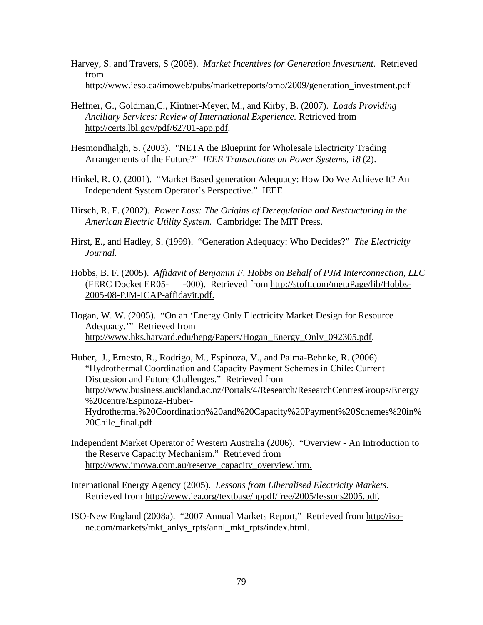- Harvey, S. and Travers, S (2008). *Market Incentives for Generation Investment*. Retrieved from http://www.ieso.ca/imoweb/pubs/marketreports/omo/2009/generation\_investment.pdf
- Heffner, G., Goldman,C., Kintner-Meyer, M., and Kirby, B. (2007). *Loads Providing Ancillary Services: Review of International Experience.* Retrieved from http://certs.lbl.gov/pdf/62701-app.pdf.
- Hesmondhalgh, S. (2003). "NETA the Blueprint for Wholesale Electricity Trading Arrangements of the Future?" *IEEE Transactions on Power Systems, 18* (2).
- Hinkel, R. O. (2001). "Market Based generation Adequacy: How Do We Achieve It? An Independent System Operator's Perspective." IEEE.
- Hirsch, R. F. (2002). *Power Loss: The Origins of Deregulation and Restructuring in the American Electric Utility System.* Cambridge: The MIT Press.
- Hirst, E., and Hadley, S. (1999). "Generation Adequacy: Who Decides?" *The Electricity Journal.*
- Hobbs, B. F. (2005). *Affidavit of Benjamin F. Hobbs on Behalf of PJM Interconnection, LLC* (FERC Docket ER05-\_\_\_-000). Retrieved from http://stoft.com/metaPage/lib/Hobbs-2005-08-PJM-ICAP-affidavit.pdf.
- Hogan, W. W. (2005). "On an 'Energy Only Electricity Market Design for Resource Adequacy.'" Retrieved from http://www.hks.harvard.edu/hepg/Papers/Hogan\_Energy\_Only\_092305.pdf.
- Huber, J., Ernesto, R., Rodrigo, M., Espinoza, V., and Palma-Behnke, R. (2006). "Hydrothermal Coordination and Capacity Payment Schemes in Chile: Current Discussion and Future Challenges." Retrieved from http://www.business.auckland.ac.nz/Portals/4/Research/ResearchCentresGroups/Energy %20centre/Espinoza-Huber-Hydrothermal%20Coordination%20and%20Capacity%20Payment%20Schemes%20in% 20Chile\_final.pdf
- Independent Market Operator of Western Australia (2006). "Overview An Introduction to the Reserve Capacity Mechanism." Retrieved from http://www.imowa.com.au/reserve\_capacity\_overview.htm.
- International Energy Agency (2005). *Lessons from Liberalised Electricity Markets.* Retrieved from http://www.iea.org/textbase/nppdf/free/2005/lessons2005.pdf.
- ISO-New England (2008a). "2007 Annual Markets Report," Retrieved from http://isone.com/markets/mkt\_anlys\_rpts/annl\_mkt\_rpts/index.html.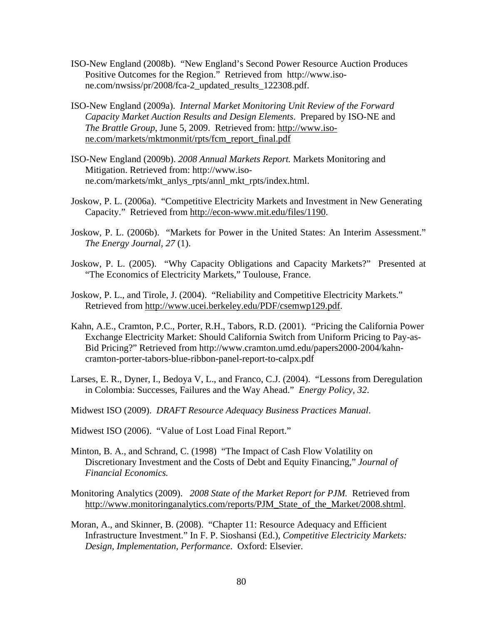- ISO-New England (2008b). "New England's Second Power Resource Auction Produces Positive Outcomes for the Region." Retrieved from http://www.isone.com/nwsiss/pr/2008/fca-2\_updated\_results\_122308.pdf.
- ISO-New England (2009a). *Internal Market Monitoring Unit Review of the Forward Capacity Market Auction Results and Design Elements*. Prepared by ISO-NE and *The Brattle Group*, June 5, 2009. Retrieved from: http://www.isone.com/markets/mktmonmit/rpts/fcm\_report\_final.pdf
- ISO-New England (2009b). *2008 Annual Markets Report.* Markets Monitoring and Mitigation. Retrieved from: http://www.isone.com/markets/mkt\_anlys\_rpts/annl\_mkt\_rpts/index.html.
- Joskow, P. L. (2006a). "Competitive Electricity Markets and Investment in New Generating Capacity." Retrieved from http://econ-www.mit.edu/files/1190.
- Joskow, P. L. (2006b). "Markets for Power in the United States: An Interim Assessment." *The Energy Journal, 27* (1).
- Joskow, P. L. (2005). "Why Capacity Obligations and Capacity Markets?" Presented at "The Economics of Electricity Markets," Toulouse, France.
- Joskow, P. L., and Tirole, J. (2004). "Reliability and Competitive Electricity Markets." Retrieved from http://www.ucei.berkeley.edu/PDF/csemwp129.pdf.
- Kahn, A.E., Cramton, P.C., Porter, R.H., Tabors, R.D. (2001). "Pricing the California Power Exchange Electricity Market: Should California Switch from Uniform Pricing to Pay-as-Bid Pricing?" Retrieved from http://www.cramton.umd.edu/papers2000-2004/kahncramton-porter-tabors-blue-ribbon-panel-report-to-calpx.pdf
- Larses, E. R., Dyner, I., Bedoya V, L., and Franco, C.J. (2004). "Lessons from Deregulation in Colombia: Successes, Failures and the Way Ahead." *Energy Policy, 32*.
- Midwest ISO (2009). *DRAFT Resource Adequacy Business Practices Manual*.

Midwest ISO (2006). "Value of Lost Load Final Report."

- Minton, B. A., and Schrand, C. (1998) "The Impact of Cash Flow Volatility on Discretionary Investment and the Costs of Debt and Equity Financing," *Journal of Financial Economics.*
- Monitoring Analytics (2009). *2008 State of the Market Report for PJM.* Retrieved from http://www.monitoringanalytics.com/reports/PJM\_State\_of\_the\_Market/2008.shtml.
- Moran, A., and Skinner, B. (2008). "Chapter 11: Resource Adequacy and Efficient Infrastructure Investment." In F. P. Sioshansi (Ed.), *Competitive Electricity Markets: Design, Implementation, Performance*. Oxford: Elsevier.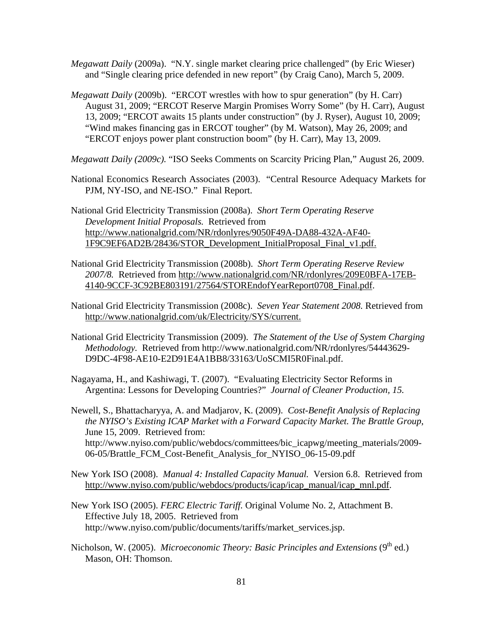- *Megawatt Daily* (2009a). "N.Y. single market clearing price challenged" (by Eric Wieser) and "Single clearing price defended in new report" (by Craig Cano), March 5, 2009.
- *Megawatt Daily* (2009b). "ERCOT wrestles with how to spur generation" (by H. Carr) August 31, 2009; "ERCOT Reserve Margin Promises Worry Some" (by H. Carr), August 13, 2009; "ERCOT awaits 15 plants under construction" (by J. Ryser), August 10, 2009; "Wind makes financing gas in ERCOT tougher" (by M. Watson), May 26, 2009; and "ERCOT enjoys power plant construction boom" (by H. Carr), May 13, 2009.
- *Megawatt Daily (2009c).* "ISO Seeks Comments on Scarcity Pricing Plan," August 26, 2009.
- National Economics Research Associates (2003). "Central Resource Adequacy Markets for PJM, NY-ISO, and NE-ISO." Final Report.
- National Grid Electricity Transmission (2008a). *Short Term Operating Reserve Development Initial Proposals.* Retrieved from http://www.nationalgrid.com/NR/rdonlyres/9050F49A-DA88-432A-AF40- 1F9C9EF6AD2B/28436/STOR\_Development\_InitialProposal\_Final\_v1.pdf.
- National Grid Electricity Transmission (2008b). *Short Term Operating Reserve Review 2007/8.* Retrieved from http://www.nationalgrid.com/NR/rdonlyres/209E0BFA-17EB-4140-9CCF-3C92BE803191/27564/STOREndofYearReport0708\_Final.pdf.
- National Grid Electricity Transmission (2008c). *Seven Year Statement 2008.* Retrieved from http://www.nationalgrid.com/uk/Electricity/SYS/current.
- National Grid Electricity Transmission (2009). *The Statement of the Use of System Charging Methodology.* Retrieved from http://www.nationalgrid.com/NR/rdonlyres/54443629- D9DC-4F98-AE10-E2D91E4A1BB8/33163/UoSCMI5R0Final.pdf.
- Nagayama, H., and Kashiwagi, T. (2007). "Evaluating Electricity Sector Reforms in Argentina: Lessons for Developing Countries?" *Journal of Cleaner Production, 15.*
- Newell, S., Bhattacharyya, A. and Madjarov, K. (2009). *Cost-Benefit Analysis of Replacing the NYISO's Existing ICAP Market with a Forward Capacity Market. The Brattle Group*, June 15, 2009. Retrieved from: http://www.nyiso.com/public/webdocs/committees/bic\_icapwg/meeting\_materials/2009-06-05/Brattle\_FCM\_Cost-Benefit\_Analysis\_for\_NYISO\_06-15-09.pdf
- New York ISO (2008). *Manual 4: Installed Capacity Manual.* Version 6.8. Retrieved from http://www.nyiso.com/public/webdocs/products/icap/icap\_manual/icap\_mnl.pdf.
- New York ISO (2005). *FERC Electric Tariff.* Original Volume No. 2, Attachment B. Effective July 18, 2005. Retrieved from http://www.nyiso.com/public/documents/tariffs/market\_services.jsp.
- Nicholson, W. (2005). *Microeconomic Theory: Basic Principles and Extensions* (9<sup>th</sup> ed.) Mason, OH: Thomson.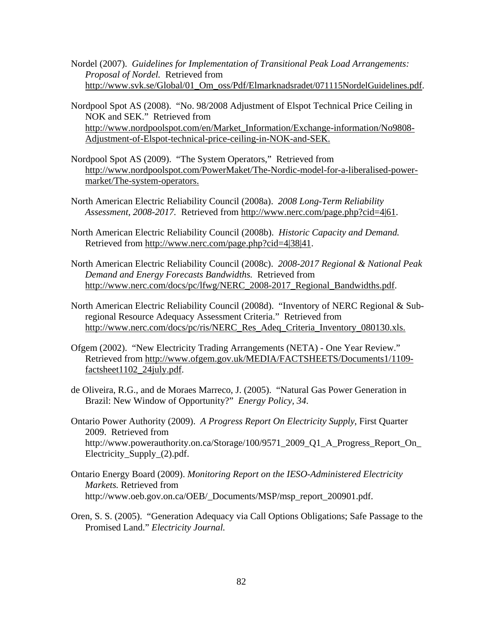Nordel (2007). *Guidelines for Implementation of Transitional Peak Load Arrangements: Proposal of Nordel.* Retrieved from http://www.svk.se/Global/01\_Om\_oss/Pdf/Elmarknadsradet/071115NordelGuidelines.pdf.

- Nordpool Spot AS (2008). "No. 98/2008 Adjustment of Elspot Technical Price Ceiling in NOK and SEK." Retrieved from http://www.nordpoolspot.com/en/Market\_Information/Exchange-information/No9808- Adjustment-of-Elspot-technical-price-ceiling-in-NOK-and-SEK.
- Nordpool Spot AS (2009). "The System Operators," Retrieved from http://www.nordpoolspot.com/PowerMaket/The-Nordic-model-for-a-liberalised-powermarket/The-system-operators.

North American Electric Reliability Council (2008a). *2008 Long-Term Reliability Assessment, 2008-2017.* Retrieved from http://www.nerc.com/page.php?cid=4|61.

- North American Electric Reliability Council (2008b). *Historic Capacity and Demand.*  Retrieved from http://www.nerc.com/page.php?cid=4|38|41.
- North American Electric Reliability Council (2008c). *2008-2017 Regional & National Peak Demand and Energy Forecasts Bandwidths.* Retrieved from http://www.nerc.com/docs/pc/lfwg/NERC\_2008-2017\_Regional\_Bandwidths.pdf.
- North American Electric Reliability Council (2008d). "Inventory of NERC Regional & Subregional Resource Adequacy Assessment Criteria." Retrieved from http://www.nerc.com/docs/pc/ris/NERC\_Res\_Adeq\_Criteria\_Inventory\_080130.xls.
- Ofgem (2002). "New Electricity Trading Arrangements (NETA) One Year Review." Retrieved from http://www.ofgem.gov.uk/MEDIA/FACTSHEETS/Documents1/1109 factsheet1102\_24july.pdf.
- de Oliveira, R.G., and de Moraes Marreco, J. (2005). "Natural Gas Power Generation in Brazil: New Window of Opportunity?" *Energy Policy, 34*.
- Ontario Power Authority (2009). *A Progress Report On Electricity Supply*, First Quarter 2009. Retrieved from http://www.powerauthority.on.ca/Storage/100/9571\_2009\_Q1\_A\_Progress\_Report\_On Electricity\_Supply\_(2).pdf.
- Ontario Energy Board (2009). *Monitoring Report on the IESO-Administered Electricity Markets.* Retrieved from http://www.oeb.gov.on.ca/OEB/\_Documents/MSP/msp\_report\_200901.pdf.
- Oren, S. S. (2005). "Generation Adequacy via Call Options Obligations; Safe Passage to the Promised Land." *Electricity Journal.*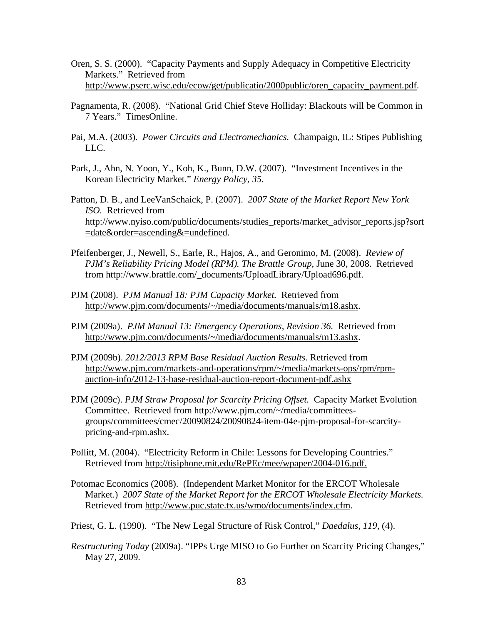- Oren, S. S. (2000). "Capacity Payments and Supply Adequacy in Competitive Electricity Markets." Retrieved from http://www.pserc.wisc.edu/ecow/get/publicatio/2000public/oren\_capacity\_payment.pdf.
- Pagnamenta, R. (2008). "National Grid Chief Steve Holliday: Blackouts will be Common in 7 Years." TimesOnline.
- Pai, M.A. (2003). *Power Circuits and Electromechanics.* Champaign, IL: Stipes Publishing LLC.
- Park, J., Ahn, N. Yoon, Y., Koh, K., Bunn, D.W. (2007). "Investment Incentives in the Korean Electricity Market." *Energy Policy, 35*.
- Patton, D. B., and LeeVanSchaick, P. (2007). *2007 State of the Market Report New York ISO.* Retrieved from http://www.nyiso.com/public/documents/studies\_reports/market\_advisor\_reports.jsp?sort =date&order=ascending&=undefined.
- Pfeifenberger, J., Newell, S., Earle, R., Hajos, A., and Geronimo, M. (2008). *Review of PJM's Reliability Pricing Model (RPM). The Brattle Group*, June 30, 2008. Retrieved from http://www.brattle.com/\_documents/UploadLibrary/Upload696.pdf.
- PJM (2008). *PJM Manual 18: PJM Capacity Market.* Retrieved from http://www.pjm.com/documents/~/media/documents/manuals/m18.ashx.
- PJM (2009a). *PJM Manual 13: Emergency Operations, Revision 36.* Retrieved from http://www.pjm.com/documents/~/media/documents/manuals/m13.ashx.
- PJM (2009b). *2012/2013 RPM Base Residual Auction Results.* Retrieved from http://www.pjm.com/markets-and-operations/rpm/~/media/markets-ops/rpm/rpmauction-info/2012-13-base-residual-auction-report-document-pdf.ashx
- PJM (2009c). *PJM Straw Proposal for Scarcity Pricing Offset.* Capacity Market Evolution Committee. Retrieved from http://www.pjm.com/~/media/committeesgroups/committees/cmec/20090824/20090824-item-04e-pjm-proposal-for-scarcitypricing-and-rpm.ashx.
- Pollitt, M. (2004). "Electricity Reform in Chile: Lessons for Developing Countries." Retrieved from http://tisiphone.mit.edu/RePEc/mee/wpaper/2004-016.pdf.
- Potomac Economics (2008). (Independent Market Monitor for the ERCOT Wholesale Market.) *2007 State of the Market Report for the ERCOT Wholesale Electricity Markets.* Retrieved from http://www.puc.state.tx.us/wmo/documents/index.cfm.
- Priest, G. L. (1990). "The New Legal Structure of Risk Control," *Daedalus, 119*, (4).
- *Restructuring Today* (2009a). "IPPs Urge MISO to Go Further on Scarcity Pricing Changes," May 27, 2009.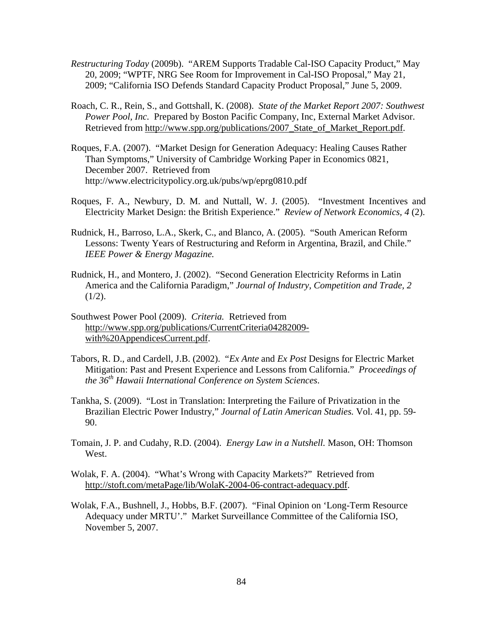- *Restructuring Today* (2009b). "AREM Supports Tradable Cal-ISO Capacity Product," May 20, 2009; "WPTF, NRG See Room for Improvement in Cal-ISO Proposal," May 21, 2009; "California ISO Defends Standard Capacity Product Proposal," June 5, 2009.
- Roach, C. R., Rein, S., and Gottshall, K. (2008). *State of the Market Report 2007: Southwest Power Pool, Inc.* Prepared by Boston Pacific Company, Inc, External Market Advisor. Retrieved from http://www.spp.org/publications/2007 State of Market Report.pdf.
- Roques, F.A. (2007). "Market Design for Generation Adequacy: Healing Causes Rather Than Symptoms," University of Cambridge Working Paper in Economics 0821, December 2007. Retrieved from http://www.electricitypolicy.org.uk/pubs/wp/eprg0810.pdf
- Roques, F. A., Newbury, D. M. and Nuttall, W. J. (2005). "Investment Incentives and Electricity Market Design: the British Experience." *Review of Network Economics, 4* (2).
- Rudnick, H., Barroso, L.A., Skerk, C., and Blanco, A. (2005). "South American Reform Lessons: Twenty Years of Restructuring and Reform in Argentina, Brazil, and Chile." *IEEE Power & Energy Magazine.*
- Rudnick, H., and Montero, J. (2002). "Second Generation Electricity Reforms in Latin America and the California Paradigm," *Journal of Industry, Competition and Trade, 2*   $(1/2)$ .
- Southwest Power Pool (2009). *Criteria.* Retrieved from http://www.spp.org/publications/CurrentCriteria04282009 with%20AppendicesCurrent.pdf.
- Tabors, R. D., and Cardell, J.B. (2002). "*Ex Ante* and *Ex Post* Designs for Electric Market Mitigation: Past and Present Experience and Lessons from California." *Proceedings of the 36th Hawaii International Conference on System Sciences*.
- Tankha, S. (2009). "Lost in Translation: Interpreting the Failure of Privatization in the Brazilian Electric Power Industry," *Journal of Latin American Studies.* Vol. 41, pp. 59- 90.
- Tomain, J. P. and Cudahy, R.D. (2004). *Energy Law in a Nutshell.* Mason, OH: Thomson West.
- Wolak, F. A. (2004). "What's Wrong with Capacity Markets?" Retrieved from http://stoft.com/metaPage/lib/WolaK-2004-06-contract-adequacy.pdf.
- Wolak, F.A., Bushnell, J., Hobbs, B.F. (2007). "Final Opinion on 'Long-Term Resource Adequacy under MRTU'." Market Surveillance Committee of the California ISO, November 5, 2007.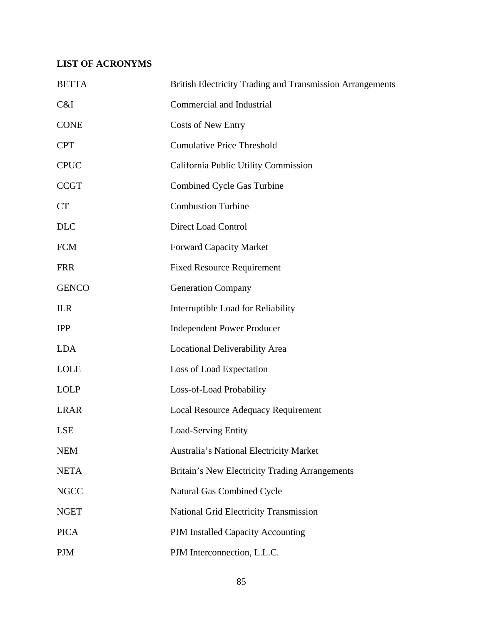# **LIST OF ACRONYMS**

| <b>BETTA</b> | <b>British Electricity Trading and Transmission Arrangements</b> |
|--------------|------------------------------------------------------------------|
| C&I          | Commercial and Industrial                                        |
| <b>CONE</b>  | <b>Costs of New Entry</b>                                        |
| <b>CPT</b>   | <b>Cumulative Price Threshold</b>                                |
| <b>CPUC</b>  | California Public Utility Commission                             |
| <b>CCGT</b>  | Combined Cycle Gas Turbine                                       |
| <b>CT</b>    | <b>Combustion Turbine</b>                                        |
| <b>DLC</b>   | <b>Direct Load Control</b>                                       |
| <b>FCM</b>   | <b>Forward Capacity Market</b>                                   |
| <b>FRR</b>   | <b>Fixed Resource Requirement</b>                                |
| <b>GENCO</b> | <b>Generation Company</b>                                        |
| <b>ILR</b>   | Interruptible Load for Reliability                               |
| <b>IPP</b>   | <b>Independent Power Producer</b>                                |
| <b>LDA</b>   | Locational Deliverability Area                                   |
| <b>LOLE</b>  | Loss of Load Expectation                                         |
| <b>LOLP</b>  | Loss-of-Load Probability                                         |
| <b>LRAR</b>  | <b>Local Resource Adequacy Requirement</b>                       |
| LSE          | <b>Load-Serving Entity</b>                                       |
| <b>NEM</b>   | Australia's National Electricity Market                          |
| <b>NETA</b>  | Britain's New Electricity Trading Arrangements                   |
| <b>NGCC</b>  | Natural Gas Combined Cycle                                       |
| <b>NGET</b>  | <b>National Grid Electricity Transmission</b>                    |
| <b>PICA</b>  | PJM Installed Capacity Accounting                                |
| <b>PJM</b>   | PJM Interconnection, L.L.C.                                      |